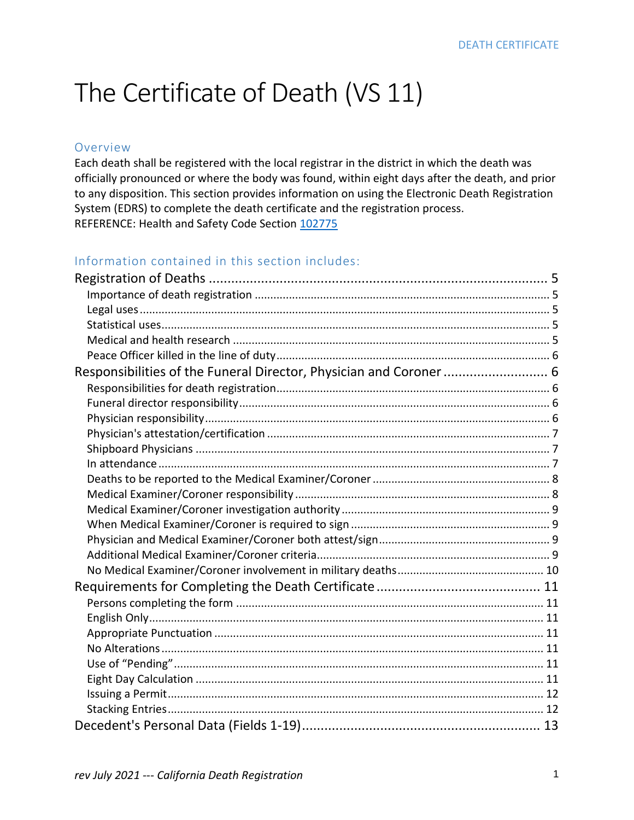# The Certificate of Death (VS 11)

#### Overview

Each death shall be registered with the local registrar in the district in which the death was officially pronounced or where the body was found, within eight days after the death, and prior to any disposition. This section provides information on using the Electronic Death Registration System (EDRS) to complete the death certificate and the registration process. REFERENCE: Health and Safety Code Section [102775](http://leginfo.legislature.ca.gov/faces/codes_displaySection.xhtml?sectionNum=102775&lawCode=HSC)

### Information contained in this section includes:

| Responsibilities of the Funeral Director, Physician and Coroner 6 |  |
|-------------------------------------------------------------------|--|
|                                                                   |  |
|                                                                   |  |
|                                                                   |  |
|                                                                   |  |
|                                                                   |  |
|                                                                   |  |
|                                                                   |  |
|                                                                   |  |
|                                                                   |  |
|                                                                   |  |
|                                                                   |  |
|                                                                   |  |
|                                                                   |  |
|                                                                   |  |
|                                                                   |  |
|                                                                   |  |
|                                                                   |  |
|                                                                   |  |
|                                                                   |  |
|                                                                   |  |
|                                                                   |  |
|                                                                   |  |
|                                                                   |  |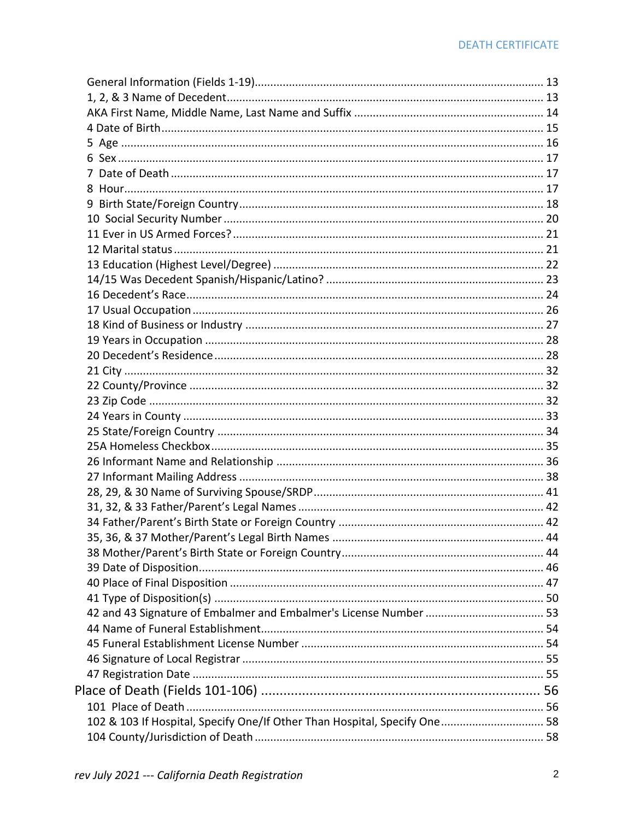| 102 & 103 If Hospital, Specify One/If Other Than Hospital, Specify One 58 |  |
|---------------------------------------------------------------------------|--|
|                                                                           |  |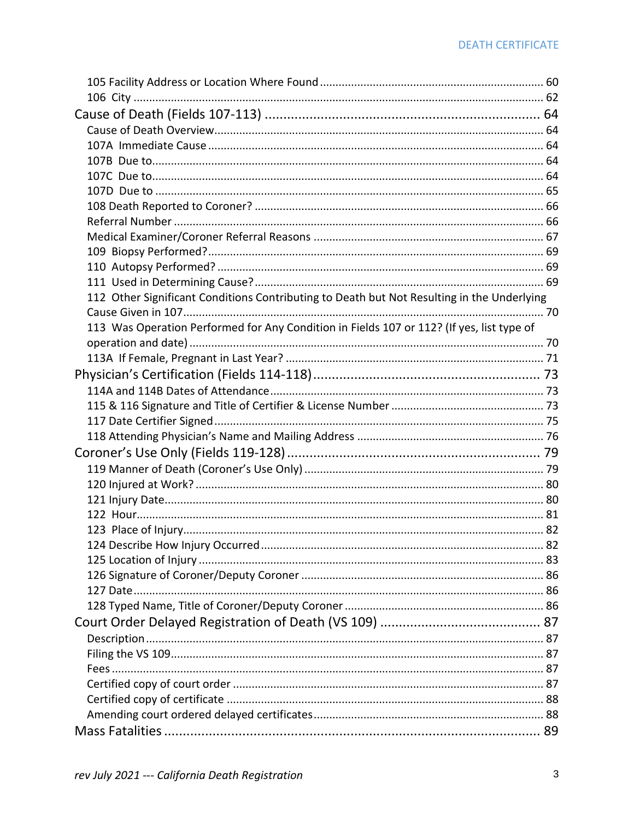| 112 Other Significant Conditions Contributing to Death but Not Resulting in the Underlying |  |
|--------------------------------------------------------------------------------------------|--|
|                                                                                            |  |
| 113 Was Operation Performed for Any Condition in Fields 107 or 112? (If yes, list type of  |  |
|                                                                                            |  |
|                                                                                            |  |
|                                                                                            |  |
|                                                                                            |  |
|                                                                                            |  |
|                                                                                            |  |
|                                                                                            |  |
|                                                                                            |  |
|                                                                                            |  |
|                                                                                            |  |
|                                                                                            |  |
|                                                                                            |  |
|                                                                                            |  |
|                                                                                            |  |
|                                                                                            |  |
|                                                                                            |  |
|                                                                                            |  |
|                                                                                            |  |
|                                                                                            |  |
|                                                                                            |  |
|                                                                                            |  |
|                                                                                            |  |
|                                                                                            |  |
|                                                                                            |  |
|                                                                                            |  |
|                                                                                            |  |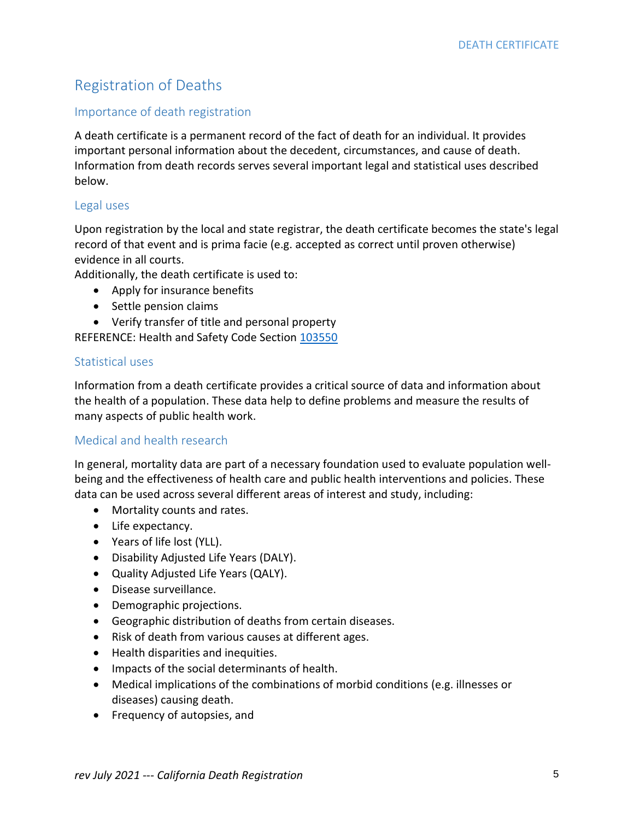# Registration of Deaths

#### Importance of death registration

A death certificate is a permanent record of the fact of death for an individual. It provides important personal information about the decedent, circumstances, and cause of death. Information from death records serves several important legal and statistical uses described below.

#### Legal uses

Upon registration by the local and state registrar, the death certificate becomes the state's legal record of that event and is prima facie (e.g. accepted as correct until proven otherwise) evidence in all courts.

Additionally, the death certificate is used to:

- Apply for insurance benefits
- Settle pension claims
- Verify transfer of title and personal property

REFERENCE: Health and Safety Code Section [103550](http://leginfo.legislature.ca.gov/faces/codes_displaySection.xhtml?sectionNum=103550&lawCode=HSC)

#### Statistical uses

Information from a death certificate provides a critical source of data and information about the health of a population. These data help to define problems and measure the results of many aspects of public health work.

### Medical and health research

In general, mortality data are part of a necessary foundation used to evaluate population wellbeing and the effectiveness of health care and public health interventions and policies. These data can be used across several different areas of interest and study, including:

- Mortality counts and rates.
- Life expectancy.
- Years of life lost (YLL).
- Disability Adjusted Life Years (DALY).
- Quality Adjusted Life Years (QALY).
- Disease surveillance.
- Demographic projections.
- Geographic distribution of deaths from certain diseases.
- Risk of death from various causes at different ages.
- Health disparities and inequities.
- Impacts of the social determinants of health.
- Medical implications of the combinations of morbid conditions (e.g. illnesses or diseases) causing death.
- Frequency of autopsies, and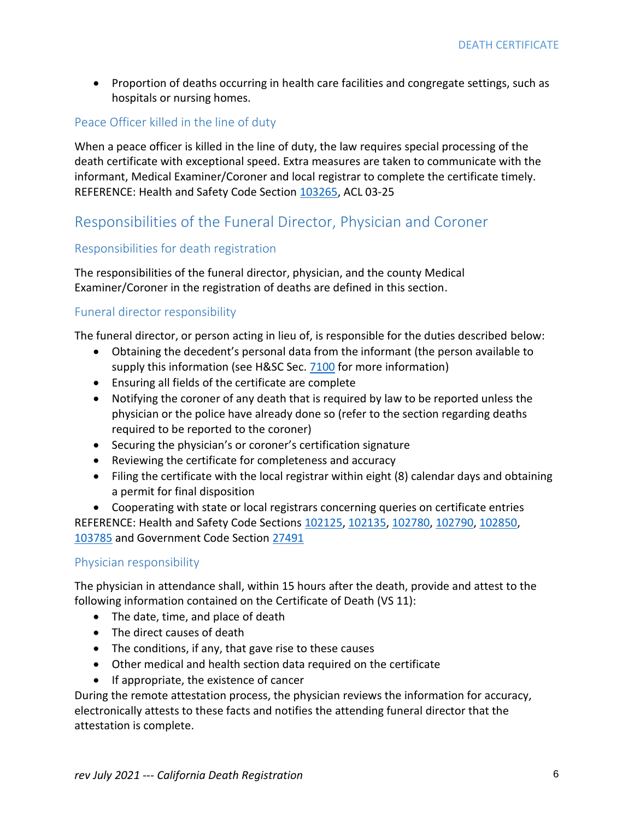• Proportion of deaths occurring in health care facilities and congregate settings, such as hospitals or nursing homes.

### Peace Officer killed in the line of duty

When a peace officer is killed in the line of duty, the law requires special processing of the death certificate with exceptional speed. Extra measures are taken to communicate with the informant, Medical Examiner/Coroner and local registrar to complete the certificate timely. REFERENCE: Health and Safety Code Section [103265,](http://leginfo.legislature.ca.gov/faces/codes_displaySection.xhtml?sectionNum=103265&lawCode=HSC) ACL 03-25

# Responsibilities of the Funeral Director, Physician and Coroner

### Responsibilities for death registration

The responsibilities of the funeral director, physician, and the county Medical Examiner/Coroner in the registration of deaths are defined in this section.

### Funeral director responsibility

The funeral director, or person acting in lieu of, is responsible for the duties described below:

- Obtaining the decedent's personal data from the informant (the person available to supply this information (see H&SC Sec. [7100](http://leginfo.legislature.ca.gov/faces/codes_displaySection.xhtml?sectionNum=7100&lawCode=HSC) for more information)
- Ensuring all fields of the certificate are complete
- Notifying the coroner of any death that is required by law to be reported unless the physician or the police have already done so (refer to the section regarding deaths required to be reported to the coroner)
- Securing the physician's or coroner's certification signature
- Reviewing the certificate for completeness and accuracy
- Filing the certificate with the local registrar within eight (8) calendar days and obtaining a permit for final disposition

• Cooperating with state or local registrars concerning queries on certificate entries REFERENCE: Health and Safety Code Sections [102125,](http://leginfo.legislature.ca.gov/faces/codes_displaySection.xhtml?sectionNum=102125&lawCode=HSC) [102135,](http://leginfo.legislature.ca.gov/faces/codes_displaySection.xhtml?sectionNum=102135&lawCode=HSC) [102780,](http://leginfo.legislature.ca.gov/faces/codes_displaySection.xhtml?sectionNum=102780&lawCode=HSC) [102790,](http://leginfo.legislature.ca.gov/faces/codes_displaySection.xhtml?sectionNum=102790&lawCode=HSC) [102850,](http://leginfo.legislature.ca.gov/faces/codes_displaySection.xhtml?sectionNum=102850&lawCode=HSC) [103785](http://leginfo.legislature.ca.gov/faces/codes_displaySection.xhtml?sectionNum=103785&lawCode=HSC) and Government Code Section [27491](http://leginfo.legislature.ca.gov/faces/codes_displaySection.xhtml?sectionNum=27491&lawCode=GOV)

### Physician responsibility

The physician in attendance shall, within 15 hours after the death, provide and attest to the following information contained on the Certificate of Death (VS 11):

- The date, time, and place of death
- The direct causes of death
- The conditions, if any, that gave rise to these causes
- Other medical and health section data required on the certificate
- If appropriate, the existence of cancer

During the remote attestation process, the physician reviews the information for accuracy, electronically attests to these facts and notifies the attending funeral director that the attestation is complete.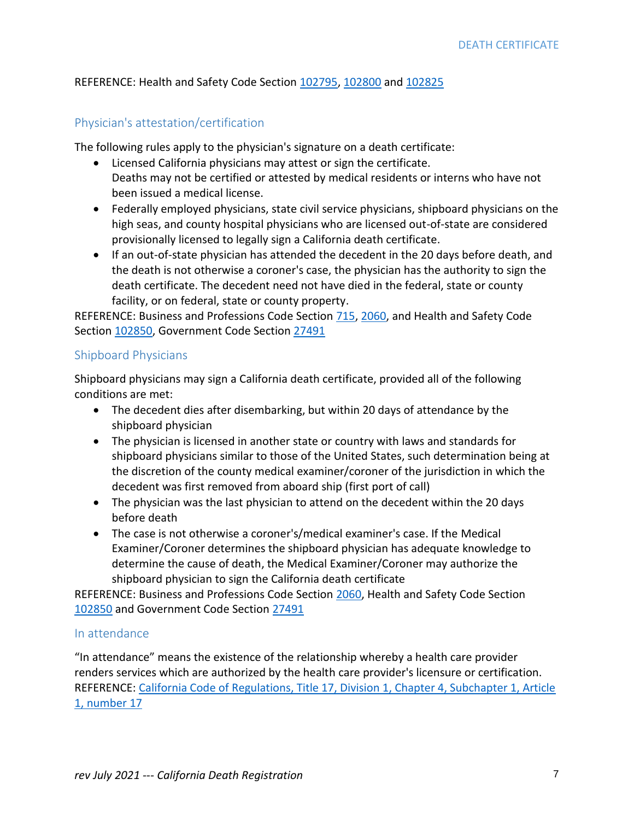### REFERENCE: Health and Safety Code Section [102795,](http://leginfo.legislature.ca.gov/faces/codes_displaySection.xhtml?sectionNum=102795&lawCode=HSC) [102800](http://leginfo.legislature.ca.gov/faces/codes_displaySection.xhtml?sectionNum=102800&lawCode=HSC) and [102825](http://leginfo.legislature.ca.gov/faces/codes_displaySection.xhtml?sectionNum=102825&lawCode=HSC)

### Physician's attestation/certification

The following rules apply to the physician's signature on a death certificate:

- Licensed California physicians may attest or sign the certificate. Deaths may not be certified or attested by medical residents or interns who have not been issued a medical license.
- Federally employed physicians, state civil service physicians, shipboard physicians on the high seas, and county hospital physicians who are licensed out-of-state are considered provisionally licensed to legally sign a California death certificate.
- If an out-of-state physician has attended the decedent in the 20 days before death, and the death is not otherwise a coroner's case, the physician has the authority to sign the death certificate. The decedent need not have died in the federal, state or county facility, or on federal, state or county property.

REFERENCE: Business and Professions Code Section [715,](http://leginfo.legislature.ca.gov/faces/codes_displaySection.xhtml?sectionNum=715&lawCode=BPC) [2060,](http://leginfo.legislature.ca.gov/faces/codes_displaySection.xhtml?lawCode=BPC§ionNum=2060.) and Health and Safety Code Sectio[n 102850,](http://leginfo.legislature.ca.gov/faces/codes_displaySection.xhtml?sectionNum=102850&lawCode=HSC) Government Code Section [27491](http://leginfo.legislature.ca.gov/faces/codes_displaySection.xhtml?sectionNum=27491&lawCode=GOV)

### Shipboard Physicians

Shipboard physicians may sign a California death certificate, provided all of the following conditions are met:

- The decedent dies after disembarking, but within 20 days of attendance by the shipboard physician
- The physician is licensed in another state or country with laws and standards for shipboard physicians similar to those of the United States, such determination being at the discretion of the county medical examiner/coroner of the jurisdiction in which the decedent was first removed from aboard ship (first port of call)
- The physician was the last physician to attend on the decedent within the 20 days before death
- The case is not otherwise a coroner's/medical examiner's case. If the Medical Examiner/Coroner determines the shipboard physician has adequate knowledge to determine the cause of death, the Medical Examiner/Coroner may authorize the shipboard physician to sign the California death certificate

REFERENCE: Business and Professions Code Section [2060,](http://leginfo.legislature.ca.gov/faces/codes_displaySection.xhtml?lawCode=BPC§ionNum=2060.) Health and Safety Code Section [102850](http://leginfo.legislature.ca.gov/faces/codes_displaySection.xhtml?sectionNum=102850&lawCode=HSC) and Government Code Section [27491](http://leginfo.legislature.ca.gov/faces/codes_displaySection.xhtml?sectionNum=27491&lawCode=GOV)

### In attendance

"In attendance" means the existence of the relationship whereby a health care provider renders services which are authorized by the health care provider's licensure or certification. REFERENCE: [California Code of Regulations, Title 17, Division 1, Chapter 4, Subchapter 1, Article](https://govt.westlaw.com/calregs/Document/I5849DB60A9CD11E0AE80D7A8DD0B623B?viewType=FullText&originationContext=documenttoc&transitionType=CategoryPageItem&contextData=(sc.Default))  [1, number 17](https://govt.westlaw.com/calregs/Document/I5849DB60A9CD11E0AE80D7A8DD0B623B?viewType=FullText&originationContext=documenttoc&transitionType=CategoryPageItem&contextData=(sc.Default))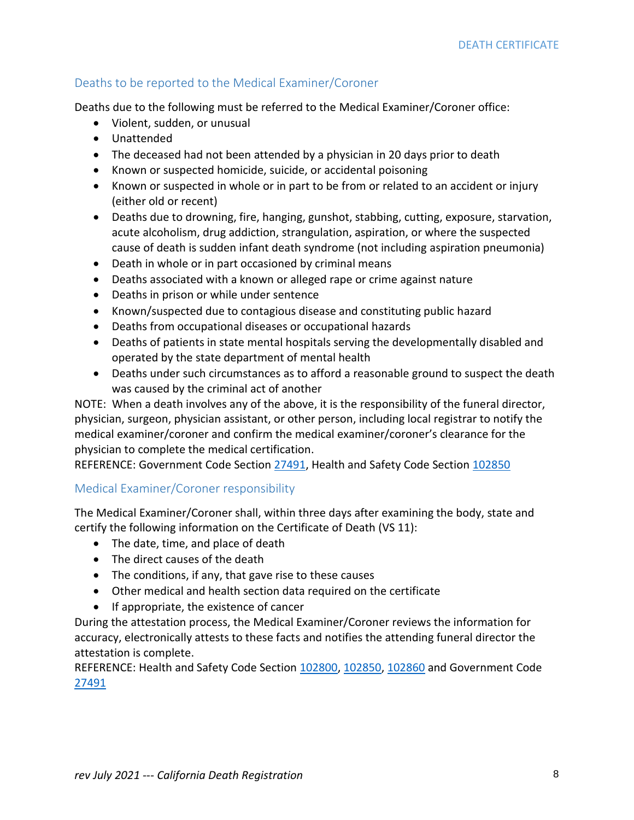### Deaths to be reported to the Medical Examiner/Coroner

Deaths due to the following must be referred to the Medical Examiner/Coroner office:

- Violent, sudden, or unusual
- Unattended
- The deceased had not been attended by a physician in 20 days prior to death
- Known or suspected homicide, suicide, or accidental poisoning
- Known or suspected in whole or in part to be from or related to an accident or injury (either old or recent)
- Deaths due to drowning, fire, hanging, gunshot, stabbing, cutting, exposure, starvation, acute alcoholism, drug addiction, strangulation, aspiration, or where the suspected cause of death is sudden infant death syndrome (not including aspiration pneumonia)
- Death in whole or in part occasioned by criminal means
- Deaths associated with a known or alleged rape or crime against nature
- Deaths in prison or while under sentence
- Known/suspected due to contagious disease and constituting public hazard
- Deaths from occupational diseases or occupational hazards
- Deaths of patients in state mental hospitals serving the developmentally disabled and operated by the state department of mental health
- Deaths under such circumstances as to afford a reasonable ground to suspect the death was caused by the criminal act of another

NOTE: When a death involves any of the above, it is the responsibility of the funeral director, physician, surgeon, physician assistant, or other person, including local registrar to notify the medical examiner/coroner and confirm the medical examiner/coroner's clearance for the physician to complete the medical certification.

REFERENCE: Government Code Section [27491,](http://leginfo.legislature.ca.gov/faces/codes_displaySection.xhtml?sectionNum=27491&lawCode=GOV) Health and Safety Code Section [102850](http://leginfo.legislature.ca.gov/faces/codes_displaySection.xhtml?sectionNum=102850&lawCode=HSC)

### Medical Examiner/Coroner responsibility

The Medical Examiner/Coroner shall, within three days after examining the body, state and certify the following information on the Certificate of Death (VS 11):

- The date, time, and place of death
- The direct causes of the death
- The conditions, if any, that gave rise to these causes
- Other medical and health section data required on the certificate
- If appropriate, the existence of cancer

During the attestation process, the Medical Examiner/Coroner reviews the information for accuracy, electronically attests to these facts and notifies the attending funeral director the attestation is complete.

REFERENCE: Health and Safety Code Section [102800,](http://leginfo.legislature.ca.gov/faces/codes_displaySection.xhtml?sectionNum=102800&lawCode=HSC) [102850,](http://leginfo.legislature.ca.gov/faces/codes_displaySection.xhtml?sectionNum=102850&lawCode=HSC) [102860](http://leginfo.legislature.ca.gov/faces/codes_displaySection.xhtml?lawCode=HSC§ionNum=102860.) and Government Code [27491](http://leginfo.legislature.ca.gov/faces/codes_displaySection.xhtml?sectionNum=27491&lawCode=GOV)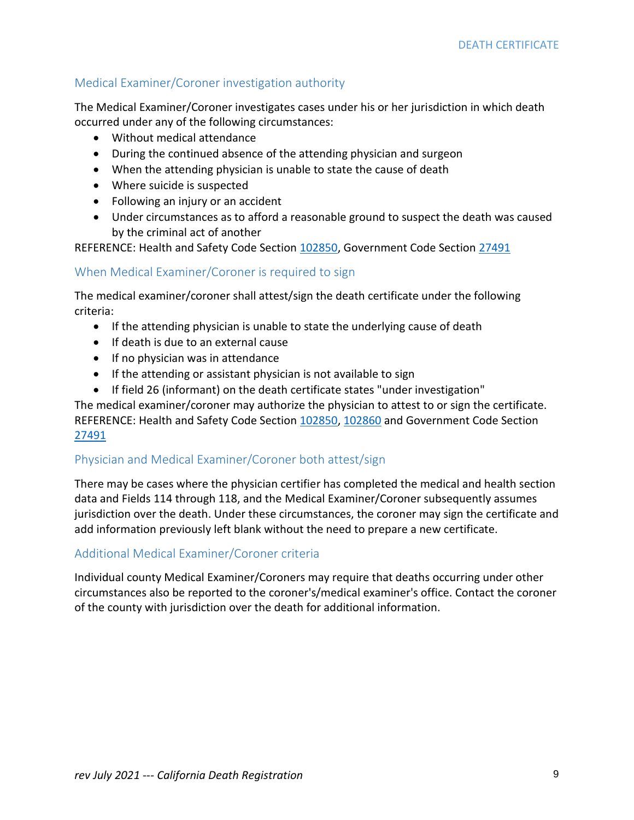### Medical Examiner/Coroner investigation authority

The Medical Examiner/Coroner investigates cases under his or her jurisdiction in which death occurred under any of the following circumstances:

- Without medical attendance
- During the continued absence of the attending physician and surgeon
- When the attending physician is unable to state the cause of death
- Where suicide is suspected
- Following an injury or an accident
- Under circumstances as to afford a reasonable ground to suspect the death was caused by the criminal act of another

REFERENCE: Health and Safety Code Section [102850,](http://leginfo.legislature.ca.gov/faces/codes_displaySection.xhtml?sectionNum=102850&lawCode=HSC) Government Code Section [27491](http://leginfo.legislature.ca.gov/faces/codes_displaySection.xhtml?lawCode=GOV§ionNum=27491.2.)

### When Medical Examiner/Coroner is required to sign

The medical examiner/coroner shall attest/sign the death certificate under the following criteria:

- If the attending physician is unable to state the underlying cause of death
- If death is due to an external cause
- If no physician was in attendance
- If the attending or assistant physician is not available to sign
- If field 26 (informant) on the death certificate states "under investigation"

The medical examiner/coroner may authorize the physician to attest to or sign the certificate. REFERENCE: Health and Safety Code Section [102850,](http://leginfo.legislature.ca.gov/faces/codes_displaySection.xhtml?sectionNum=102850&lawCode=HSC) [102860](http://leginfo.legislature.ca.gov/faces/codes_displaySection.xhtml?lawCode=HSC§ionNum=102860.) and Government Code Section [27491](http://leginfo.legislature.ca.gov/faces/codes_displaySection.xhtml?sectionNum=27491&lawCode=GOV)

### Physician and Medical Examiner/Coroner both attest/sign

There may be cases where the physician certifier has completed the medical and health section data and Fields 114 through 118, and the Medical Examiner/Coroner subsequently assumes jurisdiction over the death. Under these circumstances, the coroner may sign the certificate and add information previously left blank without the need to prepare a new certificate.

### Additional Medical Examiner/Coroner criteria

Individual county Medical Examiner/Coroners may require that deaths occurring under other circumstances also be reported to the coroner's/medical examiner's office. Contact the coroner of the county with jurisdiction over the death for additional information.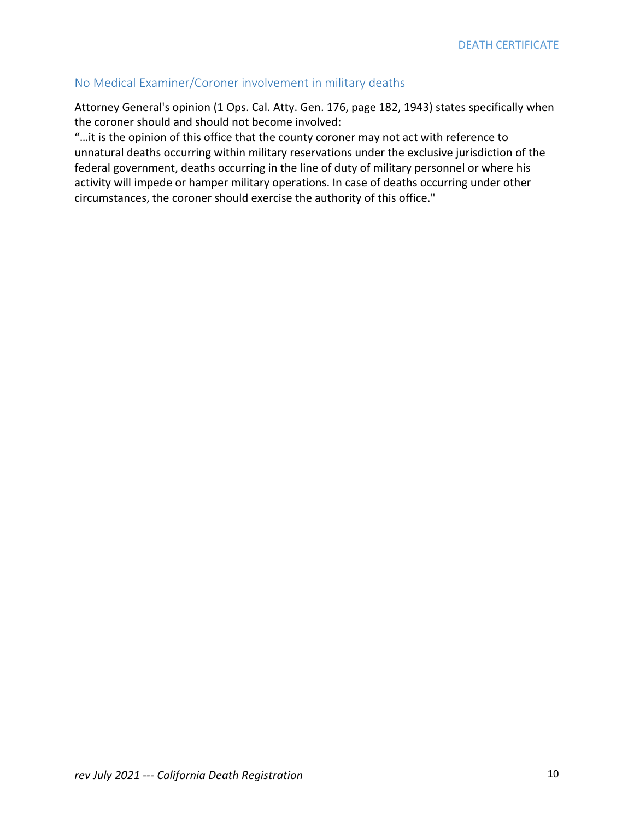### No Medical Examiner/Coroner involvement in military deaths

Attorney General's opinion (1 Ops. Cal. Atty. Gen. 176, page 182, 1943) states specifically when the coroner should and should not become involved:

"…it is the opinion of this office that the county coroner may not act with reference to unnatural deaths occurring within military reservations under the exclusive jurisdiction of the federal government, deaths occurring in the line of duty of military personnel or where his activity will impede or hamper military operations. In case of deaths occurring under other circumstances, the coroner should exercise the authority of this office."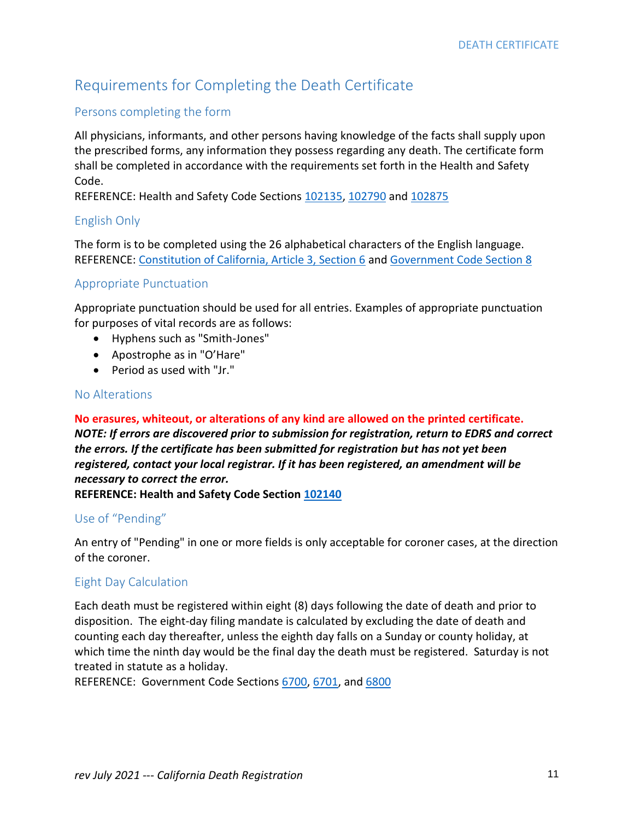# Requirements for Completing the Death Certificate

### Persons completing the form

All physicians, informants, and other persons having knowledge of the facts shall supply upon the prescribed forms, any information they possess regarding any death. The certificate form shall be completed in accordance with the requirements set forth in the Health and Safety Code.

REFERENCE: Health and Safety Code Sections [102135,](http://leginfo.legislature.ca.gov/faces/codes_displaySection.xhtml?sectionNum=102135&lawCode=HSC) [102790](http://leginfo.legislature.ca.gov/faces/codes_displaySection.xhtml?sectionNum=102790&lawCode=HSC) an[d 102875](http://leginfo.legislature.ca.gov/faces/codes_displaySection.xhtml?sectionNum=102875&lawCode=HSC)

#### English Only

The form is to be completed using the 26 alphabetical characters of the English language. REFERENCE: [Constitution of California, Article 3, Section 6](https://leginfo.legislature.ca.gov/faces/codes_displaySection.xhtml?lawCode=CONS§ionNum=SEC.%206.&article=III) and [Government Code Section 8](http://leginfo.legislature.ca.gov/faces/codes_displaySection.xhtml?sectionNum=8&lawCode=GOV)

#### Appropriate Punctuation

Appropriate punctuation should be used for all entries. Examples of appropriate punctuation for purposes of vital records are as follows:

- Hyphens such as "Smith-Jones"
- Apostrophe as in "O'Hare"
- Period as used with "Jr."

#### No Alterations

**No erasures, whiteout, or alterations of any kind are allowed on the printed certificate.**  *NOTE: If errors are discovered prior to submission for registration, return to EDRS and correct the errors. If the certificate has been submitted for registration but has not yet been registered, contact your local registrar. If it has been registered, an amendment will be necessary to correct the error.*

**REFERENCE: Health and Safety Code Section [102140](http://leginfo.legislature.ca.gov/faces/codes_displaySection.xhtml?sectionNum=102140&lawCode=HSC)**

#### Use of "Pending"

An entry of "Pending" in one or more fields is only acceptable for coroner cases, at the direction of the coroner.

#### Eight Day Calculation

Each death must be registered within eight (8) days following the date of death and prior to disposition. The eight-day filing mandate is calculated by excluding the date of death and counting each day thereafter, unless the eighth day falls on a Sunday or county holiday, at which time the ninth day would be the final day the death must be registered. Saturday is not treated in statute as a holiday.

REFERENCE: Government Code Sections [6700,](http://leginfo.legislature.ca.gov/faces/codes_displaySection.xhtml?sectionNum=6700&lawCode=GOV) [6701,](http://leginfo.legislature.ca.gov/faces/codes_displaySection.xhtml?sectionNum=6701&lawCode=GOV) and [6800](http://leginfo.legislature.ca.gov/faces/codes_displaySection.xhtml?sectionNum=6800&lawCode=GOV)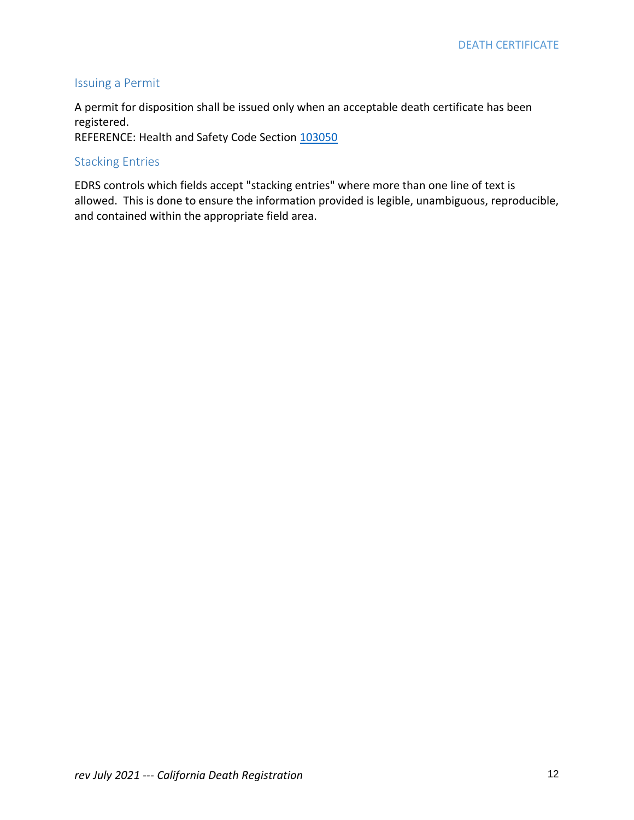### Issuing a Permit

A permit for disposition shall be issued only when an acceptable death certificate has been registered.

REFERENCE: Health and Safety Code Section [103050](http://leginfo.legislature.ca.gov/faces/codes_displaySection.xhtml?sectionNum=103050&lawCode=HSC)

### Stacking Entries

EDRS controls which fields accept "stacking entries" where more than one line of text is allowed. This is done to ensure the information provided is legible, unambiguous, reproducible, and contained within the appropriate field area.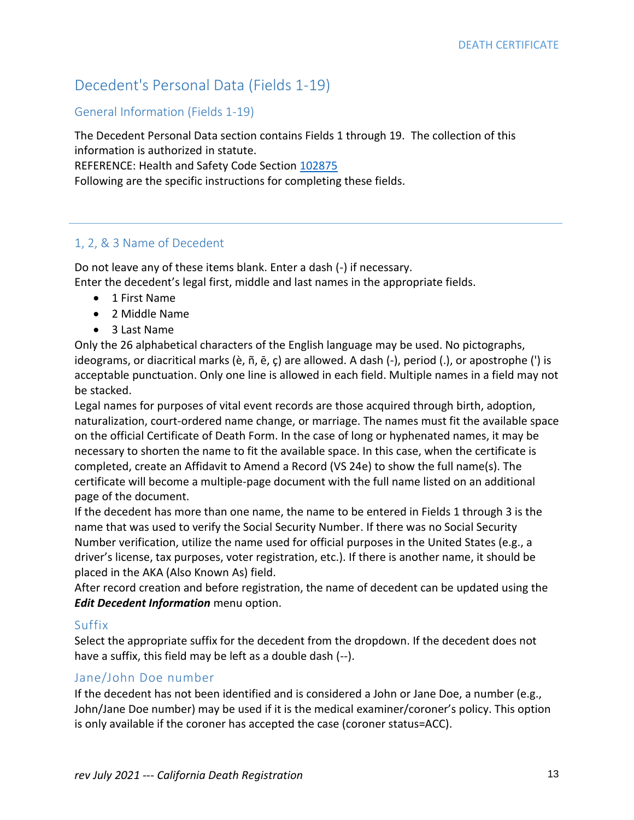# Decedent's Personal Data (Fields 1-19)

### General Information (Fields 1-19)

The Decedent Personal Data section contains Fields 1 through 19. The collection of this information is authorized in statute. REFERENCE: Health and Safety Code Section [102875](http://leginfo.legislature.ca.gov/faces/codes_displaySection.xhtml?sectionNum=102875&lawCode=HSC)

Following are the specific instructions for completing these fields.

### 1, 2, & 3 Name of Decedent

Do not leave any of these items blank. Enter a dash (-) if necessary. Enter the decedent's legal first, middle and last names in the appropriate fields.

- 1 First Name
- 2 Middle Name
- 3 Last Name

Only the 26 alphabetical characters of the English language may be used. No pictographs, ideograms, or diacritical marks (è, ñ, ē, ç) are allowed. A dash (-), period (.), or apostrophe (') is acceptable punctuation. Only one line is allowed in each field. Multiple names in a field may not be stacked.

Legal names for purposes of vital event records are those acquired through birth, adoption, naturalization, court-ordered name change, or marriage. The names must fit the available space on the official Certificate of Death Form. In the case of long or hyphenated names, it may be necessary to shorten the name to fit the available space. In this case, when the certificate is completed, create an Affidavit to Amend a Record (VS 24e) to show the full name(s). The certificate will become a multiple-page document with the full name listed on an additional page of the document.

If the decedent has more than one name, the name to be entered in Fields 1 through 3 is the name that was used to verify the Social Security Number. If there was no Social Security Number verification, utilize the name used for official purposes in the United States (e.g., a driver's license, tax purposes, voter registration, etc.). If there is another name, it should be placed in the AKA (Also Known As) field.

After record creation and before registration, the name of decedent can be updated using the *Edit Decedent Information* menu option.

### Suffix

Select the appropriate suffix for the decedent from the dropdown. If the decedent does not have a suffix, this field may be left as a double dash (--).

### Jane/John Doe number

If the decedent has not been identified and is considered a John or Jane Doe, a number (e.g., John/Jane Doe number) may be used if it is the medical examiner/coroner's policy. This option is only available if the coroner has accepted the case (coroner status=ACC).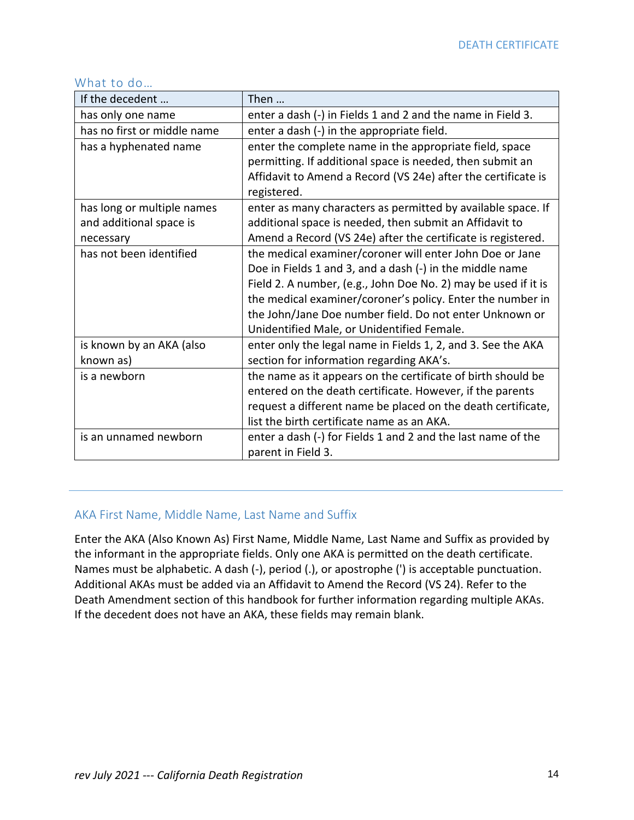### What to do…

| If the decedent                                                           | Then                                                           |
|---------------------------------------------------------------------------|----------------------------------------------------------------|
| has only one name                                                         | enter a dash (-) in Fields 1 and 2 and the name in Field 3.    |
| has no first or middle name                                               | enter a dash (-) in the appropriate field.                     |
| has a hyphenated name                                                     | enter the complete name in the appropriate field, space        |
|                                                                           | permitting. If additional space is needed, then submit an      |
|                                                                           | Affidavit to Amend a Record (VS 24e) after the certificate is  |
|                                                                           | registered.                                                    |
| has long or multiple names                                                | enter as many characters as permitted by available space. If   |
| and additional space is                                                   | additional space is needed, then submit an Affidavit to        |
| Amend a Record (VS 24e) after the certificate is registered.<br>necessary |                                                                |
| has not been identified                                                   | the medical examiner/coroner will enter John Doe or Jane       |
|                                                                           | Doe in Fields 1 and 3, and a dash (-) in the middle name       |
|                                                                           | Field 2. A number, (e.g., John Doe No. 2) may be used if it is |
|                                                                           | the medical examiner/coroner's policy. Enter the number in     |
|                                                                           | the John/Jane Doe number field. Do not enter Unknown or        |
|                                                                           | Unidentified Male, or Unidentified Female.                     |
| is known by an AKA (also                                                  | enter only the legal name in Fields 1, 2, and 3. See the AKA   |
| known as)                                                                 | section for information regarding AKA's.                       |
| is a newborn                                                              | the name as it appears on the certificate of birth should be   |
|                                                                           | entered on the death certificate. However, if the parents      |
|                                                                           | request a different name be placed on the death certificate,   |
|                                                                           | list the birth certificate name as an AKA.                     |
| is an unnamed newborn                                                     | enter a dash (-) for Fields 1 and 2 and the last name of the   |
|                                                                           | parent in Field 3.                                             |

### AKA First Name, Middle Name, Last Name and Suffix

Enter the AKA (Also Known As) First Name, Middle Name, Last Name and Suffix as provided by the informant in the appropriate fields. Only one AKA is permitted on the death certificate. Names must be alphabetic. A dash (-), period (.), or apostrophe (') is acceptable punctuation. Additional AKAs must be added via an Affidavit to Amend the Record (VS 24). Refer to the Death Amendment section of this handbook for further information regarding multiple AKAs. If the decedent does not have an AKA, these fields may remain blank.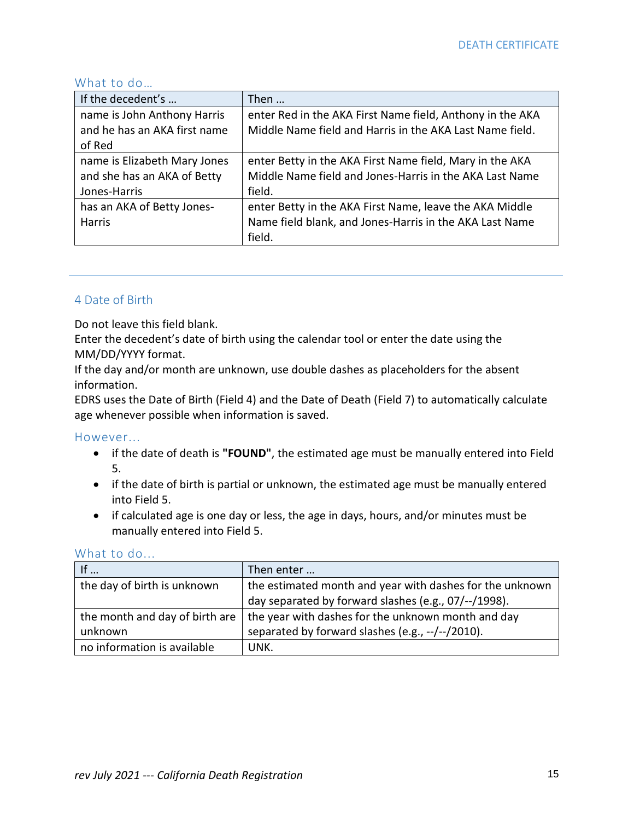### What to do…

| If the decedent's            | Then                                                      |  |
|------------------------------|-----------------------------------------------------------|--|
| name is John Anthony Harris  | enter Red in the AKA First Name field, Anthony in the AKA |  |
| and he has an AKA first name | Middle Name field and Harris in the AKA Last Name field.  |  |
| of Red                       |                                                           |  |
| name is Elizabeth Mary Jones | enter Betty in the AKA First Name field, Mary in the AKA  |  |
| and she has an AKA of Betty  | Middle Name field and Jones-Harris in the AKA Last Name   |  |
| Jones-Harris                 | field.                                                    |  |
| has an AKA of Betty Jones-   | enter Betty in the AKA First Name, leave the AKA Middle   |  |
| <b>Harris</b>                | Name field blank, and Jones-Harris in the AKA Last Name   |  |
|                              | field.                                                    |  |

### 4 Date of Birth

Do not leave this field blank.

Enter the decedent's date of birth using the calendar tool or enter the date using the MM/DD/YYYY format.

If the day and/or month are unknown, use double dashes as placeholders for the absent information.

EDRS uses the Date of Birth (Field 4) and the Date of Death (Field 7) to automatically calculate age whenever possible when information is saved.

#### However...

- if the date of death is **"FOUND"**, the estimated age must be manually entered into Field 5.
- if the date of birth is partial or unknown, the estimated age must be manually entered into Field 5.
- if calculated age is one day or less, the age in days, hours, and/or minutes must be manually entered into Field 5.

|                                | Then enter                                               |
|--------------------------------|----------------------------------------------------------|
| the day of birth is unknown    | the estimated month and year with dashes for the unknown |
|                                | day separated by forward slashes (e.g., 07/--/1998).     |
| the month and day of birth are | the year with dashes for the unknown month and day       |
| unknown                        | separated by forward slashes (e.g., --/--/2010).         |
| no information is available    | UNK.                                                     |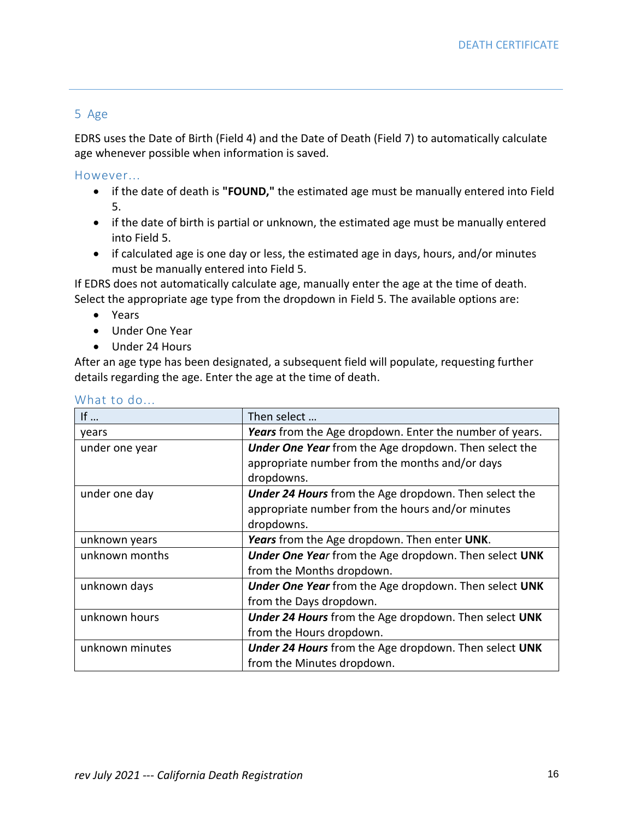### 5 Age

EDRS uses the Date of Birth (Field 4) and the Date of Death (Field 7) to automatically calculate age whenever possible when information is saved.

However...

- if the date of death is **"FOUND,"** the estimated age must be manually entered into Field 5.
- if the date of birth is partial or unknown, the estimated age must be manually entered into Field 5.
- if calculated age is one day or less, the estimated age in days, hours, and/or minutes must be manually entered into Field 5.

If EDRS does not automatically calculate age, manually enter the age at the time of death. Select the appropriate age type from the dropdown in Field 5. The available options are:

- Years
- Under One Year
- Under 24 Hours

After an age type has been designated, a subsequent field will populate, requesting further details regarding the age. Enter the age at the time of death.

| If $\ldots$     | Then select                                                  |  |
|-----------------|--------------------------------------------------------------|--|
| years           | Years from the Age dropdown. Enter the number of years.      |  |
| under one year  | <b>Under One Year</b> from the Age dropdown. Then select the |  |
|                 | appropriate number from the months and/or days               |  |
|                 | dropdowns.                                                   |  |
| under one day   | <b>Under 24 Hours</b> from the Age dropdown. Then select the |  |
|                 | appropriate number from the hours and/or minutes             |  |
|                 | dropdowns.                                                   |  |
| unknown years   | Years from the Age dropdown. Then enter UNK.                 |  |
| unknown months  | <b>Under One Year from the Age dropdown. Then select UNK</b> |  |
|                 | from the Months dropdown.                                    |  |
| unknown days    | Under One Year from the Age dropdown. Then select UNK        |  |
|                 | from the Days dropdown.                                      |  |
| unknown hours   | <b>Under 24 Hours</b> from the Age dropdown. Then select UNK |  |
|                 | from the Hours dropdown.                                     |  |
| unknown minutes | <b>Under 24 Hours</b> from the Age dropdown. Then select UNK |  |
|                 | from the Minutes dropdown.                                   |  |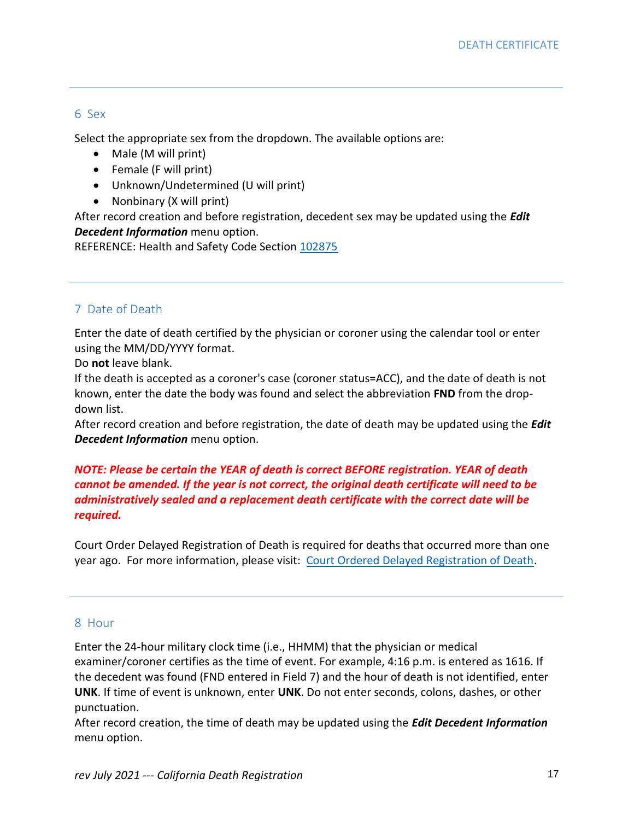#### 6 Sex

Select the appropriate sex from the dropdown. The available options are:

- Male (M will print)
- Female (F will print)
- Unknown/Undetermined (U will print)
- Nonbinary (X will print)

After record creation and before registration, decedent sex may be updated using the *Edit Decedent Information* menu option.

REFERENCE: Health and Safety Code Section [102875](http://leginfo.legislature.ca.gov/faces/codes_displaySection.xhtml?sectionNum=102875&lawCode=HSC)

### 7 Date of Death

Enter the date of death certified by the physician or coroner using the calendar tool or enter using the MM/DD/YYYY format.

Do **not** leave blank.

If the death is accepted as a coroner's case (coroner status=ACC), and the date of death is not known, enter the date the body was found and select the abbreviation **FND** from the dropdown list.

After record creation and before registration, the date of death may be updated using the *Edit Decedent Information* menu option.

### *NOTE: Please be certain the YEAR of death is correct BEFORE registration. YEAR of death cannot be amended. If the year is not correct, the original death certificate will need to be administratively sealed and a replacement death certificate with the correct date will be required.*

Court Order Delayed Registration of Death is required for deaths that occurred more than one year ago. For more information, please visit: [Court Ordered Delayed Registration of Death.](https://www.cdph.ca.gov/Programs/CHSI/CDPH%20Document%20Library/ADA_COD%20Death%20(01-18).pdf)

### 8 Hour

Enter the 24-hour military clock time (i.e., HHMM) that the physician or medical examiner/coroner certifies as the time of event. For example, 4:16 p.m. is entered as 1616. If the decedent was found (FND entered in Field 7) and the hour of death is not identified, enter **UNK**. If time of event is unknown, enter **UNK**. Do not enter seconds, colons, dashes, or other punctuation.

After record creation, the time of death may be updated using the *Edit Decedent Information* menu option.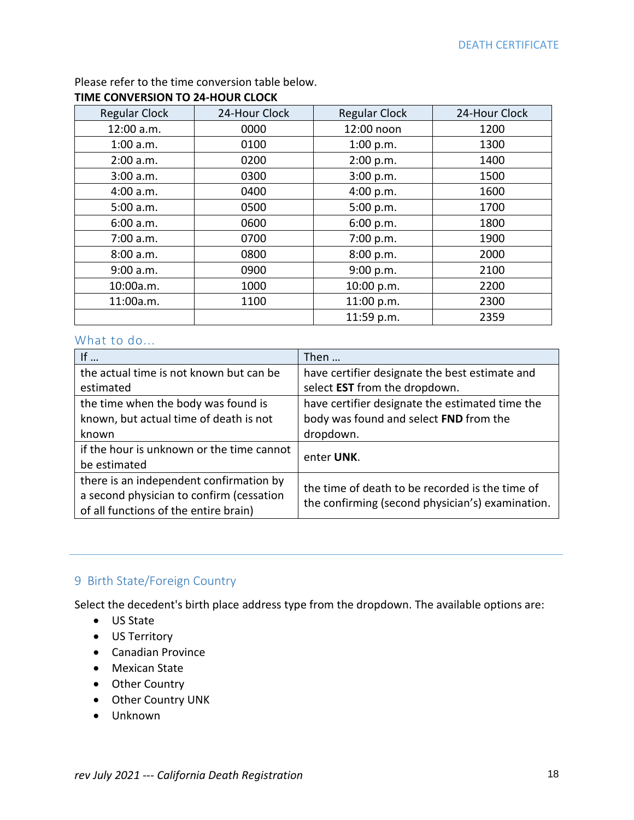Please refer to the time conversion table below.

### **TIME CONVERSION TO 24-HOUR CLOCK**

| <b>Regular Clock</b> | 24-Hour Clock | <b>Regular Clock</b> | 24-Hour Clock |
|----------------------|---------------|----------------------|---------------|
| 12:00 a.m.           | 0000          | 12:00 noon           | 1200          |
| $1:00$ a.m.          | 0100          | 1:00 p.m.            | 1300          |
| 2:00 a.m.            | 0200          | 2:00 p.m.            | 1400          |
| 3:00 a.m.            | 0300          | 3:00 p.m.            | 1500          |
| 4:00 a.m.            | 0400          | 4:00 p.m.            | 1600          |
| 5:00 a.m.            | 0500          | 5:00 p.m.            | 1700          |
| 6:00 a.m.            | 0600          | 6:00 p.m.            | 1800          |
| 7:00 a.m.            | 0700          | 7:00 p.m.            | 1900          |
| 8:00 a.m.            | 0800          | 8:00 p.m.            | 2000          |
| 9:00 a.m.            | 0900          | 9:00 p.m.            | 2100          |
| 10:00a.m.            | 1000          | 10:00 p.m.           | 2200          |
| 11:00a.m.            | 1100          | 11:00 p.m.           | 2300          |
|                      |               | 11:59 p.m.           | 2359          |

### What to do...

| If $\ldots$                               | Then                                             |  |
|-------------------------------------------|--------------------------------------------------|--|
| the actual time is not known but can be   | have certifier designate the best estimate and   |  |
| estimated                                 | select EST from the dropdown.                    |  |
| the time when the body was found is       | have certifier designate the estimated time the  |  |
| known, but actual time of death is not    | body was found and select FND from the           |  |
| known                                     | dropdown.                                        |  |
| if the hour is unknown or the time cannot | enter UNK.                                       |  |
| be estimated                              |                                                  |  |
| there is an independent confirmation by   | the time of death to be recorded is the time of  |  |
| a second physician to confirm (cessation  | the confirming (second physician's) examination. |  |
| of all functions of the entire brain)     |                                                  |  |

### 9 Birth State/Foreign Country

Select the decedent's birth place address type from the dropdown. The available options are:

- US State
- US Territory
- Canadian Province
- Mexican State
- Other Country
- Other Country UNK
- Unknown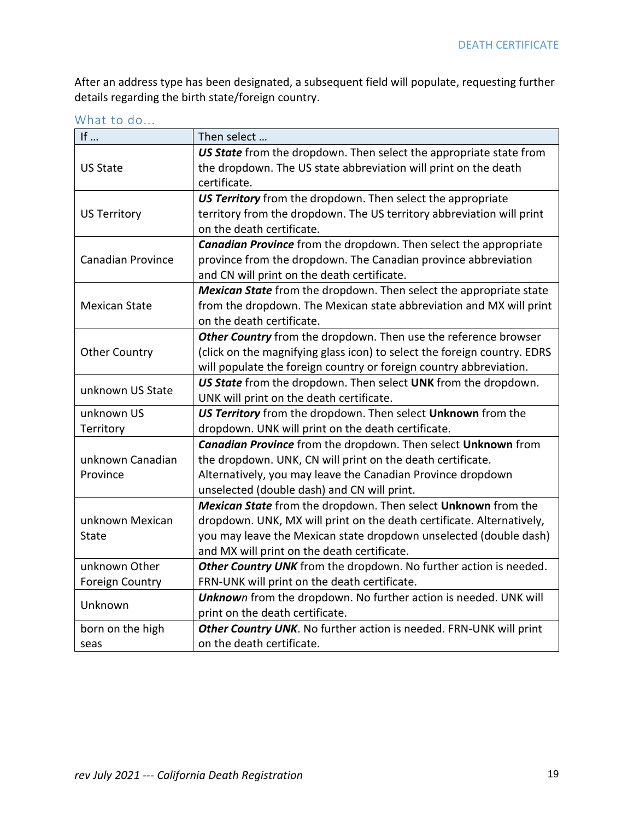After an address type has been designated, a subsequent field will populate, requesting further details regarding the birth state/foreign country.

| If $\ldots$<br>Then select |                                                                          |
|----------------------------|--------------------------------------------------------------------------|
|                            | US State from the dropdown. Then select the appropriate state from       |
| <b>US State</b>            | the dropdown. The US state abbreviation will print on the death          |
|                            | certificate.                                                             |
|                            | US Territory from the dropdown. Then select the appropriate              |
| <b>US Territory</b>        | territory from the dropdown. The US territory abbreviation will print    |
|                            | on the death certificate.                                                |
|                            | <b>Canadian Province</b> from the dropdown. Then select the appropriate  |
| <b>Canadian Province</b>   | province from the dropdown. The Canadian province abbreviation           |
|                            | and CN will print on the death certificate.                              |
|                            | Mexican State from the dropdown. Then select the appropriate state       |
| <b>Mexican State</b>       | from the dropdown. The Mexican state abbreviation and MX will print      |
|                            | on the death certificate.                                                |
|                            | Other Country from the dropdown. Then use the reference browser          |
| <b>Other Country</b>       | (click on the magnifying glass icon) to select the foreign country. EDRS |
|                            | will populate the foreign country or foreign country abbreviation.       |
| unknown US State           | US State from the dropdown. Then select UNK from the dropdown.           |
|                            | UNK will print on the death certificate.                                 |
| unknown US                 | US Territory from the dropdown. Then select Unknown from the             |
| Territory                  | dropdown. UNK will print on the death certificate.                       |
|                            | <b>Canadian Province</b> from the dropdown. Then select Unknown from     |
| unknown Canadian           | the dropdown. UNK, CN will print on the death certificate.               |
| Province                   | Alternatively, you may leave the Canadian Province dropdown              |
|                            | unselected (double dash) and CN will print.                              |
|                            | Mexican State from the dropdown. Then select Unknown from the            |
| unknown Mexican            | dropdown. UNK, MX will print on the death certificate. Alternatively,    |
| <b>State</b>               | you may leave the Mexican state dropdown unselected (double dash)        |
|                            | and MX will print on the death certificate.                              |
| unknown Other              | Other Country UNK from the dropdown. No further action is needed.        |
| <b>Foreign Country</b>     | FRN-UNK will print on the death certificate.                             |
|                            | Unknown from the dropdown. No further action is needed. UNK will         |
| Unknown                    | print on the death certificate.                                          |
| born on the high           | Other Country UNK. No further action is needed. FRN-UNK will print       |
| seas                       | on the death certificate.                                                |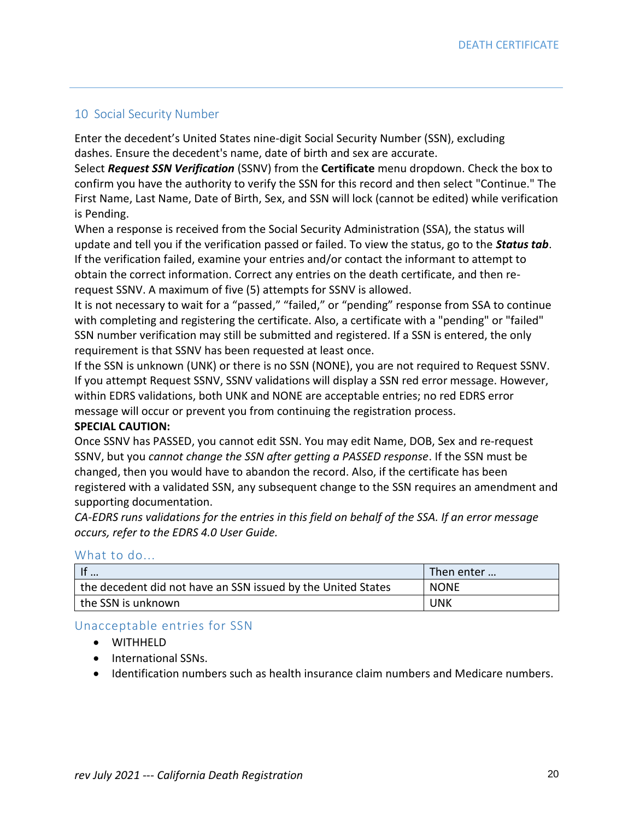### 10 Social Security Number

Enter the decedent's United States nine-digit Social Security Number (SSN), excluding dashes. Ensure the decedent's name, date of birth and sex are accurate.

Select *Request SSN Verification* (SSNV) from the **Certificate** menu dropdown. Check the box to confirm you have the authority to verify the SSN for this record and then select "Continue." The First Name, Last Name, Date of Birth, Sex, and SSN will lock (cannot be edited) while verification is Pending.

When a response is received from the Social Security Administration (SSA), the status will update and tell you if the verification passed or failed. To view the status, go to the *Status tab*. If the verification failed, examine your entries and/or contact the informant to attempt to obtain the correct information. Correct any entries on the death certificate, and then rerequest SSNV. A maximum of five (5) attempts for SSNV is allowed.

It is not necessary to wait for a "passed," "failed," or "pending" response from SSA to continue with completing and registering the certificate. Also, a certificate with a "pending" or "failed" SSN number verification may still be submitted and registered. If a SSN is entered, the only requirement is that SSNV has been requested at least once.

If the SSN is unknown (UNK) or there is no SSN (NONE), you are not required to Request SSNV. If you attempt Request SSNV, SSNV validations will display a SSN red error message. However, within EDRS validations, both UNK and NONE are acceptable entries; no red EDRS error message will occur or prevent you from continuing the registration process.

#### **SPECIAL CAUTION:**

Once SSNV has PASSED, you cannot edit SSN. You may edit Name, DOB, Sex and re-request SSNV, but you *cannot change the SSN after getting a PASSED response*. If the SSN must be changed, then you would have to abandon the record. Also, if the certificate has been registered with a validated SSN, any subsequent change to the SSN requires an amendment and supporting documentation.

*CA-EDRS runs validations for the entries in this field on behalf of the SSA. If an error message occurs, refer to the EDRS 4.0 User Guide.*

#### What to do...

| $\mathsf{H}$                                                 | Then enter  |
|--------------------------------------------------------------|-------------|
| the decedent did not have an SSN issued by the United States | <b>NONE</b> |
| I the SSN is unknown                                         | <b>UNK</b>  |

### Unacceptable entries for SSN

- WITHHELD
- International SSNs.
- Identification numbers such as health insurance claim numbers and Medicare numbers.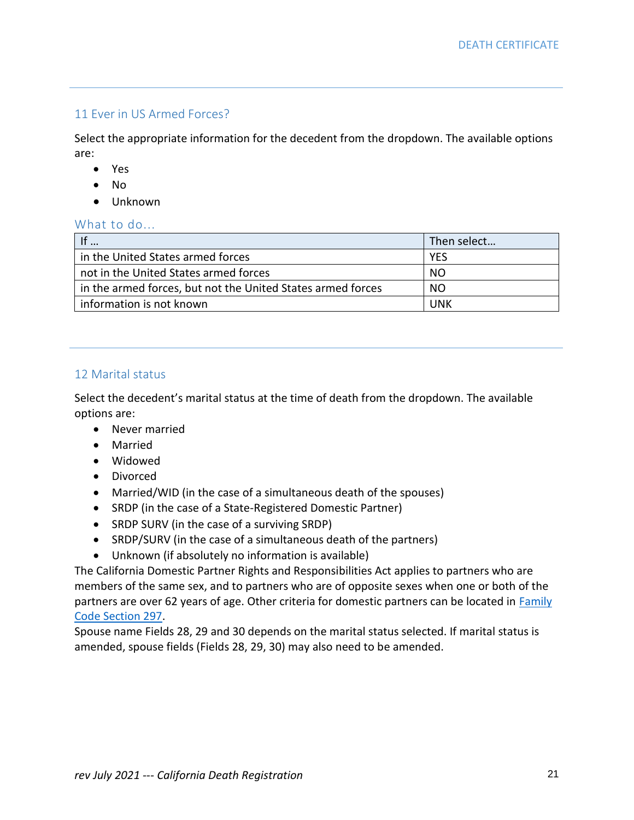### 11 Ever in US Armed Forces?

Select the appropriate information for the decedent from the dropdown. The available options are:

- Yes
- No
- Unknown

### What to do...

|                                                             | Then select |
|-------------------------------------------------------------|-------------|
| in the United States armed forces                           | <b>YES</b>  |
| not in the United States armed forces                       | NO.         |
| in the armed forces, but not the United States armed forces | NO.         |
| information is not known                                    | UNK         |

#### 12 Marital status

Select the decedent's marital status at the time of death from the dropdown. The available options are:

- Never married
- Married
- Widowed
- Divorced
- Married/WID (in the case of a simultaneous death of the spouses)
- SRDP (in the case of a State-Registered Domestic Partner)
- SRDP SURV (in the case of a surviving SRDP)
- SRDP/SURV (in the case of a simultaneous death of the partners)
- Unknown (if absolutely no information is available)

The California Domestic Partner Rights and Responsibilities Act applies to partners who are members of the same sex, and to partners who are of opposite sexes when one or both of the partners are over 62 years of age. Other criteria for domestic partners can be located in Family [Code Section 297.](http://leginfo.legislature.ca.gov/faces/codes_displaySection.xhtml?sectionNum=297&lawCode=FAM)

Spouse name Fields 28, 29 and 30 depends on the marital status selected. If marital status is amended, spouse fields (Fields 28, 29, 30) may also need to be amended.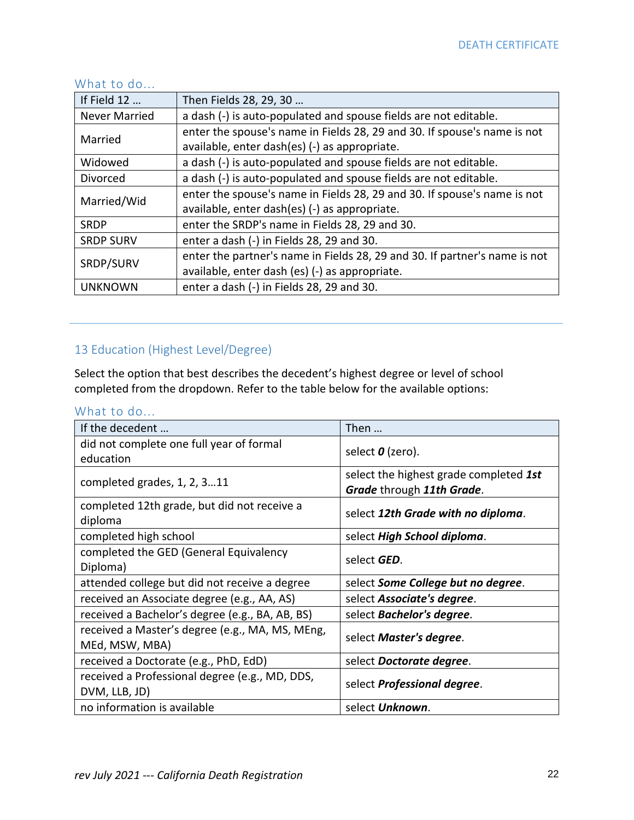### What to do...

| If Field 12          | Then Fields 28, 29, 30                                                     |  |
|----------------------|----------------------------------------------------------------------------|--|
| <b>Never Married</b> | a dash (-) is auto-populated and spouse fields are not editable.           |  |
| Married              | enter the spouse's name in Fields 28, 29 and 30. If spouse's name is not   |  |
|                      | available, enter dash(es) (-) as appropriate.                              |  |
| Widowed              | a dash (-) is auto-populated and spouse fields are not editable.           |  |
| Divorced             | a dash (-) is auto-populated and spouse fields are not editable.           |  |
| Married/Wid          | enter the spouse's name in Fields 28, 29 and 30. If spouse's name is not   |  |
|                      | available, enter dash(es) (-) as appropriate.                              |  |
| <b>SRDP</b>          | enter the SRDP's name in Fields 28, 29 and 30.                             |  |
| <b>SRDP SURV</b>     | enter a dash (-) in Fields 28, 29 and 30.                                  |  |
| SRDP/SURV            | enter the partner's name in Fields 28, 29 and 30. If partner's name is not |  |
|                      | available, enter dash (es) (-) as appropriate.                             |  |
| <b>UNKNOWN</b>       | enter a dash (-) in Fields 28, 29 and 30.                                  |  |

## 13 Education (Highest Level/Degree)

Select the option that best describes the decedent's highest degree or level of school completed from the dropdown. Refer to the table below for the available options:

| If the decedent                                        | Then                                                                |  |
|--------------------------------------------------------|---------------------------------------------------------------------|--|
| did not complete one full year of formal               | select $\boldsymbol{0}$ (zero).                                     |  |
| education                                              |                                                                     |  |
| completed grades, 1, 2, 311                            | select the highest grade completed 1st<br>Grade through 11th Grade. |  |
| completed 12th grade, but did not receive a<br>diploma | select 12th Grade with no diploma.                                  |  |
| completed high school                                  | select High School diploma.                                         |  |
| completed the GED (General Equivalency                 | select <b>GED</b> .                                                 |  |
| Diploma)                                               |                                                                     |  |
| attended college but did not receive a degree          | select Some College but no degree.                                  |  |
| received an Associate degree (e.g., AA, AS)            | select Associate's degree.                                          |  |
| received a Bachelor's degree (e.g., BA, AB, BS)        | select Bachelor's degree.                                           |  |
| received a Master's degree (e.g., MA, MS, MEng,        | select Master's degree.                                             |  |
| MEd, MSW, MBA)                                         |                                                                     |  |
| received a Doctorate (e.g., PhD, EdD)                  | select Doctorate degree.                                            |  |
| received a Professional degree (e.g., MD, DDS,         | select <b>Professional degree</b> .                                 |  |
| DVM, LLB, JD)                                          |                                                                     |  |
| no information is available                            | select Unknown.                                                     |  |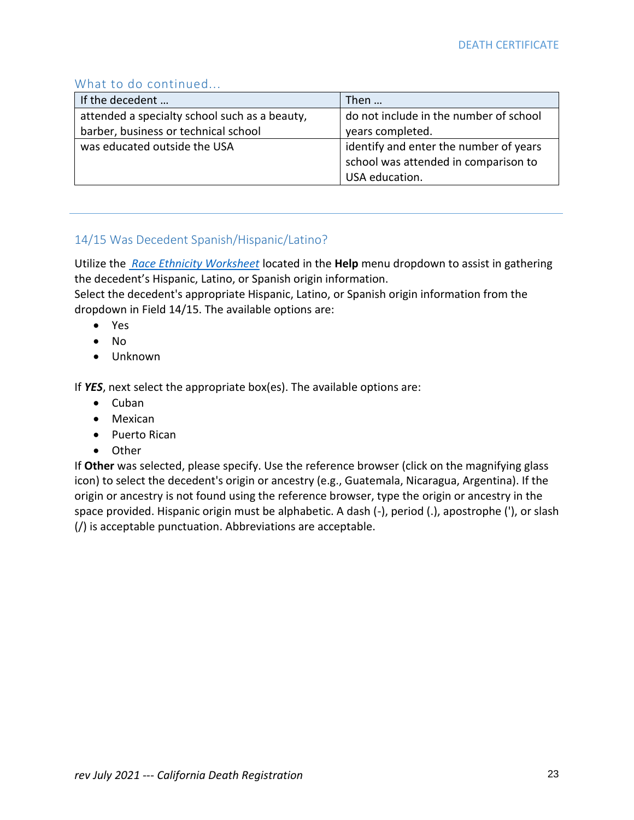### What to do continued...

| If the decedent                               | Then                                   |
|-----------------------------------------------|----------------------------------------|
| attended a specialty school such as a beauty, | do not include in the number of school |
| barber, business or technical school          | years completed.                       |
| was educated outside the USA                  | identify and enter the number of years |
|                                               | school was attended in comparison to   |
|                                               | USA education.                         |

### 14/15 Was Decedent Spanish/Hispanic/Latino?

Utilize the *Race [Ethnicity Worksheet](file:///C:/Users/hlao/AppData/Local/Microsoft/Windows/INetCache/Content.Outlook/02D5XGME/DecedentRaceEthnicityWorksheet.pdf)* located in the **Help** menu dropdown to assist in gathering the decedent's Hispanic, Latino, or Spanish origin information.

Select the decedent's appropriate Hispanic, Latino, or Spanish origin information from the dropdown in Field 14/15. The available options are:

- Yes
- No
- Unknown

If *YES*, next select the appropriate box(es). The available options are:

- Cuban
- Mexican
- Puerto Rican
- Other

If **Other** was selected, please specify. Use the reference browser (click on the magnifying glass icon) to select the decedent's origin or ancestry (e.g., Guatemala, Nicaragua, Argentina). If the origin or ancestry is not found using the reference browser, type the origin or ancestry in the space provided. Hispanic origin must be alphabetic. A dash (-), period (.), apostrophe ('), or slash (/) is acceptable punctuation. Abbreviations are acceptable.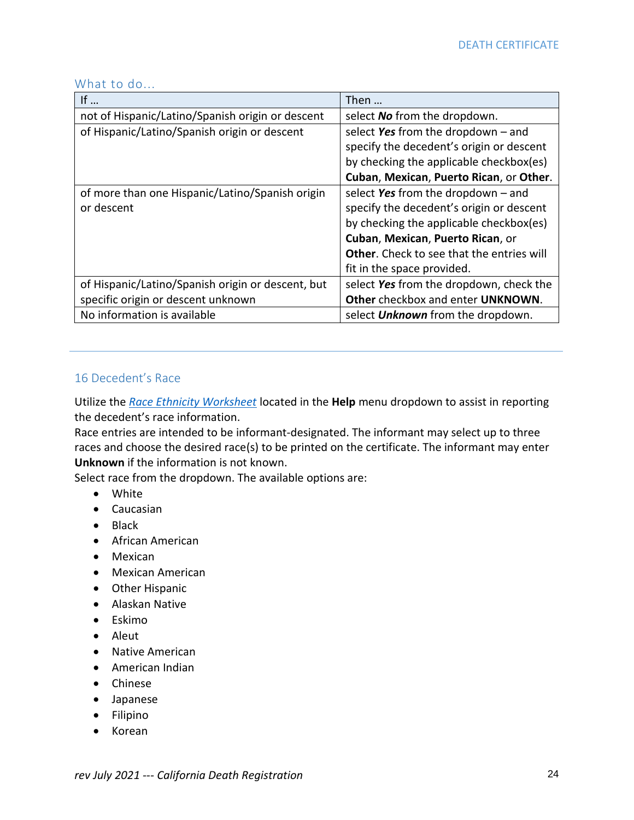| If $\ldots$                                       | Then                                             |
|---------------------------------------------------|--------------------------------------------------|
| not of Hispanic/Latino/Spanish origin or descent  | select No from the dropdown.                     |
| of Hispanic/Latino/Spanish origin or descent      | select Yes from the dropdown $-$ and             |
|                                                   | specify the decedent's origin or descent         |
|                                                   | by checking the applicable checkbox(es)          |
|                                                   | Cuban, Mexican, Puerto Rican, or Other.          |
| of more than one Hispanic/Latino/Spanish origin   | select Yes from the dropdown $-$ and             |
| or descent                                        | specify the decedent's origin or descent         |
|                                                   | by checking the applicable checkbox(es)          |
|                                                   | Cuban, Mexican, Puerto Rican, or                 |
|                                                   | <b>Other.</b> Check to see that the entries will |
|                                                   | fit in the space provided.                       |
| of Hispanic/Latino/Spanish origin or descent, but | select Yes from the dropdown, check the          |
| specific origin or descent unknown                | Other checkbox and enter UNKNOWN.                |
| No information is available                       | select <b>Unknown</b> from the dropdown.         |

#### What to do...

### 16 Decedent's Race

Utilize the *Race [Ethnicity Worksheet](file:///C:/Users/hlao/AppData/Local/Microsoft/Windows/INetCache/Content.Outlook/02D5XGME/DecedentRaceEthnicityWorksheet.pdf)* located in the **Help** menu dropdown to assist in reporting the decedent's race information.

Race entries are intended to be informant-designated. The informant may select up to three races and choose the desired race(s) to be printed on the certificate. The informant may enter **Unknown** if the information is not known.

Select race from the dropdown. The available options are:

- White
- Caucasian
- Black
- African American
- Mexican
- Mexican American
- Other Hispanic
- Alaskan Native
- Eskimo
- Aleut
- Native American
- American Indian
- Chinese
- Japanese
- Filipino
- Korean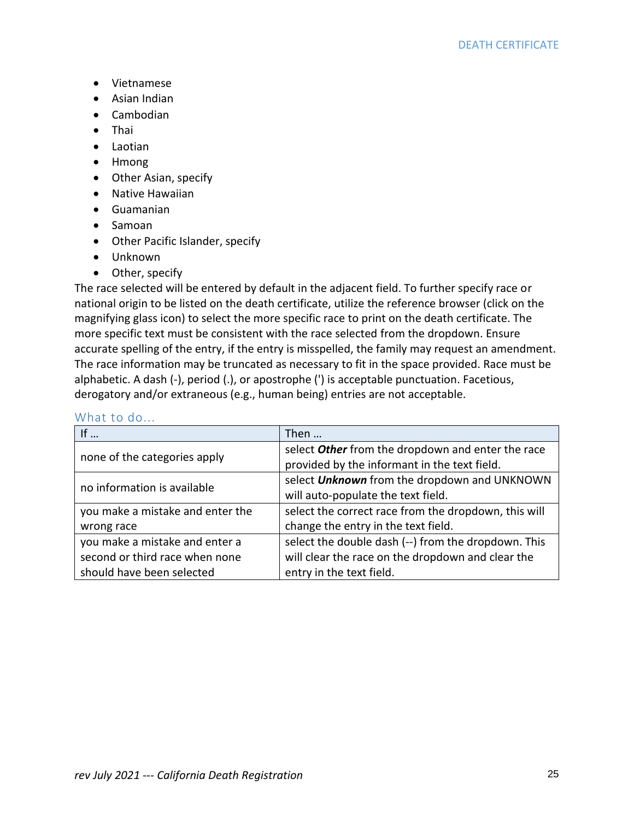- Vietnamese
- Asian Indian
- Cambodian
- Thai
- Laotian
- Hmong
- Other Asian, specify
- Native Hawaiian
- Guamanian
- Samoan
- Other Pacific Islander, specify
- Unknown
- Other, specify

The race selected will be entered by default in the adjacent field. To further specify race or national origin to be listed on the death certificate, utilize the reference browser (click on the magnifying glass icon) to select the more specific race to print on the death certificate. The more specific text must be consistent with the race selected from the dropdown. Ensure accurate spelling of the entry, if the entry is misspelled, the family may request an amendment. The race information may be truncated as necessary to fit in the space provided. Race must be alphabetic. A dash (-), period (.), or apostrophe (') is acceptable punctuation. Facetious, derogatory and/or extraneous (e.g., human being) entries are not acceptable.

| If $\ldots$                      | Then                                                 |
|----------------------------------|------------------------------------------------------|
| none of the categories apply     | select Other from the dropdown and enter the race    |
|                                  | provided by the informant in the text field.         |
|                                  | select Unknown from the dropdown and UNKNOWN         |
| no information is available      | will auto-populate the text field.                   |
| you make a mistake and enter the | select the correct race from the dropdown, this will |
| wrong race                       | change the entry in the text field.                  |
| you make a mistake and enter a   | select the double dash (--) from the dropdown. This  |
| second or third race when none   | will clear the race on the dropdown and clear the    |
| should have been selected        | entry in the text field.                             |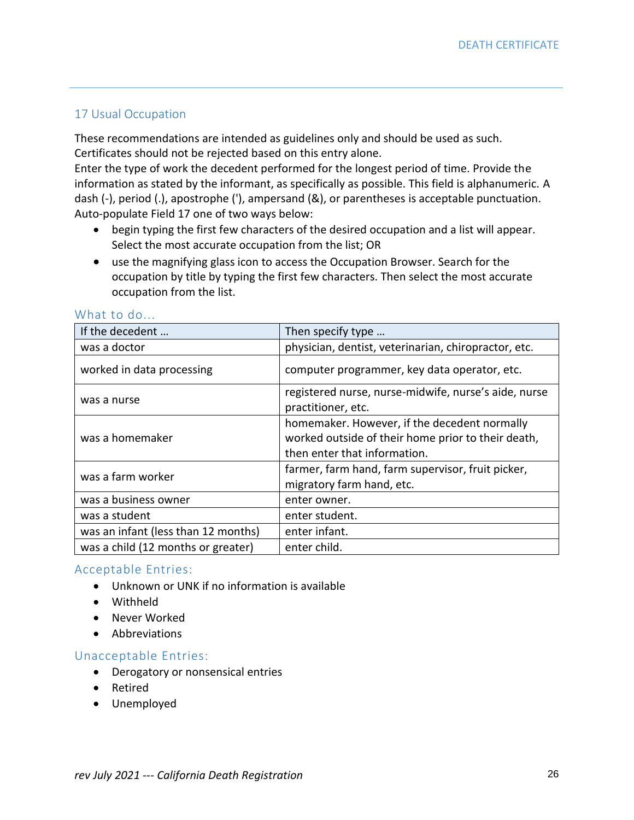### 17 Usual Occupation

These recommendations are intended as guidelines only and should be used as such. Certificates should not be rejected based on this entry alone.

Enter the type of work the decedent performed for the longest period of time. Provide the information as stated by the informant, as specifically as possible. This field is alphanumeric. A dash (-), period (.), apostrophe ('), ampersand (&), or parentheses is acceptable punctuation. Auto-populate Field 17 one of two ways below:

- begin typing the first few characters of the desired occupation and a list will appear. Select the most accurate occupation from the list; OR
- use the magnifying glass icon to access the Occupation Browser. Search for the occupation by title by typing the first few characters. Then select the most accurate occupation from the list.

| If the decedent                     | Then specify type                                                                                                                  |
|-------------------------------------|------------------------------------------------------------------------------------------------------------------------------------|
| was a doctor                        | physician, dentist, veterinarian, chiropractor, etc.                                                                               |
| worked in data processing           | computer programmer, key data operator, etc.                                                                                       |
| was a nurse                         | registered nurse, nurse-midwife, nurse's aide, nurse<br>practitioner, etc.                                                         |
| was a homemaker                     | homemaker. However, if the decedent normally<br>worked outside of their home prior to their death,<br>then enter that information. |
| was a farm worker                   | farmer, farm hand, farm supervisor, fruit picker,<br>migratory farm hand, etc.                                                     |
| was a business owner                | enter owner.                                                                                                                       |
| was a student                       | enter student.                                                                                                                     |
| was an infant (less than 12 months) | enter infant.                                                                                                                      |
| was a child (12 months or greater)  | enter child.                                                                                                                       |

### What to do...

### Acceptable Entries:

- Unknown or UNK if no information is available
- Withheld
- Never Worked
- Abbreviations

### Unacceptable Entries:

- Derogatory or nonsensical entries
- Retired
- Unemployed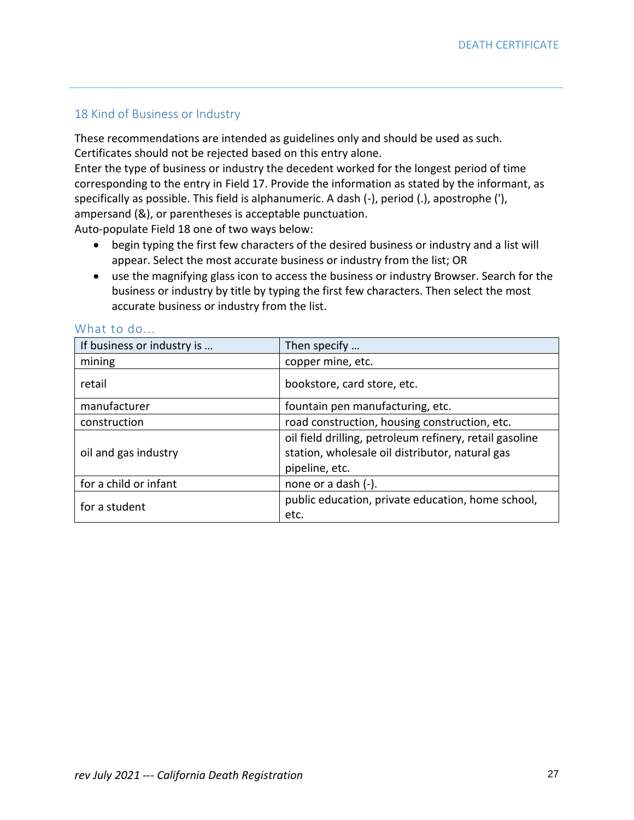### 18 Kind of Business or Industry

These recommendations are intended as guidelines only and should be used as such. Certificates should not be rejected based on this entry alone.

Enter the type of business or industry the decedent worked for the longest period of time corresponding to the entry in Field 17. Provide the information as stated by the informant, as specifically as possible. This field is alphanumeric. A dash (-), period (.), apostrophe ('), ampersand (&), or parentheses is acceptable punctuation.

Auto-populate Field 18 one of two ways below:

- begin typing the first few characters of the desired business or industry and a list will appear. Select the most accurate business or industry from the list; OR
- use the magnifying glass icon to access the business or industry Browser. Search for the business or industry by title by typing the first few characters. Then select the most accurate business or industry from the list.

| If business or industry is | Then specify                                            |
|----------------------------|---------------------------------------------------------|
| mining                     | copper mine, etc.                                       |
| retail                     | bookstore, card store, etc.                             |
| manufacturer               | fountain pen manufacturing, etc.                        |
| construction               | road construction, housing construction, etc.           |
|                            | oil field drilling, petroleum refinery, retail gasoline |
| oil and gas industry       | station, wholesale oil distributor, natural gas         |
|                            | pipeline, etc.                                          |
| for a child or infant      | none or a dash (-).                                     |
| for a student              | public education, private education, home school,       |
|                            | etc.                                                    |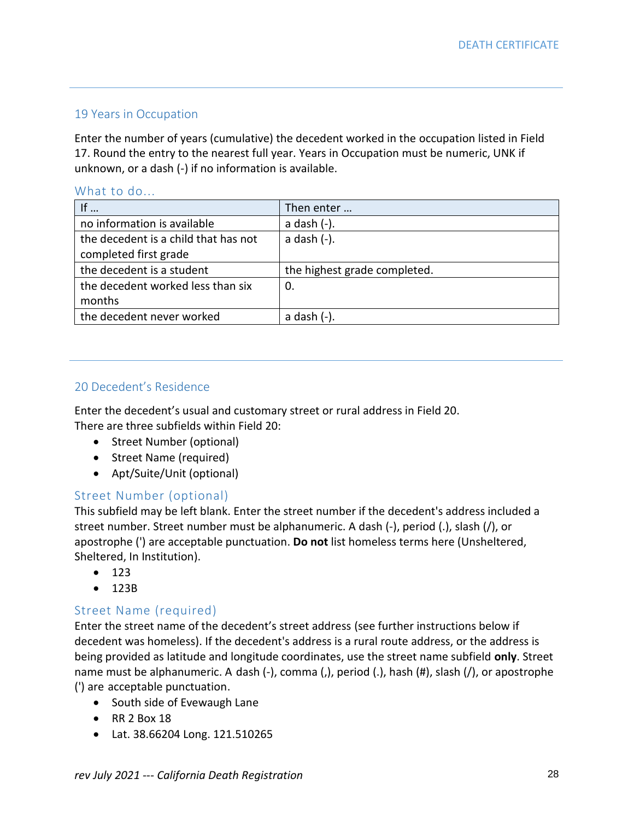### 19 Years in Occupation

Enter the number of years (cumulative) the decedent worked in the occupation listed in Field 17. Round the entry to the nearest full year. Years in Occupation must be numeric, UNK if unknown, or a dash (-) if no information is available.

#### What to do...

| If $\ldots$                          | Then enter                   |
|--------------------------------------|------------------------------|
| no information is available          | a dash (-).                  |
| the decedent is a child that has not | $a$ dash $(-)$ .             |
| completed first grade                |                              |
| the decedent is a student            | the highest grade completed. |
| the decedent worked less than six    | 0.                           |
| months                               |                              |
| the decedent never worked            | a dash (-).                  |

### 20 Decedent's Residence

Enter the decedent's usual and customary street or rural address in Field 20. There are three subfields within Field 20:

- Street Number (optional)
- Street Name (required)
- Apt/Suite/Unit (optional)

### Street Number (optional)

This subfield may be left blank. Enter the street number if the decedent's address included a street number. Street number must be alphanumeric. A dash (-), period (.), slash (/), or apostrophe (') are acceptable punctuation. **Do not** list homeless terms here (Unsheltered, Sheltered, In Institution).

- $123$
- 123B

### Street Name (required)

Enter the street name of the decedent's street address (see further instructions below if decedent was homeless). If the decedent's address is a rural route address, or the address is being provided as latitude and longitude coordinates, use the street name subfield **only**. Street name must be alphanumeric. A dash (-), comma (,), period (.), hash (#), slash (/), or apostrophe (') are acceptable punctuation.

- South side of Evewaugh Lane
- RR 2 Box 18
- Lat. 38.66204 Long. 121.510265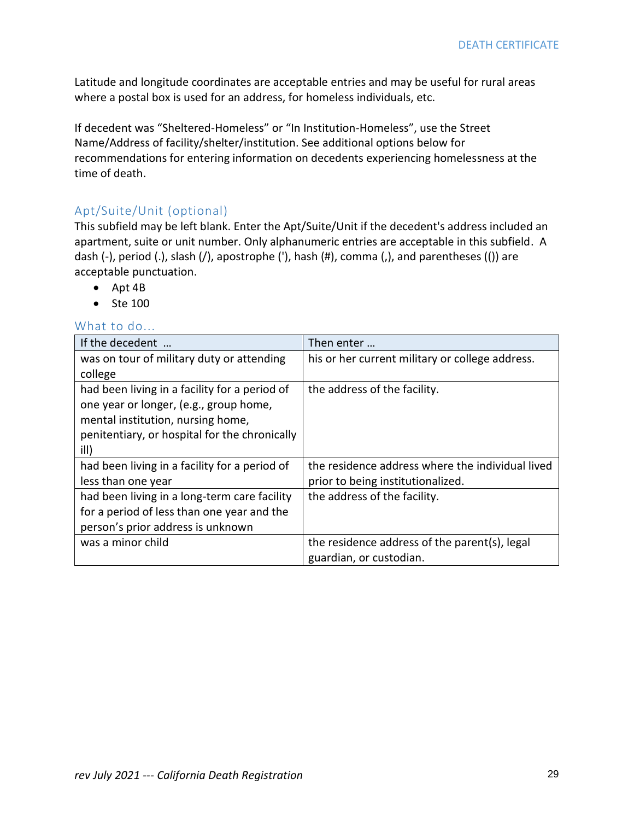Latitude and longitude coordinates are acceptable entries and may be useful for rural areas where a postal box is used for an address, for homeless individuals, etc.

If decedent was "Sheltered-Homeless" or "In Institution-Homeless", use the Street Name/Address of facility/shelter/institution. See additional options below for recommendations for entering information on decedents experiencing homelessness at the time of death.

### Apt/Suite/Unit (optional)

This subfield may be left blank. Enter the Apt/Suite/Unit if the decedent's address included an apartment, suite or unit number. Only alphanumeric entries are acceptable in this subfield. A dash (-), period (.), slash (/), apostrophe ('), hash (#), comma (,), and parentheses (()) are acceptable punctuation.

- Apt 4B
- Ste 100

| If the decedent                               | Then enter                                       |
|-----------------------------------------------|--------------------------------------------------|
| was on tour of military duty or attending     | his or her current military or college address.  |
| college                                       |                                                  |
| had been living in a facility for a period of | the address of the facility.                     |
| one year or longer, (e.g., group home,        |                                                  |
| mental institution, nursing home,             |                                                  |
| penitentiary, or hospital for the chronically |                                                  |
| ill)                                          |                                                  |
| had been living in a facility for a period of | the residence address where the individual lived |
| less than one year                            | prior to being institutionalized.                |
| had been living in a long-term care facility  | the address of the facility.                     |
| for a period of less than one year and the    |                                                  |
| person's prior address is unknown             |                                                  |
| was a minor child                             | the residence address of the parent(s), legal    |
|                                               | guardian, or custodian.                          |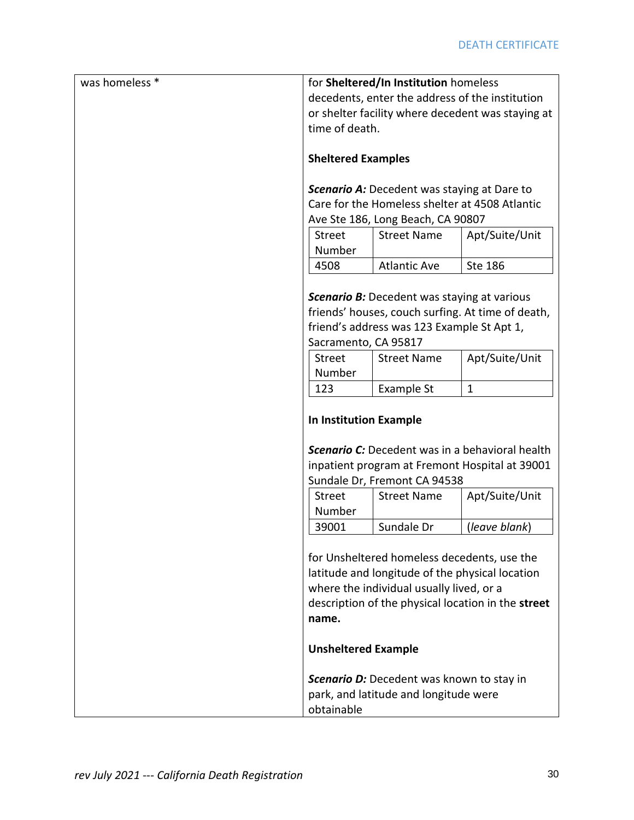| was homeless * | for Sheltered/In Institution homeless                                                                                                                                                                                                   |                              |                |  |
|----------------|-----------------------------------------------------------------------------------------------------------------------------------------------------------------------------------------------------------------------------------------|------------------------------|----------------|--|
|                | decedents, enter the address of the institution                                                                                                                                                                                         |                              |                |  |
|                | or shelter facility where decedent was staying at                                                                                                                                                                                       |                              |                |  |
|                | time of death.                                                                                                                                                                                                                          |                              |                |  |
|                |                                                                                                                                                                                                                                         |                              |                |  |
|                | <b>Sheltered Examples</b>                                                                                                                                                                                                               |                              |                |  |
|                | <b>Scenario A:</b> Decedent was staying at Dare to                                                                                                                                                                                      |                              |                |  |
|                |                                                                                                                                                                                                                                         |                              |                |  |
|                | Care for the Homeless shelter at 4508 Atlantic                                                                                                                                                                                          |                              |                |  |
|                | Ave Ste 186, Long Beach, CA 90807                                                                                                                                                                                                       |                              |                |  |
|                | <b>Street</b><br>Number                                                                                                                                                                                                                 | <b>Street Name</b>           | Apt/Suite/Unit |  |
|                | 4508                                                                                                                                                                                                                                    | <b>Atlantic Ave</b>          | <b>Ste 186</b> |  |
|                |                                                                                                                                                                                                                                         |                              |                |  |
|                |                                                                                                                                                                                                                                         |                              |                |  |
|                | <b>Scenario B:</b> Decedent was staying at various<br>friends' houses, couch surfing. At time of death,<br>friend's address was 123 Example St Apt 1,<br>Sacramento, CA 95817                                                           |                              |                |  |
|                |                                                                                                                                                                                                                                         |                              |                |  |
|                |                                                                                                                                                                                                                                         |                              |                |  |
|                | <b>Street</b><br>Apt/Suite/Unit<br><b>Street Name</b>                                                                                                                                                                                   |                              |                |  |
|                | Number                                                                                                                                                                                                                                  |                              |                |  |
|                | 123                                                                                                                                                                                                                                     | Example St                   | $\mathbf{1}$   |  |
|                | <b>In Institution Example</b><br><b>Scenario C:</b> Decedent was in a behavioral health<br>inpatient program at Fremont Hospital at 39001                                                                                               |                              |                |  |
|                |                                                                                                                                                                                                                                         | Sundale Dr, Fremont CA 94538 |                |  |
|                | <b>Street</b><br><b>Street Name</b><br>Apt/Suite/Unit                                                                                                                                                                                   |                              |                |  |
|                | Number                                                                                                                                                                                                                                  |                              |                |  |
|                | 39001                                                                                                                                                                                                                                   | Sundale Dr                   | (leave blank)  |  |
|                | for Unsheltered homeless decedents, use the<br>latitude and longitude of the physical location<br>where the individual usually lived, or a<br>description of the physical location in the street<br>name.<br><b>Unsheltered Example</b> |                              |                |  |
|                |                                                                                                                                                                                                                                         |                              |                |  |
|                | <b>Scenario D:</b> Decedent was known to stay in<br>park, and latitude and longitude were<br>obtainable                                                                                                                                 |                              |                |  |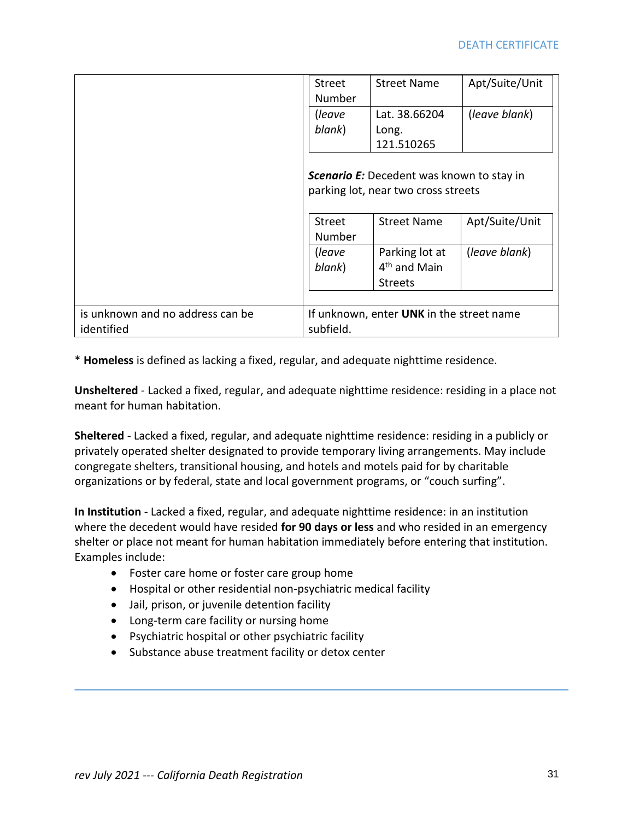|                                                | Street<br>Number                                                                                                                                    | <b>Street Name</b>                                           | Apt/Suite/Unit |
|------------------------------------------------|-----------------------------------------------------------------------------------------------------------------------------------------------------|--------------------------------------------------------------|----------------|
|                                                | (leave<br>blank)                                                                                                                                    | Lat. 38.66204<br>Long.<br>121.510265                         | (leave blank)  |
|                                                | <b>Scenario E:</b> Decedent was known to stay in<br>parking lot, near two cross streets<br>Apt/Suite/Unit<br>Street<br><b>Street Name</b><br>Number |                                                              |                |
|                                                |                                                                                                                                                     |                                                              |                |
|                                                | (leave<br>blank)                                                                                                                                    | Parking lot at<br>4 <sup>th</sup> and Main<br><b>Streets</b> | (leave blank)  |
|                                                |                                                                                                                                                     |                                                              |                |
| is unknown and no address can be<br>identified | If unknown, enter UNK in the street name<br>subfield.                                                                                               |                                                              |                |

\* **Homeless** is defined as lacking a fixed, regular, and adequate nighttime residence.

**Unsheltered** - Lacked a fixed, regular, and adequate nighttime residence: residing in a place not meant for human habitation.

**Sheltered** - Lacked a fixed, regular, and adequate nighttime residence: residing in a publicly or privately operated shelter designated to provide temporary living arrangements. May include congregate shelters, transitional housing, and hotels and motels paid for by charitable organizations or by federal, state and local government programs, or "couch surfing".

**In Institution** - Lacked a fixed, regular, and adequate nighttime residence: in an institution where the decedent would have resided **for 90 days or less** and who resided in an emergency shelter or place not meant for human habitation immediately before entering that institution. Examples include:

- Foster care home or foster care group home
- Hospital or other residential non-psychiatric medical facility
- Jail, prison, or juvenile detention facility
- Long-term care facility or nursing home
- Psychiatric hospital or other psychiatric facility
- Substance abuse treatment facility or detox center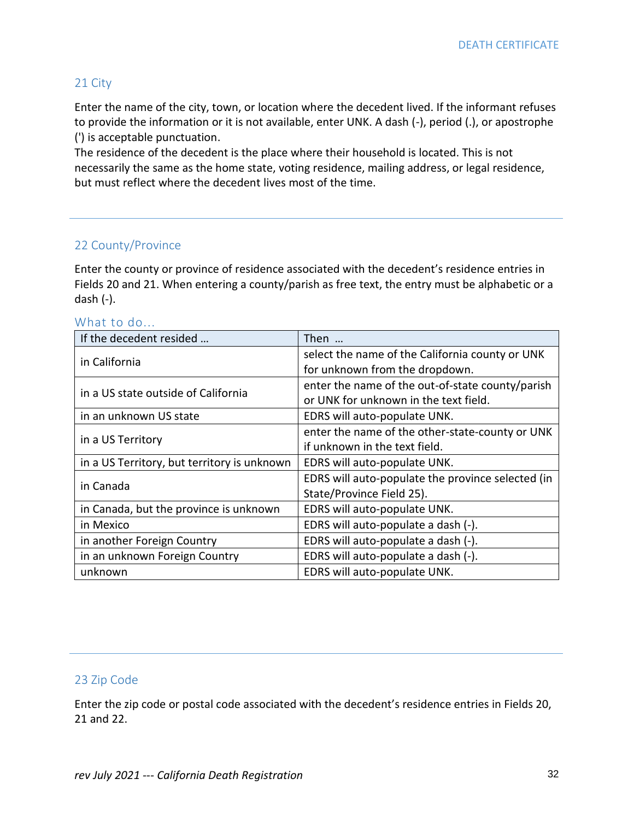### 21 City

Enter the name of the city, town, or location where the decedent lived. If the informant refuses to provide the information or it is not available, enter UNK. A dash (-), period (.), or apostrophe (') is acceptable punctuation.

The residence of the decedent is the place where their household is located. This is not necessarily the same as the home state, voting residence, mailing address, or legal residence, but must reflect where the decedent lives most of the time.

### 22 County/Province

Enter the county or province of residence associated with the decedent's residence entries in Fields 20 and 21. When entering a county/parish as free text, the entry must be alphabetic or a dash (-).

#### What to do...

| If the decedent resided                     | Then                                              |
|---------------------------------------------|---------------------------------------------------|
| in California                               | select the name of the California county or UNK   |
|                                             | for unknown from the dropdown.                    |
| in a US state outside of California         | enter the name of the out-of-state county/parish  |
|                                             | or UNK for unknown in the text field.             |
| in an unknown US state                      | EDRS will auto-populate UNK.                      |
|                                             | enter the name of the other-state-county or UNK   |
| in a US Territory                           | if unknown in the text field.                     |
| in a US Territory, but territory is unknown | EDRS will auto-populate UNK.                      |
| in Canada                                   | EDRS will auto-populate the province selected (in |
|                                             | State/Province Field 25).                         |
| in Canada, but the province is unknown      | EDRS will auto-populate UNK.                      |
| in Mexico                                   | EDRS will auto-populate a dash (-).               |
| in another Foreign Country                  | EDRS will auto-populate a dash (-).               |
| in an unknown Foreign Country               | EDRS will auto-populate a dash (-).               |
| unknown                                     | EDRS will auto-populate UNK.                      |

### 23 Zip Code

Enter the zip code or postal code associated with the decedent's residence entries in Fields 20, 21 and 22.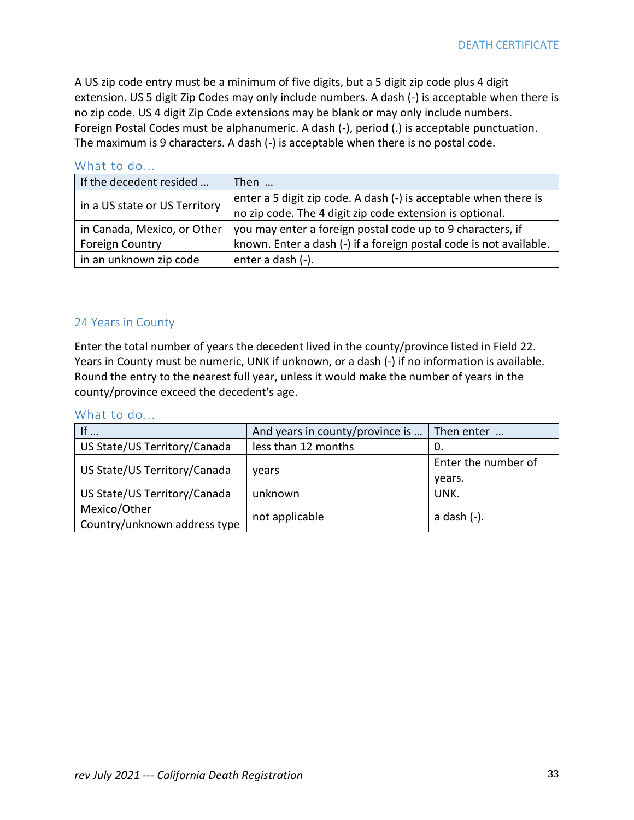A US zip code entry must be a minimum of five digits, but a 5 digit zip code plus 4 digit extension. US 5 digit Zip Codes may only include numbers. A dash (-) is acceptable when there is no zip code. US 4 digit Zip Code extensions may be blank or may only include numbers. Foreign Postal Codes must be alphanumeric. A dash (-), period (.) is acceptable punctuation. The maximum is 9 characters. A dash (-) is acceptable when there is no postal code.

### What to do...

| If the decedent resided       | Then                                                               |
|-------------------------------|--------------------------------------------------------------------|
| in a US state or US Territory | enter a 5 digit zip code. A dash (-) is acceptable when there is   |
|                               | no zip code. The 4 digit zip code extension is optional.           |
| in Canada, Mexico, or Other   | you may enter a foreign postal code up to 9 characters, if         |
| <b>Foreign Country</b>        | known. Enter a dash (-) if a foreign postal code is not available. |
| in an unknown zip code        | enter a dash (-).                                                  |

### 24 Years in County

Enter the total number of years the decedent lived in the county/province listed in Field 22. Years in County must be numeric, UNK if unknown, or a dash (-) if no information is available. Round the entry to the nearest full year, unless it would make the number of years in the county/province exceed the decedent's age.

| If $\ldots$                  | And years in county/province is | Then enter          |
|------------------------------|---------------------------------|---------------------|
| US State/US Territory/Canada | less than 12 months             | 0.                  |
| US State/US Territory/Canada |                                 | Enter the number of |
|                              | vears                           | vears.              |
| US State/US Territory/Canada | unknown                         | UNK.                |
| Mexico/Other                 |                                 | a dash (-).         |
| Country/unknown address type | not applicable                  |                     |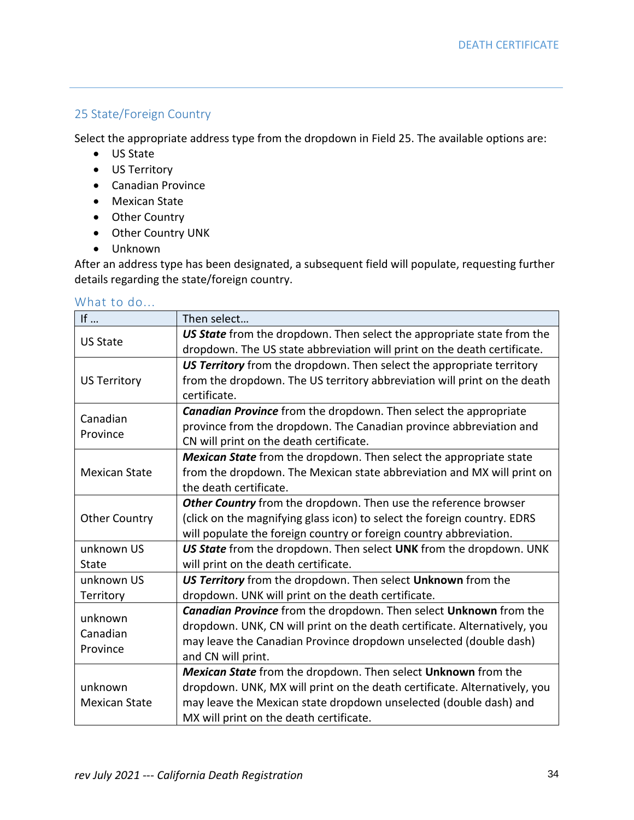### 25 State/Foreign Country

Select the appropriate address type from the dropdown in Field 25. The available options are:

- US State
- US Territory
- Canadian Province
- Mexican State
- Other Country
- Other Country UNK
- Unknown

After an address type has been designated, a subsequent field will populate, requesting further details regarding the state/foreign country.

| If $\ldots$          | Then select                                                               |
|----------------------|---------------------------------------------------------------------------|
| <b>US State</b>      | US State from the dropdown. Then select the appropriate state from the    |
|                      | dropdown. The US state abbreviation will print on the death certificate.  |
|                      | US Territory from the dropdown. Then select the appropriate territory     |
| <b>US Territory</b>  | from the dropdown. The US territory abbreviation will print on the death  |
|                      | certificate.                                                              |
| Canadian             | <b>Canadian Province</b> from the dropdown. Then select the appropriate   |
| Province             | province from the dropdown. The Canadian province abbreviation and        |
|                      | CN will print on the death certificate.                                   |
|                      | Mexican State from the dropdown. Then select the appropriate state        |
| <b>Mexican State</b> | from the dropdown. The Mexican state abbreviation and MX will print on    |
|                      | the death certificate.                                                    |
|                      | Other Country from the dropdown. Then use the reference browser           |
| <b>Other Country</b> | (click on the magnifying glass icon) to select the foreign country. EDRS  |
|                      | will populate the foreign country or foreign country abbreviation.        |
| unknown US           | US State from the dropdown. Then select UNK from the dropdown. UNK        |
| <b>State</b>         | will print on the death certificate.                                      |
| unknown US           | US Territory from the dropdown. Then select Unknown from the              |
| Territory            | dropdown. UNK will print on the death certificate.                        |
| unknown              | Canadian Province from the dropdown. Then select Unknown from the         |
| Canadian             | dropdown. UNK, CN will print on the death certificate. Alternatively, you |
| Province             | may leave the Canadian Province dropdown unselected (double dash)         |
|                      | and CN will print.                                                        |
|                      | Mexican State from the dropdown. Then select Unknown from the             |
| unknown              | dropdown. UNK, MX will print on the death certificate. Alternatively, you |
| <b>Mexican State</b> | may leave the Mexican state dropdown unselected (double dash) and         |
|                      | MX will print on the death certificate.                                   |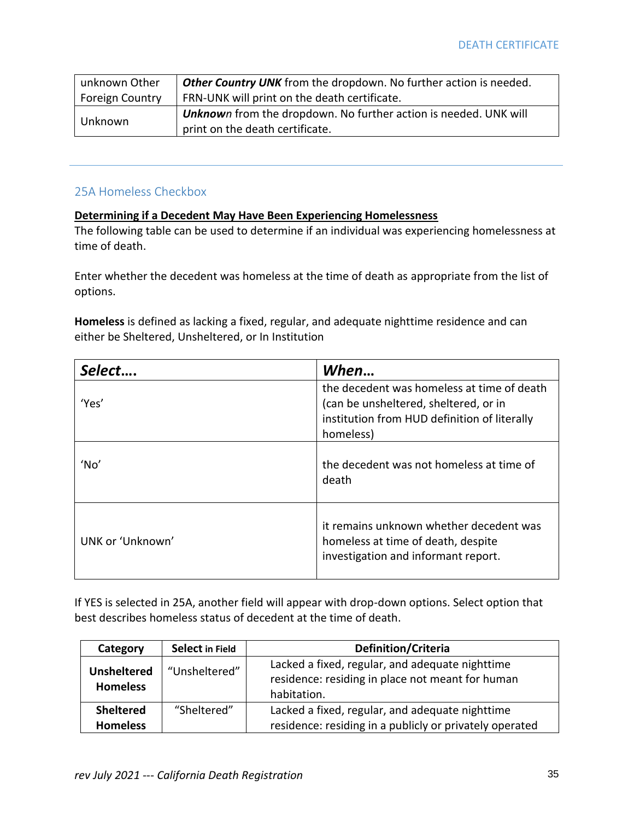| unknown Other                | Other Country UNK from the dropdown. No further action is needed. |
|------------------------------|-------------------------------------------------------------------|
| <sup>1</sup> Foreign Country | FRN-UNK will print on the death certificate.                      |
| Unknown                      | Unknown from the dropdown. No further action is needed. UNK will  |
|                              | print on the death certificate.                                   |

### 25A Homeless Checkbox

#### **Determining if a Decedent May Have Been Experiencing Homelessness**

The following table can be used to determine if an individual was experiencing homelessness at time of death.

Enter whether the decedent was homeless at the time of death as appropriate from the list of options.

**Homeless** is defined as lacking a fixed, regular, and adequate nighttime residence and can either be Sheltered, Unsheltered, or In Institution

| Select.          | When                                                                                                                                             |
|------------------|--------------------------------------------------------------------------------------------------------------------------------------------------|
| 'Yes'            | the decedent was homeless at time of death<br>(can be unsheltered, sheltered, or in<br>institution from HUD definition of literally<br>homeless) |
| 'No'             | the decedent was not homeless at time of<br>death                                                                                                |
| UNK or 'Unknown' | it remains unknown whether decedent was<br>homeless at time of death, despite<br>investigation and informant report.                             |

If YES is selected in 25A, another field will appear with drop-down options. Select option that best describes homeless status of decedent at the time of death.

| Category                              | Select in Field | <b>Definition/Criteria</b>                                                                                         |
|---------------------------------------|-----------------|--------------------------------------------------------------------------------------------------------------------|
| <b>Unsheltered</b><br><b>Homeless</b> | "Unsheltered"   | Lacked a fixed, regular, and adequate nighttime<br>residence: residing in place not meant for human<br>habitation. |
| Sheltered                             | "Sheltered"     | Lacked a fixed, regular, and adequate nighttime                                                                    |
| <b>Homeless</b>                       |                 | residence: residing in a publicly or privately operated                                                            |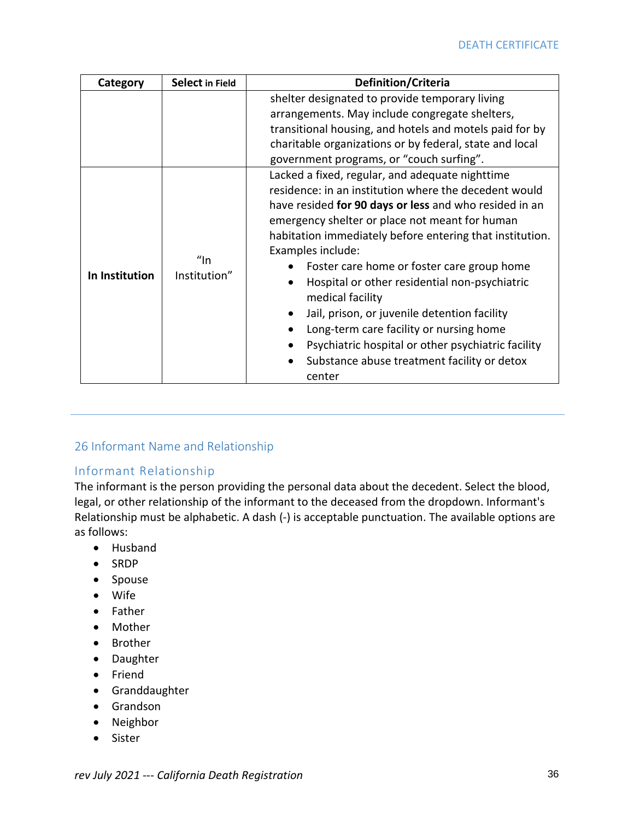| Category       | Select in Field           | Definition/Criteria                                                                                                                                                                                                                                                                                                                                                                                                                                                                                                                                                                                                                |
|----------------|---------------------------|------------------------------------------------------------------------------------------------------------------------------------------------------------------------------------------------------------------------------------------------------------------------------------------------------------------------------------------------------------------------------------------------------------------------------------------------------------------------------------------------------------------------------------------------------------------------------------------------------------------------------------|
|                |                           | shelter designated to provide temporary living                                                                                                                                                                                                                                                                                                                                                                                                                                                                                                                                                                                     |
|                |                           | arrangements. May include congregate shelters,                                                                                                                                                                                                                                                                                                                                                                                                                                                                                                                                                                                     |
|                |                           | transitional housing, and hotels and motels paid for by                                                                                                                                                                                                                                                                                                                                                                                                                                                                                                                                                                            |
|                |                           | charitable organizations or by federal, state and local                                                                                                                                                                                                                                                                                                                                                                                                                                                                                                                                                                            |
|                |                           | government programs, or "couch surfing".                                                                                                                                                                                                                                                                                                                                                                                                                                                                                                                                                                                           |
| In Institution | $\eta$ ln<br>Institution" | Lacked a fixed, regular, and adequate nighttime<br>residence: in an institution where the decedent would<br>have resided for 90 days or less and who resided in an<br>emergency shelter or place not meant for human<br>habitation immediately before entering that institution.<br>Examples include:<br>Foster care home or foster care group home<br>Hospital or other residential non-psychiatric<br>medical facility<br>Jail, prison, or juvenile detention facility<br>Long-term care facility or nursing home<br>Psychiatric hospital or other psychiatric facility<br>Substance abuse treatment facility or detox<br>center |

### 26 Informant Name and Relationship

### Informant Relationship

The informant is the person providing the personal data about the decedent. Select the blood, legal, or other relationship of the informant to the deceased from the dropdown. Informant's Relationship must be alphabetic. A dash (-) is acceptable punctuation. The available options are as follows:

- Husband
- SRDP
- Spouse
- Wife
- Father
- Mother
- Brother
- Daughter
- Friend
- Granddaughter
- Grandson
- Neighbor
- Sister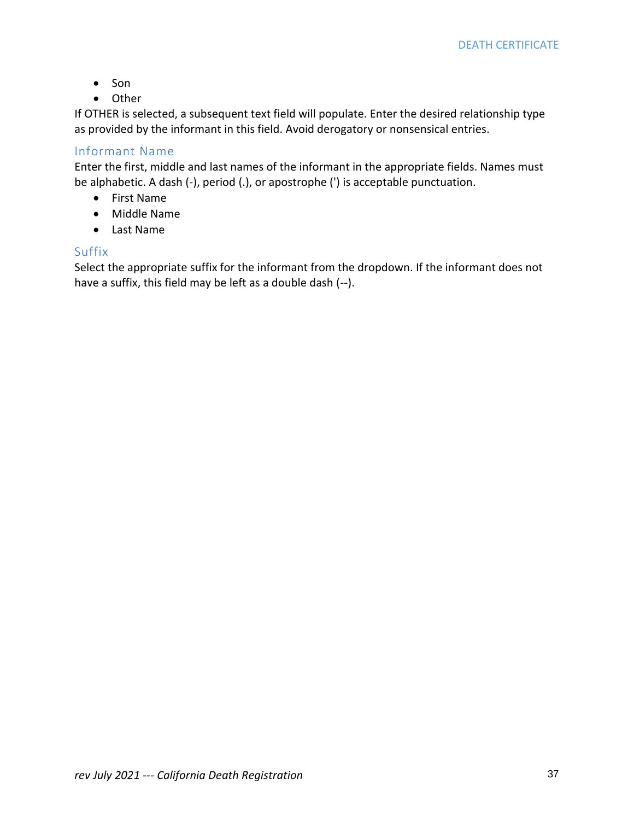- Son
- Other

If OTHER is selected, a subsequent text field will populate. Enter the desired relationship type as provided by the informant in this field. Avoid derogatory or nonsensical entries.

## Informant Name

Enter the first, middle and last names of the informant in the appropriate fields. Names must be alphabetic. A dash (-), period (.), or apostrophe (') is acceptable punctuation.

- First Name
- Middle Name
- Last Name

# Suffix

Select the appropriate suffix for the informant from the dropdown. If the informant does not have a suffix, this field may be left as a double dash (--).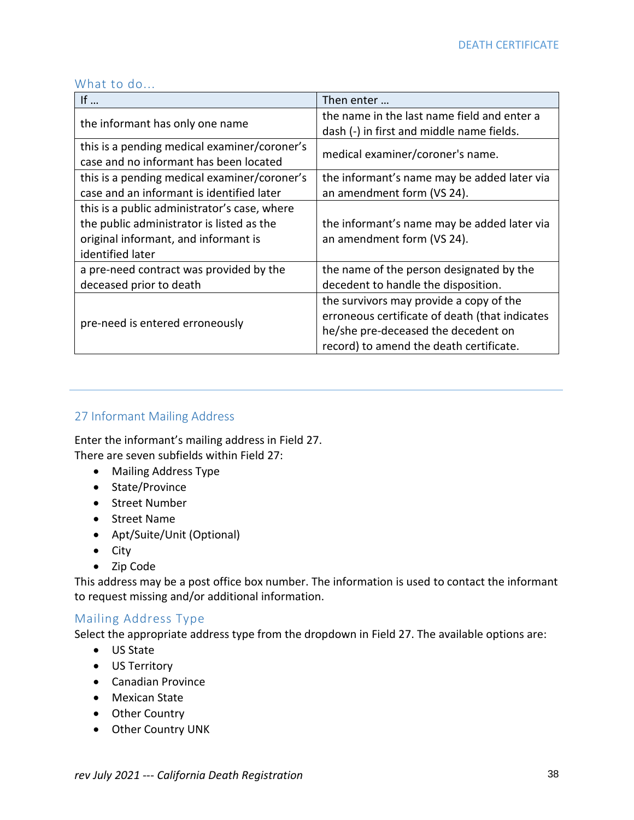#### What to do...

| If $\ldots$                                  | Then enter                                     |  |
|----------------------------------------------|------------------------------------------------|--|
| the informant has only one name              | the name in the last name field and enter a    |  |
|                                              | dash (-) in first and middle name fields.      |  |
| this is a pending medical examiner/coroner's |                                                |  |
| case and no informant has been located       | medical examiner/coroner's name.               |  |
| this is a pending medical examiner/coroner's | the informant's name may be added later via    |  |
| case and an informant is identified later    | an amendment form (VS 24).                     |  |
| this is a public administrator's case, where |                                                |  |
| the public administrator is listed as the    | the informant's name may be added later via    |  |
| original informant, and informant is         | an amendment form (VS 24).                     |  |
| identified later                             |                                                |  |
| a pre-need contract was provided by the      | the name of the person designated by the       |  |
| deceased prior to death                      | decedent to handle the disposition.            |  |
|                                              | the survivors may provide a copy of the        |  |
|                                              | erroneous certificate of death (that indicates |  |
| pre-need is entered erroneously              | he/she pre-deceased the decedent on            |  |
|                                              | record) to amend the death certificate.        |  |

# 27 Informant Mailing Address

Enter the informant's mailing address in Field 27. There are seven subfields within Field 27:

- Mailing Address Type
- State/Province
- Street Number
- Street Name
- Apt/Suite/Unit (Optional)
- City
- Zip Code

This address may be a post office box number. The information is used to contact the informant to request missing and/or additional information.

### Mailing Address Type

Select the appropriate address type from the dropdown in Field 27. The available options are:

- US State
- US Territory
- Canadian Province
- Mexican State
- Other Country
- Other Country UNK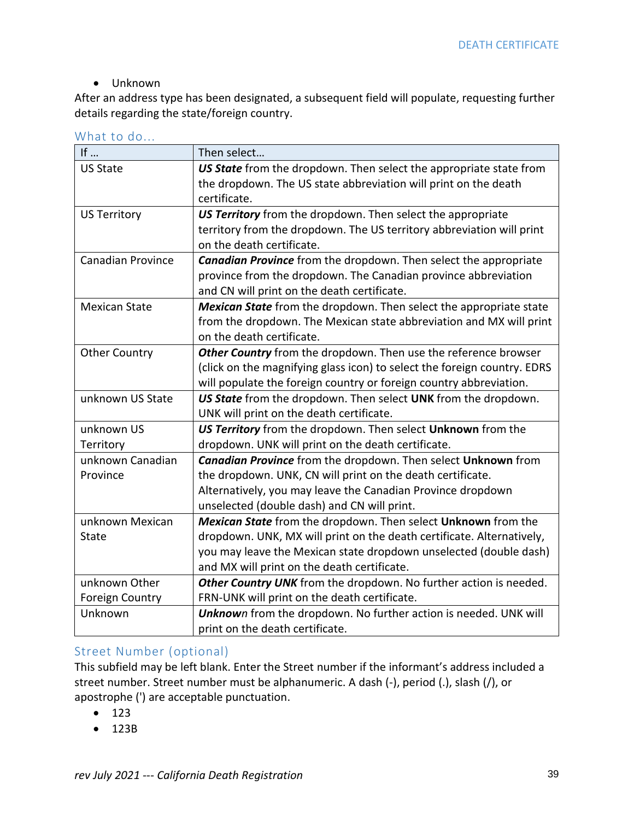## • Unknown

After an address type has been designated, a subsequent field will populate, requesting further details regarding the state/foreign country.

|  | What to do |  |  |
|--|------------|--|--|
|  |            |  |  |

| If $\ldots$              | Then select                                                              |
|--------------------------|--------------------------------------------------------------------------|
| <b>US State</b>          | US State from the dropdown. Then select the appropriate state from       |
|                          | the dropdown. The US state abbreviation will print on the death          |
|                          | certificate.                                                             |
| <b>US Territory</b>      | US Territory from the dropdown. Then select the appropriate              |
|                          | territory from the dropdown. The US territory abbreviation will print    |
|                          | on the death certificate.                                                |
| <b>Canadian Province</b> | <b>Canadian Province</b> from the dropdown. Then select the appropriate  |
|                          | province from the dropdown. The Canadian province abbreviation           |
|                          | and CN will print on the death certificate.                              |
| <b>Mexican State</b>     | Mexican State from the dropdown. Then select the appropriate state       |
|                          | from the dropdown. The Mexican state abbreviation and MX will print      |
|                          | on the death certificate.                                                |
| <b>Other Country</b>     | Other Country from the dropdown. Then use the reference browser          |
|                          | (click on the magnifying glass icon) to select the foreign country. EDRS |
|                          | will populate the foreign country or foreign country abbreviation.       |
| unknown US State         | US State from the dropdown. Then select UNK from the dropdown.           |
|                          | UNK will print on the death certificate.                                 |
| unknown US               | US Territory from the dropdown. Then select Unknown from the             |
| Territory                | dropdown. UNK will print on the death certificate.                       |
| unknown Canadian         | <b>Canadian Province</b> from the dropdown. Then select Unknown from     |
| Province                 | the dropdown. UNK, CN will print on the death certificate.               |
|                          | Alternatively, you may leave the Canadian Province dropdown              |
|                          | unselected (double dash) and CN will print.                              |
| unknown Mexican          | Mexican State from the dropdown. Then select Unknown from the            |
| <b>State</b>             | dropdown. UNK, MX will print on the death certificate. Alternatively,    |
|                          | you may leave the Mexican state dropdown unselected (double dash)        |
|                          | and MX will print on the death certificate.                              |
| unknown Other            | Other Country UNK from the dropdown. No further action is needed.        |
| <b>Foreign Country</b>   | FRN-UNK will print on the death certificate.                             |
| Unknown                  | Unknown from the dropdown. No further action is needed. UNK will         |
|                          | print on the death certificate.                                          |

# Street Number (optional)

This subfield may be left blank. Enter the Street number if the informant's address included a street number. Street number must be alphanumeric. A dash (-), period (.), slash (/), or apostrophe (') are acceptable punctuation.

- 123
- 123B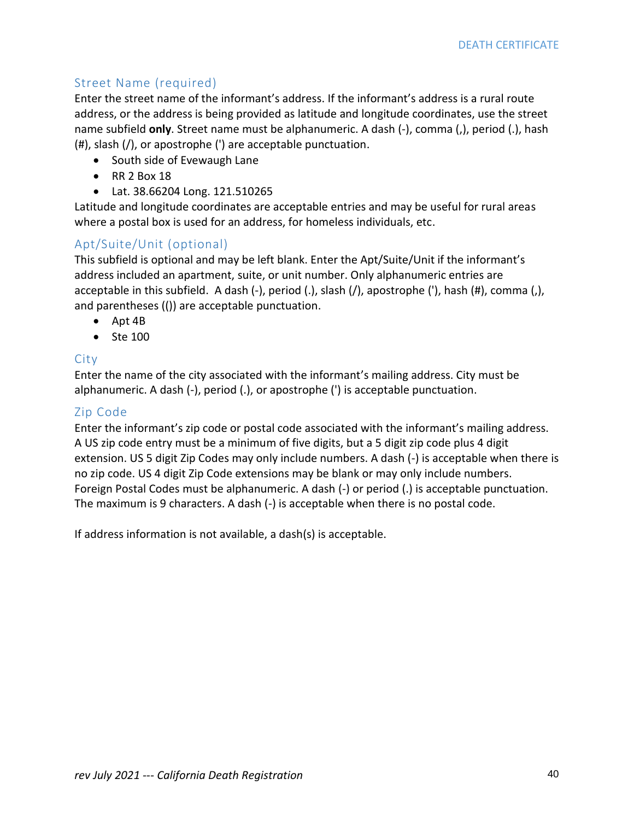# Street Name (required)

Enter the street name of the informant's address. If the informant's address is a rural route address, or the address is being provided as latitude and longitude coordinates, use the street name subfield **only**. Street name must be alphanumeric. A dash (-), comma (,), period (.), hash (#), slash (/), or apostrophe (') are acceptable punctuation.

- South side of Evewaugh Lane
- RR 2 Box 18
- Lat. 38.66204 Long. 121.510265

Latitude and longitude coordinates are acceptable entries and may be useful for rural areas where a postal box is used for an address, for homeless individuals, etc.

# Apt/Suite/Unit (optional)

This subfield is optional and may be left blank. Enter the Apt/Suite/Unit if the informant's address included an apartment, suite, or unit number. Only alphanumeric entries are acceptable in this subfield. A dash (-), period (.), slash (/), apostrophe ('), hash (#), comma (,), and parentheses (()) are acceptable punctuation.

- Apt 4B
- Ste 100

### City

Enter the name of the city associated with the informant's mailing address. City must be alphanumeric. A dash (-), period (.), or apostrophe (') is acceptable punctuation.

### Zip Code

Enter the informant's zip code or postal code associated with the informant's mailing address. A US zip code entry must be a minimum of five digits, but a 5 digit zip code plus 4 digit extension. US 5 digit Zip Codes may only include numbers. A dash (-) is acceptable when there is no zip code. US 4 digit Zip Code extensions may be blank or may only include numbers. Foreign Postal Codes must be alphanumeric. A dash (-) or period (.) is acceptable punctuation. The maximum is 9 characters. A dash (-) is acceptable when there is no postal code.

If address information is not available, a dash(s) is acceptable.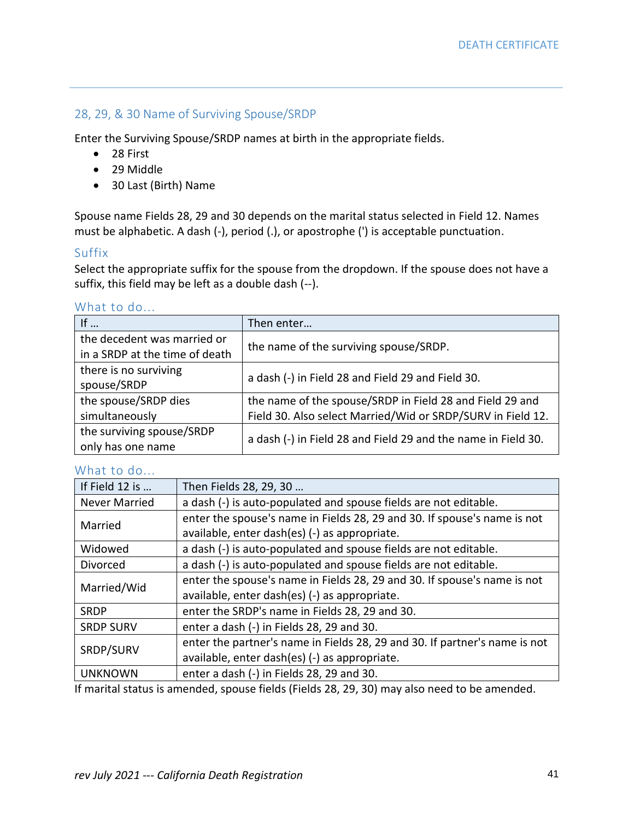## 28, 29, & 30 Name of Surviving Spouse/SRDP

Enter the Surviving Spouse/SRDP names at birth in the appropriate fields.

- 28 First
- 29 Middle
- 30 Last (Birth) Name

Spouse name Fields 28, 29 and 30 depends on the marital status selected in Field 12. Names must be alphabetic. A dash (-), period (.), or apostrophe (') is acceptable punctuation.

### Suffix

Select the appropriate suffix for the spouse from the dropdown. If the spouse does not have a suffix, this field may be left as a double dash (--).

#### What to do...

| If $\ldots$                                                   | Then enter                                                    |
|---------------------------------------------------------------|---------------------------------------------------------------|
| the decedent was married or<br>in a SRDP at the time of death | the name of the surviving spouse/SRDP.                        |
| there is no surviving<br>spouse/SRDP                          | a dash (-) in Field 28 and Field 29 and Field 30.             |
| the spouse/SRDP dies                                          | the name of the spouse/SRDP in Field 28 and Field 29 and      |
| simultaneously                                                | Field 30. Also select Married/Wid or SRDP/SURV in Field 12.   |
| the surviving spouse/SRDP<br>only has one name                | a dash (-) in Field 28 and Field 29 and the name in Field 30. |

## What to do...

| If Field 12 is       | Then Fields 28, 29, 30                                                                                       |
|----------------------|--------------------------------------------------------------------------------------------------------------|
| <b>Never Married</b> | a dash (-) is auto-populated and spouse fields are not editable.                                             |
| Married              | enter the spouse's name in Fields 28, 29 and 30. If spouse's name is not                                     |
|                      | available, enter dash(es) (-) as appropriate.                                                                |
| Widowed              | a dash (-) is auto-populated and spouse fields are not editable.                                             |
| Divorced             | a dash (-) is auto-populated and spouse fields are not editable.                                             |
| Married/Wid          | enter the spouse's name in Fields 28, 29 and 30. If spouse's name is not                                     |
|                      | available, enter dash(es) (-) as appropriate.                                                                |
| <b>SRDP</b>          | enter the SRDP's name in Fields 28, 29 and 30.                                                               |
| <b>SRDP SURV</b>     | enter a dash (-) in Fields 28, 29 and 30.                                                                    |
|                      | enter the partner's name in Fields 28, 29 and 30. If partner's name is not                                   |
| SRDP/SURV            | available, enter dash(es) (-) as appropriate.                                                                |
| <b>UNKNOWN</b>       | enter a dash (-) in Fields 28, 29 and 30.                                                                    |
|                      | if we shall decrease a second all a comparison from the control of the first second control and a second all |

If marital status is amended, spouse fields (Fields 28, 29, 30) may also need to be amended.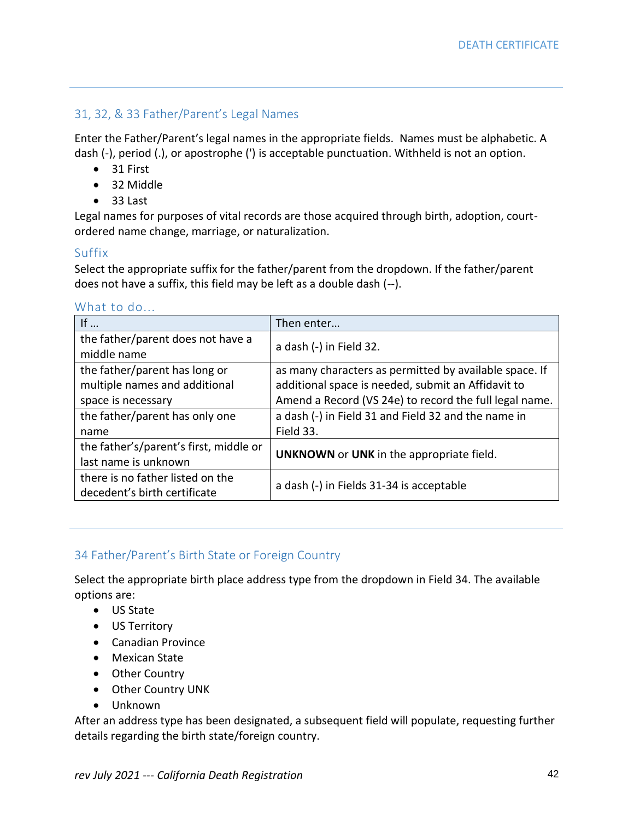# 31, 32, & 33 Father/Parent's Legal Names

Enter the Father/Parent's legal names in the appropriate fields. Names must be alphabetic. A dash (-), period (.), or apostrophe (') is acceptable punctuation. Withheld is not an option.

- 31 First
- 32 Middle
- 33 Last

Legal names for purposes of vital records are those acquired through birth, adoption, courtordered name change, marriage, or naturalization.

## Suffix

Select the appropriate suffix for the father/parent from the dropdown. If the father/parent does not have a suffix, this field may be left as a double dash (--).

|  | What to do |  |
|--|------------|--|
|  |            |  |

| If $\ldots$                                      | Then enter                                             |
|--------------------------------------------------|--------------------------------------------------------|
| the father/parent does not have a<br>middle name | a dash (-) in Field 32.                                |
| the father/parent has long or                    | as many characters as permitted by available space. If |
| multiple names and additional                    | additional space is needed, submit an Affidavit to     |
| space is necessary                               | Amend a Record (VS 24e) to record the full legal name. |
| the father/parent has only one                   | a dash (-) in Field 31 and Field 32 and the name in    |
| name                                             | Field 33.                                              |
| the father's/parent's first, middle or           | UNKNOWN or UNK in the appropriate field.               |
| last name is unknown                             |                                                        |
| there is no father listed on the                 | a dash (-) in Fields 31-34 is acceptable               |
| decedent's birth certificate                     |                                                        |

# 34 Father/Parent's Birth State or Foreign Country

Select the appropriate birth place address type from the dropdown in Field 34. The available options are:

- US State
- US Territory
- Canadian Province
- Mexican State
- Other Country
- Other Country UNK
- Unknown

After an address type has been designated, a subsequent field will populate, requesting further details regarding the birth state/foreign country.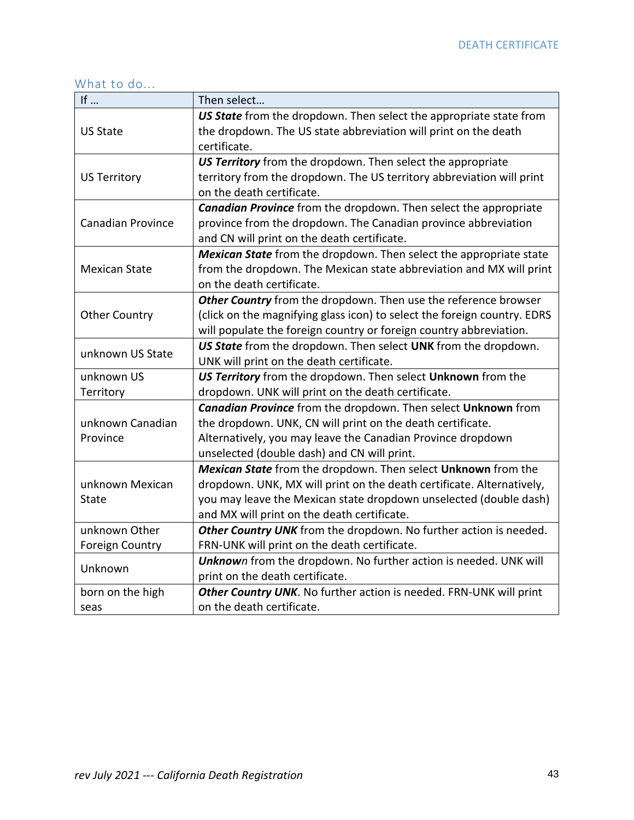# What to do...

| If                       | Then select                                                              |  |  |
|--------------------------|--------------------------------------------------------------------------|--|--|
|                          | US State from the dropdown. Then select the appropriate state from       |  |  |
| <b>US State</b>          | the dropdown. The US state abbreviation will print on the death          |  |  |
|                          | certificate.                                                             |  |  |
|                          | US Territory from the dropdown. Then select the appropriate              |  |  |
| <b>US Territory</b>      | territory from the dropdown. The US territory abbreviation will print    |  |  |
|                          | on the death certificate.                                                |  |  |
|                          | <b>Canadian Province</b> from the dropdown. Then select the appropriate  |  |  |
| <b>Canadian Province</b> | province from the dropdown. The Canadian province abbreviation           |  |  |
|                          | and CN will print on the death certificate.                              |  |  |
|                          | Mexican State from the dropdown. Then select the appropriate state       |  |  |
| <b>Mexican State</b>     | from the dropdown. The Mexican state abbreviation and MX will print      |  |  |
|                          | on the death certificate.                                                |  |  |
|                          | Other Country from the dropdown. Then use the reference browser          |  |  |
| <b>Other Country</b>     | (click on the magnifying glass icon) to select the foreign country. EDRS |  |  |
|                          | will populate the foreign country or foreign country abbreviation.       |  |  |
| unknown US State         | US State from the dropdown. Then select UNK from the dropdown.           |  |  |
|                          | UNK will print on the death certificate.                                 |  |  |
| unknown US               | US Territory from the dropdown. Then select Unknown from the             |  |  |
| Territory                | dropdown. UNK will print on the death certificate.                       |  |  |
|                          | Canadian Province from the dropdown. Then select Unknown from            |  |  |
| unknown Canadian         | the dropdown. UNK, CN will print on the death certificate.               |  |  |
| Province                 | Alternatively, you may leave the Canadian Province dropdown              |  |  |
|                          | unselected (double dash) and CN will print.                              |  |  |
|                          | Mexican State from the dropdown. Then select Unknown from the            |  |  |
| unknown Mexican          | dropdown. UNK, MX will print on the death certificate. Alternatively,    |  |  |
| <b>State</b>             | you may leave the Mexican state dropdown unselected (double dash)        |  |  |
|                          | and MX will print on the death certificate.                              |  |  |
| unknown Other            | Other Country UNK from the dropdown. No further action is needed.        |  |  |
| <b>Foreign Country</b>   | FRN-UNK will print on the death certificate.                             |  |  |
| Unknown                  | Unknown from the dropdown. No further action is needed. UNK will         |  |  |
|                          | print on the death certificate.                                          |  |  |
| born on the high         | Other Country UNK. No further action is needed. FRN-UNK will print       |  |  |
| seas                     | on the death certificate.                                                |  |  |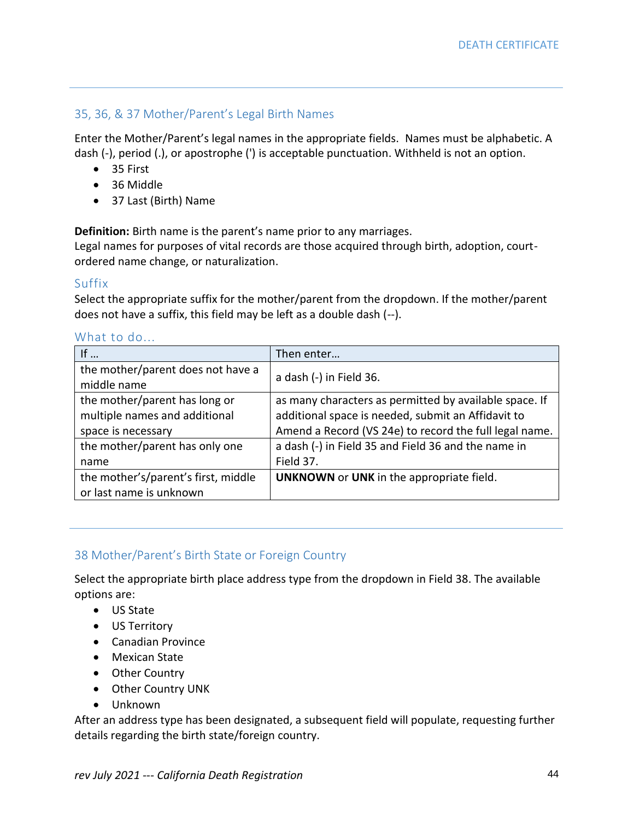# 35, 36, & 37 Mother/Parent's Legal Birth Names

Enter the Mother/Parent's legal names in the appropriate fields. Names must be alphabetic. A dash (-), period (.), or apostrophe (') is acceptable punctuation. Withheld is not an option.

- 35 First
- 36 Middle
- 37 Last (Birth) Name

**Definition:** Birth name is the parent's name prior to any marriages.

Legal names for purposes of vital records are those acquired through birth, adoption, courtordered name change, or naturalization.

#### Suffix

Select the appropriate suffix for the mother/parent from the dropdown. If the mother/parent does not have a suffix, this field may be left as a double dash (--).

| If                                               | Then enter                                             |
|--------------------------------------------------|--------------------------------------------------------|
| the mother/parent does not have a<br>middle name | a dash (-) in Field 36.                                |
| the mother/parent has long or                    | as many characters as permitted by available space. If |
| multiple names and additional                    | additional space is needed, submit an Affidavit to     |
| space is necessary                               | Amend a Record (VS 24e) to record the full legal name. |
| the mother/parent has only one                   | a dash (-) in Field 35 and Field 36 and the name in    |
| name                                             | Field 37.                                              |
| the mother's/parent's first, middle              | <b>UNKNOWN</b> or <b>UNK</b> in the appropriate field. |
| or last name is unknown                          |                                                        |

#### What to do.

# 38 Mother/Parent's Birth State or Foreign Country

Select the appropriate birth place address type from the dropdown in Field 38. The available options are:

- US State
- US Territory
- Canadian Province
- Mexican State
- Other Country
- Other Country UNK
- Unknown

After an address type has been designated, a subsequent field will populate, requesting further details regarding the birth state/foreign country.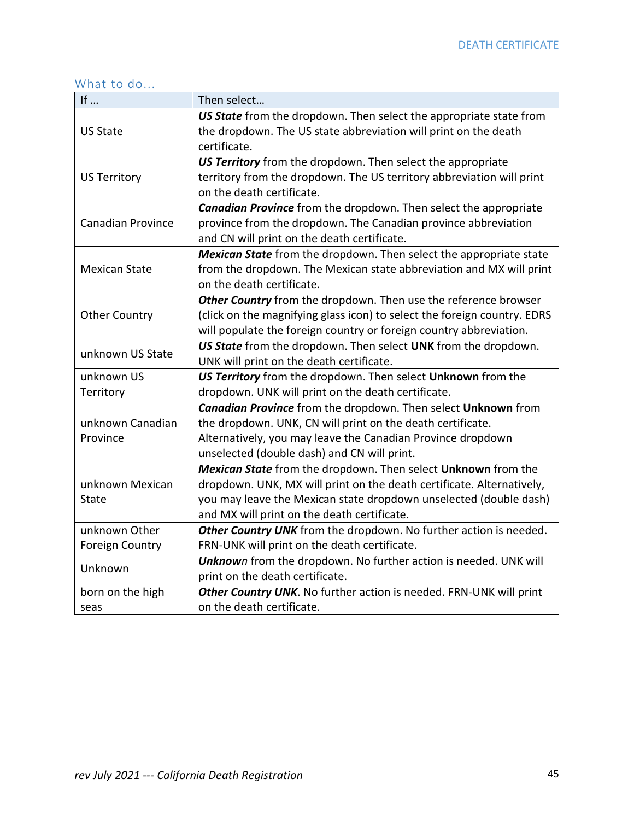# What to do...

| If                       | Then select                                                              |  |  |
|--------------------------|--------------------------------------------------------------------------|--|--|
|                          | US State from the dropdown. Then select the appropriate state from       |  |  |
| <b>US State</b>          | the dropdown. The US state abbreviation will print on the death          |  |  |
|                          | certificate.                                                             |  |  |
|                          | US Territory from the dropdown. Then select the appropriate              |  |  |
| <b>US Territory</b>      | territory from the dropdown. The US territory abbreviation will print    |  |  |
|                          | on the death certificate.                                                |  |  |
|                          | <b>Canadian Province</b> from the dropdown. Then select the appropriate  |  |  |
| <b>Canadian Province</b> | province from the dropdown. The Canadian province abbreviation           |  |  |
|                          | and CN will print on the death certificate.                              |  |  |
|                          | Mexican State from the dropdown. Then select the appropriate state       |  |  |
| <b>Mexican State</b>     | from the dropdown. The Mexican state abbreviation and MX will print      |  |  |
|                          | on the death certificate.                                                |  |  |
|                          | Other Country from the dropdown. Then use the reference browser          |  |  |
| <b>Other Country</b>     | (click on the magnifying glass icon) to select the foreign country. EDRS |  |  |
|                          | will populate the foreign country or foreign country abbreviation.       |  |  |
| unknown US State         | US State from the dropdown. Then select UNK from the dropdown.           |  |  |
|                          | UNK will print on the death certificate.                                 |  |  |
| unknown US               | US Territory from the dropdown. Then select Unknown from the             |  |  |
| Territory                | dropdown. UNK will print on the death certificate.                       |  |  |
|                          | Canadian Province from the dropdown. Then select Unknown from            |  |  |
| unknown Canadian         | the dropdown. UNK, CN will print on the death certificate.               |  |  |
| Province                 | Alternatively, you may leave the Canadian Province dropdown              |  |  |
|                          | unselected (double dash) and CN will print.                              |  |  |
|                          | Mexican State from the dropdown. Then select Unknown from the            |  |  |
| unknown Mexican          | dropdown. UNK, MX will print on the death certificate. Alternatively,    |  |  |
| <b>State</b>             | you may leave the Mexican state dropdown unselected (double dash)        |  |  |
|                          | and MX will print on the death certificate.                              |  |  |
| unknown Other            | Other Country UNK from the dropdown. No further action is needed.        |  |  |
| <b>Foreign Country</b>   | FRN-UNK will print on the death certificate.                             |  |  |
| Unknown                  | Unknown from the dropdown. No further action is needed. UNK will         |  |  |
|                          | print on the death certificate.                                          |  |  |
| born on the high         | Other Country UNK. No further action is needed. FRN-UNK will print       |  |  |
| seas                     | on the death certificate.                                                |  |  |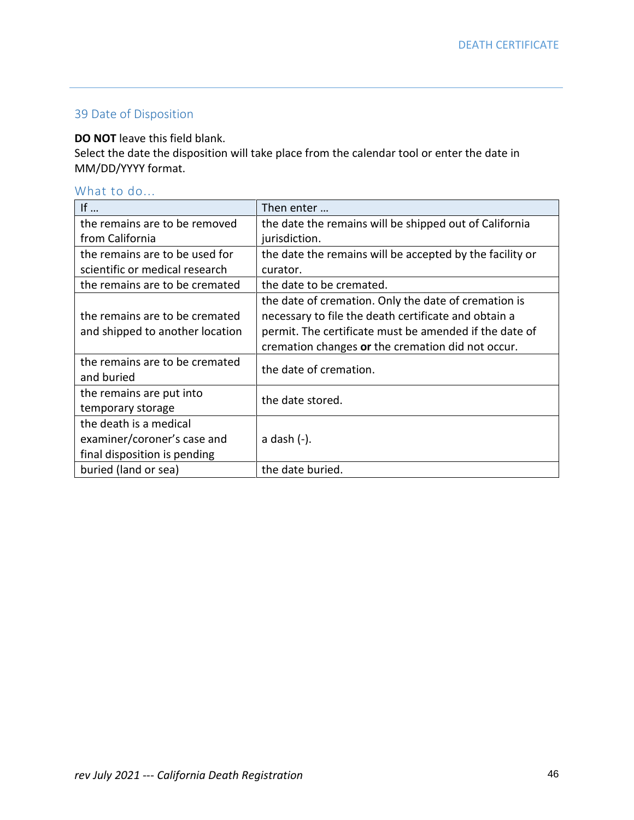# 39 Date of Disposition

### **DO NOT** leave this field blank.

Select the date the disposition will take place from the calendar tool or enter the date in MM/DD/YYYY format.

# What to do...

| If $\ldots$                     | Then enter $\ldots$                                      |
|---------------------------------|----------------------------------------------------------|
| the remains are to be removed   | the date the remains will be shipped out of California   |
| from California                 | jurisdiction.                                            |
| the remains are to be used for  | the date the remains will be accepted by the facility or |
| scientific or medical research  | curator.                                                 |
| the remains are to be cremated  | the date to be cremated.                                 |
|                                 | the date of cremation. Only the date of cremation is     |
| the remains are to be cremated  | necessary to file the death certificate and obtain a     |
| and shipped to another location | permit. The certificate must be amended if the date of   |
|                                 | cremation changes or the cremation did not occur.        |
| the remains are to be cremated  | the date of cremation.                                   |
| and buried                      |                                                          |
| the remains are put into        | the date stored.                                         |
| temporary storage               |                                                          |
| the death is a medical          |                                                          |
| examiner/coroner's case and     | a dash (-).                                              |
| final disposition is pending    |                                                          |
| buried (land or sea)            | the date buried.                                         |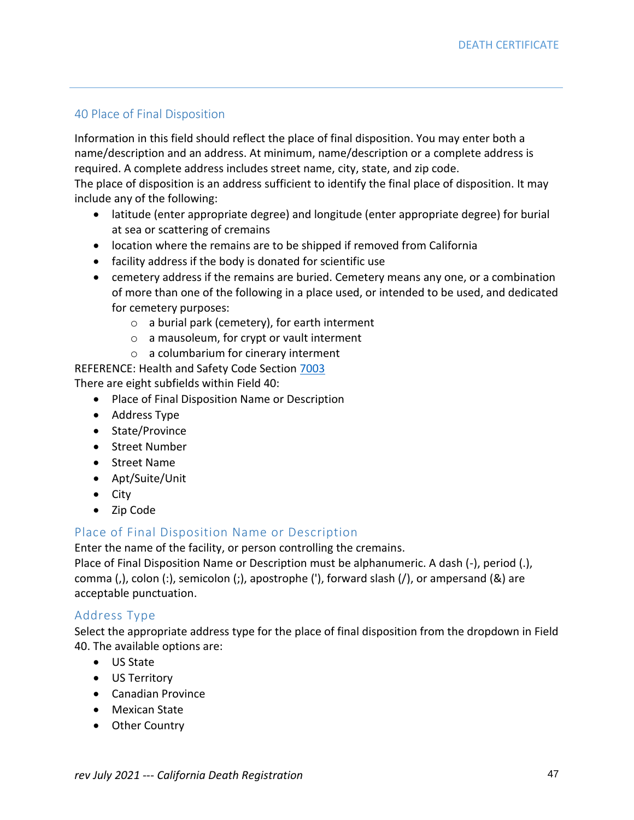# 40 Place of Final Disposition

Information in this field should reflect the place of final disposition. You may enter both a name/description and an address. At minimum, name/description or a complete address is required. A complete address includes street name, city, state, and zip code.

The place of disposition is an address sufficient to identify the final place of disposition. It may include any of the following:

- latitude (enter appropriate degree) and longitude (enter appropriate degree) for burial at sea or scattering of cremains
- location where the remains are to be shipped if removed from California
- facility address if the body is donated for scientific use
- cemetery address if the remains are buried. Cemetery means any one, or a combination of more than one of the following in a place used, or intended to be used, and dedicated for cemetery purposes:
	- o a burial park (cemetery), for earth interment
	- o a mausoleum, for crypt or vault interment
	- o a columbarium for cinerary interment

REFERENCE: Health and Safety Code Section [7003](http://leginfo.legislature.ca.gov/faces/codes_displaySection.xhtml?sectionNum=7003.&lawCode=HSC) There are eight subfields within Field 40:

- Place of Final Disposition Name or Description
- Address Type
- State/Province
- Street Number
- Street Name
- Apt/Suite/Unit
- City
- Zip Code

# Place of Final Disposition Name or Description

Enter the name of the facility, or person controlling the cremains.

Place of Final Disposition Name or Description must be alphanumeric. A dash (-), period (.), comma (,), colon (:), semicolon (;), apostrophe ('), forward slash (/), or ampersand (&) are acceptable punctuation.

### Address Type

Select the appropriate address type for the place of final disposition from the dropdown in Field 40. The available options are:

- US State
- US Territory
- Canadian Province
- Mexican State
- Other Country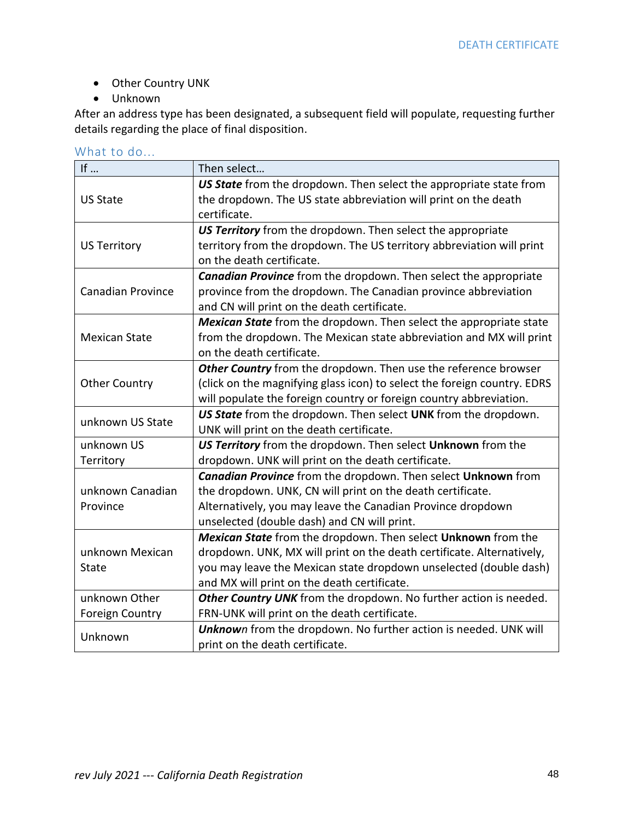- Other Country UNK
- Unknown

After an address type has been designated, a subsequent field will populate, requesting further details regarding the place of final disposition.

| What to do |  |  |  |
|------------|--|--|--|
|            |  |  |  |

| If $\ldots$                                                                                                                                                                                                                                         |
|-----------------------------------------------------------------------------------------------------------------------------------------------------------------------------------------------------------------------------------------------------|
|                                                                                                                                                                                                                                                     |
| <b>US State</b>                                                                                                                                                                                                                                     |
|                                                                                                                                                                                                                                                     |
|                                                                                                                                                                                                                                                     |
|                                                                                                                                                                                                                                                     |
|                                                                                                                                                                                                                                                     |
|                                                                                                                                                                                                                                                     |
|                                                                                                                                                                                                                                                     |
|                                                                                                                                                                                                                                                     |
|                                                                                                                                                                                                                                                     |
|                                                                                                                                                                                                                                                     |
|                                                                                                                                                                                                                                                     |
|                                                                                                                                                                                                                                                     |
|                                                                                                                                                                                                                                                     |
|                                                                                                                                                                                                                                                     |
| unknown US State                                                                                                                                                                                                                                    |
|                                                                                                                                                                                                                                                     |
|                                                                                                                                                                                                                                                     |
|                                                                                                                                                                                                                                                     |
|                                                                                                                                                                                                                                                     |
|                                                                                                                                                                                                                                                     |
|                                                                                                                                                                                                                                                     |
|                                                                                                                                                                                                                                                     |
|                                                                                                                                                                                                                                                     |
|                                                                                                                                                                                                                                                     |
|                                                                                                                                                                                                                                                     |
|                                                                                                                                                                                                                                                     |
|                                                                                                                                                                                                                                                     |
|                                                                                                                                                                                                                                                     |
|                                                                                                                                                                                                                                                     |
| <b>US Territory</b><br><b>Canadian Province</b><br><b>Mexican State</b><br><b>Other Country</b><br>unknown US<br>Territory<br>unknown Canadian<br>Province<br>unknown Mexican<br><b>State</b><br>unknown Other<br><b>Foreign Country</b><br>Unknown |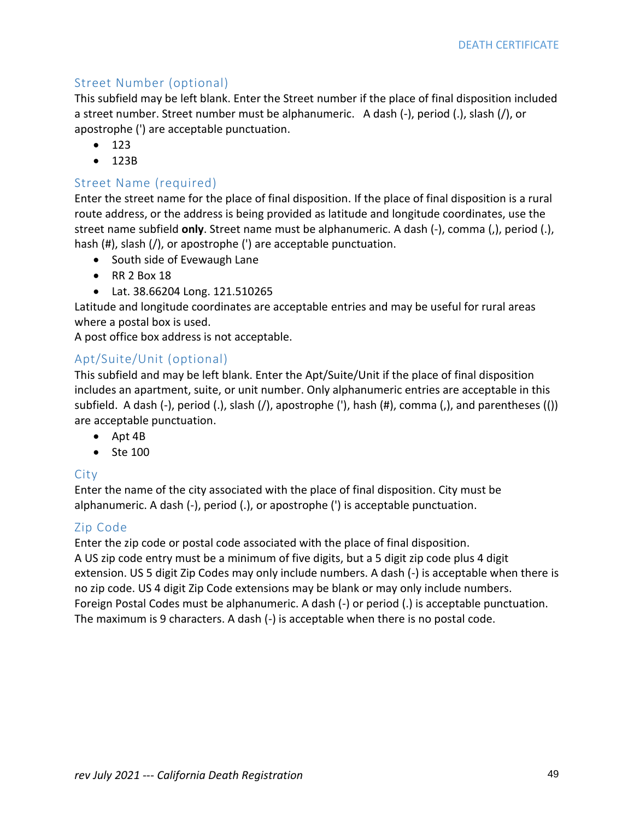# Street Number (optional)

This subfield may be left blank. Enter the Street number if the place of final disposition included a street number. Street number must be alphanumeric. A dash (-), period (.), slash (/), or apostrophe (') are acceptable punctuation.

- 123
- 123B

## Street Name (required)

Enter the street name for the place of final disposition. If the place of final disposition is a rural route address, or the address is being provided as latitude and longitude coordinates, use the street name subfield **only**. Street name must be alphanumeric. A dash (-), comma (,), period (.), hash (#), slash (/), or apostrophe (') are acceptable punctuation.

- South side of Evewaugh Lane
- RR 2 Box 18
- Lat. 38.66204 Long. 121.510265

Latitude and longitude coordinates are acceptable entries and may be useful for rural areas where a postal box is used.

A post office box address is not acceptable.

# Apt/Suite/Unit (optional)

This subfield and may be left blank. Enter the Apt/Suite/Unit if the place of final disposition includes an apartment, suite, or unit number. Only alphanumeric entries are acceptable in this subfield. A dash (-), period (.), slash (/), apostrophe ('), hash (#), comma (,), and parentheses (()) are acceptable punctuation.

- Apt 4B
- Ste 100

### **City**

Enter the name of the city associated with the place of final disposition. City must be alphanumeric. A dash (-), period (.), or apostrophe (') is acceptable punctuation.

# Zip Code

Enter the zip code or postal code associated with the place of final disposition.

A US zip code entry must be a minimum of five digits, but a 5 digit zip code plus 4 digit extension. US 5 digit Zip Codes may only include numbers. A dash (-) is acceptable when there is no zip code. US 4 digit Zip Code extensions may be blank or may only include numbers. Foreign Postal Codes must be alphanumeric. A dash (-) or period (.) is acceptable punctuation. The maximum is 9 characters. A dash (-) is acceptable when there is no postal code.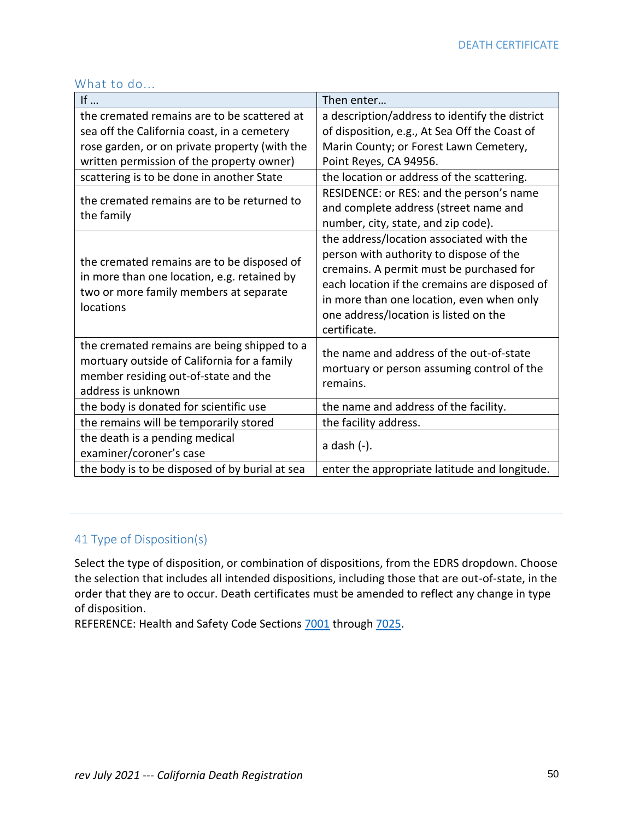| If $\ldots$                                                                                                                                              | Then enter                                                                                                                                                                                                                                                                             |
|----------------------------------------------------------------------------------------------------------------------------------------------------------|----------------------------------------------------------------------------------------------------------------------------------------------------------------------------------------------------------------------------------------------------------------------------------------|
| the cremated remains are to be scattered at                                                                                                              | a description/address to identify the district                                                                                                                                                                                                                                         |
| sea off the California coast, in a cemetery                                                                                                              | of disposition, e.g., At Sea Off the Coast of                                                                                                                                                                                                                                          |
| rose garden, or on private property (with the                                                                                                            | Marin County; or Forest Lawn Cemetery,                                                                                                                                                                                                                                                 |
| written permission of the property owner)                                                                                                                | Point Reyes, CA 94956.                                                                                                                                                                                                                                                                 |
| scattering is to be done in another State                                                                                                                | the location or address of the scattering.                                                                                                                                                                                                                                             |
| the cremated remains are to be returned to                                                                                                               | RESIDENCE: or RES: and the person's name<br>and complete address (street name and                                                                                                                                                                                                      |
| the family                                                                                                                                               | number, city, state, and zip code).                                                                                                                                                                                                                                                    |
| the cremated remains are to be disposed of<br>in more than one location, e.g. retained by<br>two or more family members at separate<br>locations         | the address/location associated with the<br>person with authority to dispose of the<br>cremains. A permit must be purchased for<br>each location if the cremains are disposed of<br>in more than one location, even when only<br>one address/location is listed on the<br>certificate. |
| the cremated remains are being shipped to a<br>mortuary outside of California for a family<br>member residing out-of-state and the<br>address is unknown | the name and address of the out-of-state<br>mortuary or person assuming control of the<br>remains.                                                                                                                                                                                     |
| the body is donated for scientific use                                                                                                                   | the name and address of the facility.                                                                                                                                                                                                                                                  |
| the remains will be temporarily stored                                                                                                                   | the facility address.                                                                                                                                                                                                                                                                  |
| the death is a pending medical<br>examiner/coroner's case                                                                                                | a dash (-).                                                                                                                                                                                                                                                                            |
| the body is to be disposed of by burial at sea                                                                                                           | enter the appropriate latitude and longitude.                                                                                                                                                                                                                                          |

#### What to do...

# 41 Type of Disposition(s)

Select the type of disposition, or combination of dispositions, from the EDRS dropdown. Choose the selection that includes all intended dispositions, including those that are out-of-state, in the order that they are to occur. Death certificates must be amended to reflect any change in type of disposition.

REFERENCE: Health and Safety Code Sections [7001](http://leginfo.legislature.ca.gov/faces/codes_displaySection.xhtml?sectionNum=7001.&lawCode=HSC) through [7025.](http://leginfo.legislature.ca.gov/faces/codes_displaySection.xhtml?sectionNum=7025.&lawCode=HSC)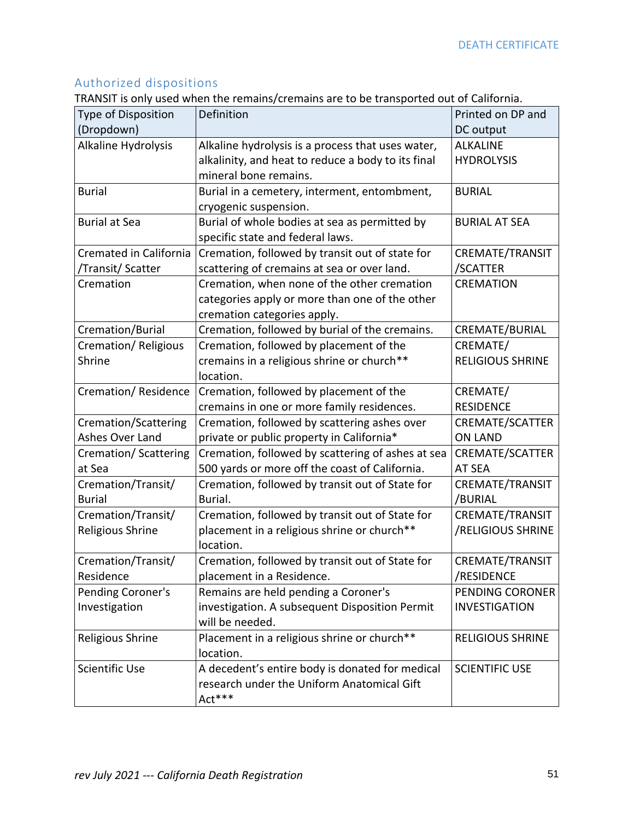# Authorized dispositions

TRANSIT is only used when the remains/cremains are to be transported out of California.

| Type of Disposition    | Definition                                         | Printed on DP and       |
|------------------------|----------------------------------------------------|-------------------------|
| (Dropdown)             |                                                    | DC output               |
| Alkaline Hydrolysis    | Alkaline hydrolysis is a process that uses water,  | <b>ALKALINE</b>         |
|                        | alkalinity, and heat to reduce a body to its final | <b>HYDROLYSIS</b>       |
|                        | mineral bone remains.                              |                         |
| <b>Burial</b>          | Burial in a cemetery, interment, entombment,       | <b>BURIAL</b>           |
|                        | cryogenic suspension.                              |                         |
| <b>Burial at Sea</b>   | Burial of whole bodies at sea as permitted by      | <b>BURIAL AT SEA</b>    |
|                        | specific state and federal laws.                   |                         |
| Cremated in California | Cremation, followed by transit out of state for    | CREMATE/TRANSIT         |
| /Transit/ Scatter      | scattering of cremains at sea or over land.        | /SCATTER                |
| Cremation              | Cremation, when none of the other cremation        | <b>CREMATION</b>        |
|                        | categories apply or more than one of the other     |                         |
|                        | cremation categories apply.                        |                         |
| Cremation/Burial       | Cremation, followed by burial of the cremains.     | CREMATE/BURIAL          |
| Cremation/Religious    | Cremation, followed by placement of the            | CREMATE/                |
| Shrine                 | cremains in a religious shrine or church**         | <b>RELIGIOUS SHRINE</b> |
|                        | location.                                          |                         |
| Cremation/Residence    | Cremation, followed by placement of the            | CREMATE/                |
|                        | cremains in one or more family residences.         | <b>RESIDENCE</b>        |
| Cremation/Scattering   | Cremation, followed by scattering ashes over       | CREMATE/SCATTER         |
| Ashes Over Land        | private or public property in California*          | <b>ON LAND</b>          |
| Cremation/ Scattering  | Cremation, followed by scattering of ashes at sea  | CREMATE/SCATTER         |
| at Sea                 | 500 yards or more off the coast of California.     | AT SEA                  |
| Cremation/Transit/     | Cremation, followed by transit out of State for    | CREMATE/TRANSIT         |
| <b>Burial</b>          | Burial.                                            | /BURIAL                 |
| Cremation/Transit/     | Cremation, followed by transit out of State for    | CREMATE/TRANSIT         |
| Religious Shrine       | placement in a religious shrine or church**        | /RELIGIOUS SHRINE       |
|                        | location.                                          |                         |
| Cremation/Transit/     | Cremation, followed by transit out of State for    | CREMATE/TRANSIT         |
| Residence              | placement in a Residence.                          | /RESIDENCE              |
| Pending Coroner's      | Remains are held pending a Coroner's               | PENDING CORONER         |
| Investigation          | investigation. A subsequent Disposition Permit     | <b>INVESTIGATION</b>    |
|                        | will be needed.                                    |                         |
| Religious Shrine       | Placement in a religious shrine or church**        | <b>RELIGIOUS SHRINE</b> |
|                        | location.                                          |                         |
| Scientific Use         | A decedent's entire body is donated for medical    | <b>SCIENTIFIC USE</b>   |
|                        | research under the Uniform Anatomical Gift         |                         |
|                        | Act***                                             |                         |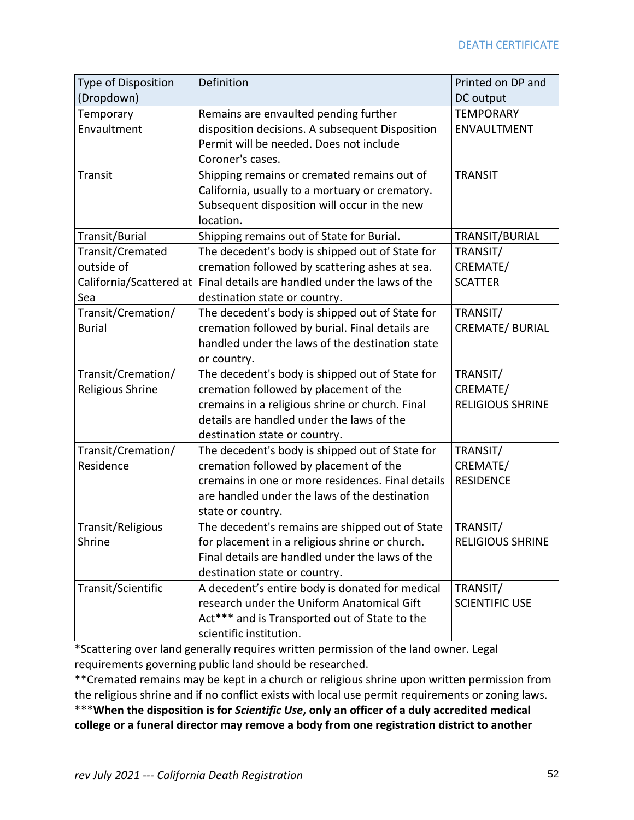| <b>Type of Disposition</b> | Definition                                        | Printed on DP and       |
|----------------------------|---------------------------------------------------|-------------------------|
| (Dropdown)                 |                                                   | DC output               |
| Temporary                  | Remains are envaulted pending further             | <b>TEMPORARY</b>        |
| Envaultment                | disposition decisions. A subsequent Disposition   | ENVAULTMENT             |
|                            | Permit will be needed. Does not include           |                         |
|                            | Coroner's cases.                                  |                         |
| Transit                    | Shipping remains or cremated remains out of       | <b>TRANSIT</b>          |
|                            | California, usually to a mortuary or crematory.   |                         |
|                            | Subsequent disposition will occur in the new      |                         |
|                            | location.                                         |                         |
| Transit/Burial             | Shipping remains out of State for Burial.         | TRANSIT/BURIAL          |
| Transit/Cremated           | The decedent's body is shipped out of State for   | TRANSIT/                |
| outside of                 | cremation followed by scattering ashes at sea.    | CREMATE/                |
| California/Scattered at    | Final details are handled under the laws of the   | <b>SCATTER</b>          |
| Sea                        | destination state or country.                     |                         |
| Transit/Cremation/         | The decedent's body is shipped out of State for   | TRANSIT/                |
| <b>Burial</b>              | cremation followed by burial. Final details are   | <b>CREMATE/ BURIAL</b>  |
|                            | handled under the laws of the destination state   |                         |
|                            | or country.                                       |                         |
| Transit/Cremation/         | The decedent's body is shipped out of State for   | TRANSIT/                |
| Religious Shrine           | cremation followed by placement of the            | CREMATE/                |
|                            | cremains in a religious shrine or church. Final   | <b>RELIGIOUS SHRINE</b> |
|                            | details are handled under the laws of the         |                         |
|                            | destination state or country.                     |                         |
| Transit/Cremation/         | The decedent's body is shipped out of State for   | TRANSIT/                |
| Residence                  | cremation followed by placement of the            | CREMATE/                |
|                            | cremains in one or more residences. Final details | <b>RESIDENCE</b>        |
|                            | are handled under the laws of the destination     |                         |
|                            | state or country.                                 |                         |
| Transit/Religious          | The decedent's remains are shipped out of State   | TRANSIT/                |
| Shrine                     | for placement in a religious shrine or church.    | <b>RELIGIOUS SHRINE</b> |
|                            | Final details are handled under the laws of the   |                         |
|                            | destination state or country.                     |                         |
| Transit/Scientific         | A decedent's entire body is donated for medical   | TRANSIT/                |
|                            | research under the Uniform Anatomical Gift        | <b>SCIENTIFIC USE</b>   |
|                            | Act*** and is Transported out of State to the     |                         |
|                            | scientific institution.                           |                         |

\*Scattering over land generally requires written permission of the land owner. Legal requirements governing public land should be researched.

\*\*Cremated remains may be kept in a church or religious shrine upon written permission from the religious shrine and if no conflict exists with local use permit requirements or zoning laws. \*\*\***When the disposition is for** *Scientific Use***, only an officer of a duly accredited medical college or a funeral director may remove a body from one registration district to another**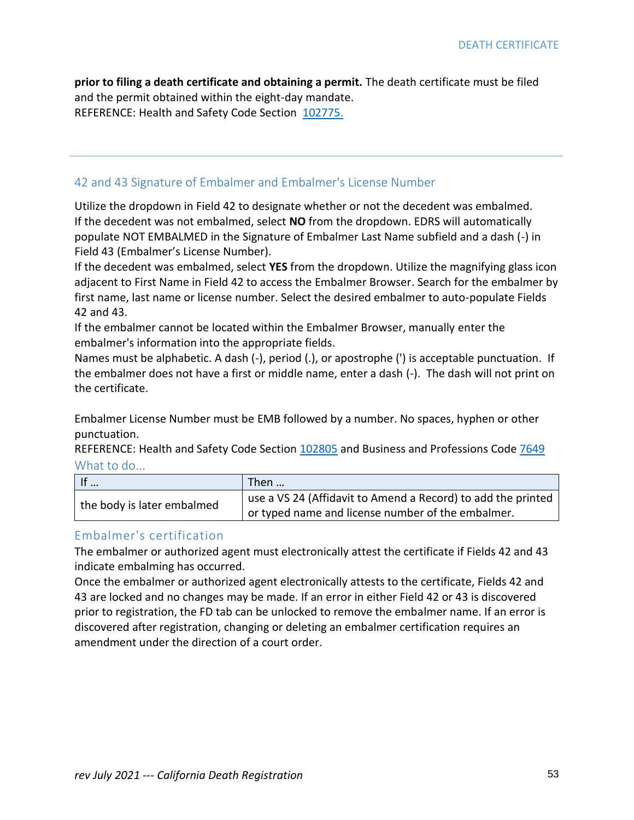**prior to filing a death certificate and obtaining a permit.** The death certificate must be filed and the permit obtained within the eight-day mandate. REFERENCE: Health and Safety Code Section [102775.](http://leginfo.legislature.ca.gov/faces/codes_displaySection.xhtml?sectionNum=102775&lawCode=HSC)

### 42 and 43 Signature of Embalmer and Embalmer's License Number

Utilize the dropdown in Field 42 to designate whether or not the decedent was embalmed. If the decedent was not embalmed, select **NO** from the dropdown. EDRS will automatically populate NOT EMBALMED in the Signature of Embalmer Last Name subfield and a dash (-) in Field 43 (Embalmer's License Number).

If the decedent was embalmed, select **YES** from the dropdown. Utilize the magnifying glass icon adjacent to First Name in Field 42 to access the Embalmer Browser. Search for the embalmer by first name, last name or license number. Select the desired embalmer to auto-populate Fields 42 and 43.

If the embalmer cannot be located within the Embalmer Browser, manually enter the embalmer's information into the appropriate fields.

Names must be alphabetic. A dash (-), period (.), or apostrophe (') is acceptable punctuation. If the embalmer does not have a first or middle name, enter a dash (-). The dash will not print on the certificate.

Embalmer License Number must be EMB followed by a number. No spaces, hyphen or other punctuation.

REFERENCE: Health and Safety Code Section [102805](http://leginfo.legislature.ca.gov/faces/codes_displaySection.xhtml?sectionNum=102805&lawCode=HSC) and Business and Professions Code [7649](http://leginfo.legislature.ca.gov/faces/codes_displaySection.xhtml?sectionNum=7649&lawCode=BPC) What to do...

| If                         | Then                                                         |
|----------------------------|--------------------------------------------------------------|
| the body is later embalmed | use a VS 24 (Affidavit to Amend a Record) to add the printed |
|                            | or typed name and license number of the embalmer.            |

### Embalmer's certification

The embalmer or authorized agent must electronically attest the certificate if Fields 42 and 43 indicate embalming has occurred.

Once the embalmer or authorized agent electronically attests to the certificate, Fields 42 and 43 are locked and no changes may be made. If an error in either Field 42 or 43 is discovered prior to registration, the FD tab can be unlocked to remove the embalmer name. If an error is discovered after registration, changing or deleting an embalmer certification requires an amendment under the direction of a court order.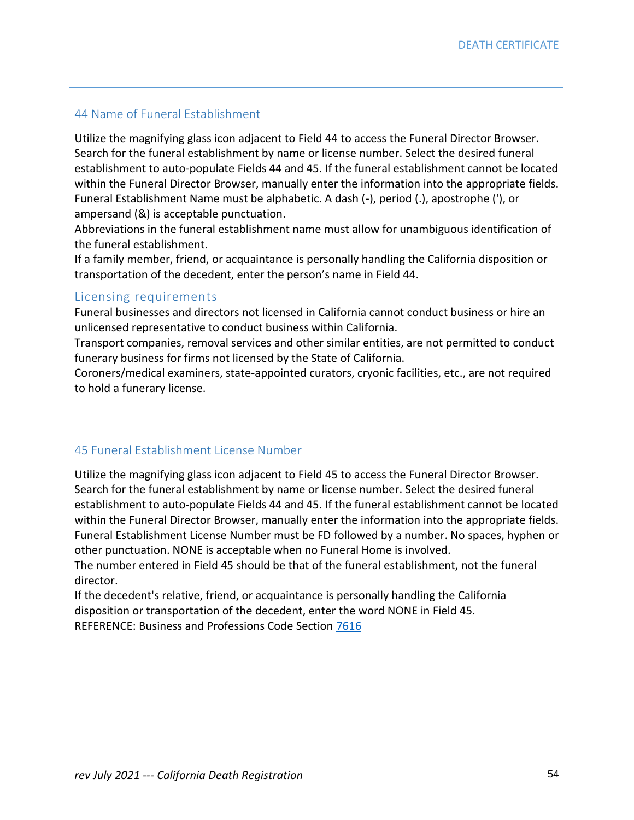# 44 Name of Funeral Establishment

Utilize the magnifying glass icon adjacent to Field 44 to access the Funeral Director Browser. Search for the funeral establishment by name or license number. Select the desired funeral establishment to auto-populate Fields 44 and 45. If the funeral establishment cannot be located within the Funeral Director Browser, manually enter the information into the appropriate fields. Funeral Establishment Name must be alphabetic. A dash (-), period (.), apostrophe ('), or ampersand (&) is acceptable punctuation.

Abbreviations in the funeral establishment name must allow for unambiguous identification of the funeral establishment.

If a family member, friend, or acquaintance is personally handling the California disposition or transportation of the decedent, enter the person's name in Field 44.

#### Licensing requirements

Funeral businesses and directors not licensed in California cannot conduct business or hire an unlicensed representative to conduct business within California.

Transport companies, removal services and other similar entities, are not permitted to conduct funerary business for firms not licensed by the State of California.

Coroners/medical examiners, state-appointed curators, cryonic facilities, etc., are not required to hold a funerary license.

### 45 Funeral Establishment License Number

Utilize the magnifying glass icon adjacent to Field 45 to access the Funeral Director Browser. Search for the funeral establishment by name or license number. Select the desired funeral establishment to auto-populate Fields 44 and 45. If the funeral establishment cannot be located within the Funeral Director Browser, manually enter the information into the appropriate fields. Funeral Establishment License Number must be FD followed by a number. No spaces, hyphen or other punctuation. NONE is acceptable when no Funeral Home is involved.

The number entered in Field 45 should be that of the funeral establishment, not the funeral director.

If the decedent's relative, friend, or acquaintance is personally handling the California disposition or transportation of the decedent, enter the word NONE in Field 45. REFERENCE: Business and Professions Code Section [7616](http://leginfo.legislature.ca.gov/faces/codes_displaySection.xhtml?sectionNum=7616&lawCode=BPC)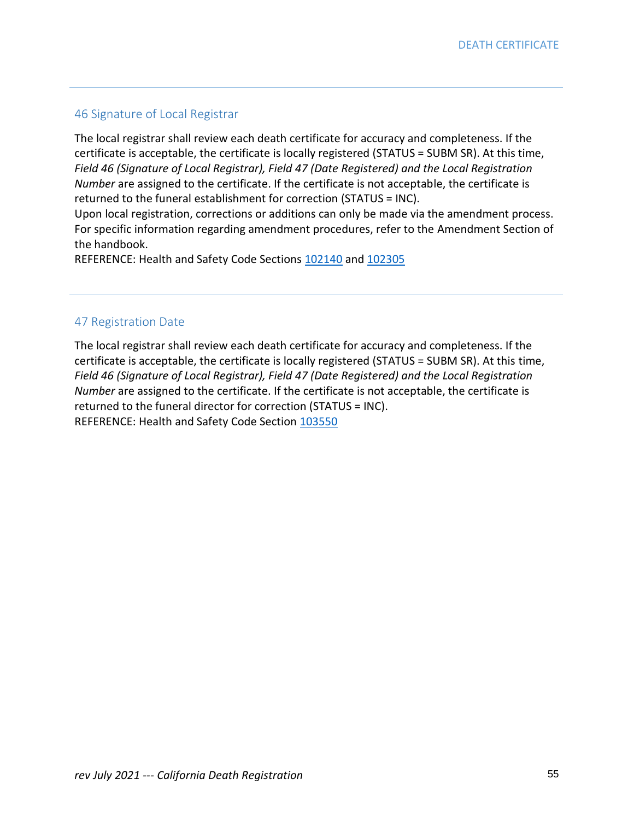# 46 Signature of Local Registrar

The local registrar shall review each death certificate for accuracy and completeness. If the certificate is acceptable, the certificate is locally registered (STATUS = SUBM SR). At this time, *Field 46 (Signature of Local Registrar), Field 47 (Date Registered) and the Local Registration Number* are assigned to the certificate. If the certificate is not acceptable, the certificate is returned to the funeral establishment for correction (STATUS = INC).

Upon local registration, corrections or additions can only be made via the amendment process. For specific information regarding amendment procedures, refer to the Amendment Section of the handbook.

REFERENCE: Health and Safety Code Sections [102140](http://leginfo.legislature.ca.gov/faces/codes_displaySection.xhtml?sectionNum=102140&lawCode=HSC) and [102305](http://leginfo.legislature.ca.gov/faces/codes_displaySection.xhtml?sectionNum=102305&lawCode=HSC)

# 47 Registration Date

The local registrar shall review each death certificate for accuracy and completeness. If the certificate is acceptable, the certificate is locally registered (STATUS = SUBM SR). At this time, *Field 46 (Signature of Local Registrar), Field 47 (Date Registered) and the Local Registration Number* are assigned to the certificate. If the certificate is not acceptable, the certificate is returned to the funeral director for correction (STATUS = INC). REFERENCE: Health and Safety Code Section [103550](http://leginfo.legislature.ca.gov/faces/codes_displaySection.xhtml?sectionNum=103550&lawCode=HSC)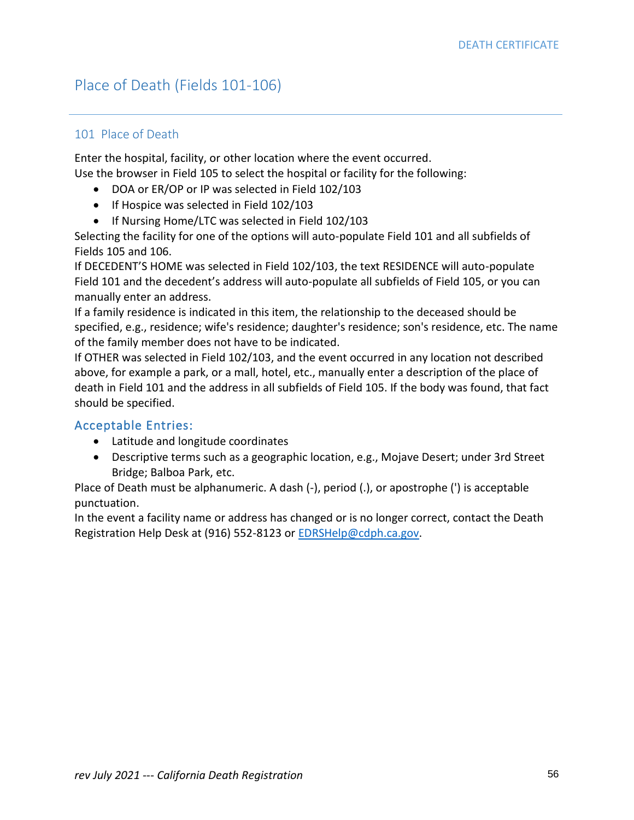# Place of Death (Fields 101-106)

### 101 Place of Death

Enter the hospital, facility, or other location where the event occurred. Use the browser in Field 105 to select the hospital or facility for the following:

- DOA or ER/OP or IP was selected in Field 102/103
- If Hospice was selected in Field 102/103
- If Nursing Home/LTC was selected in Field 102/103

Selecting the facility for one of the options will auto-populate Field 101 and all subfields of Fields 105 and 106.

If DECEDENT'S HOME was selected in Field 102/103, the text RESIDENCE will auto-populate Field 101 and the decedent's address will auto-populate all subfields of Field 105, or you can manually enter an address.

If a family residence is indicated in this item, the relationship to the deceased should be specified, e.g., residence; wife's residence; daughter's residence; son's residence, etc. The name of the family member does not have to be indicated.

If OTHER was selected in Field 102/103, and the event occurred in any location not described above, for example a park, or a mall, hotel, etc., manually enter a description of the place of death in Field 101 and the address in all subfields of Field 105. If the body was found, that fact should be specified.

### Acceptable Entries:

- Latitude and longitude coordinates
- Descriptive terms such as a geographic location, e.g., Mojave Desert; under 3rd Street Bridge; Balboa Park, etc.

Place of Death must be alphanumeric. A dash (-), period (.), or apostrophe (') is acceptable punctuation.

In the event a facility name or address has changed or is no longer correct, contact the Death Registration Help Desk at (916) 552-8123 or **EDRSHelp@cdph.ca.gov.**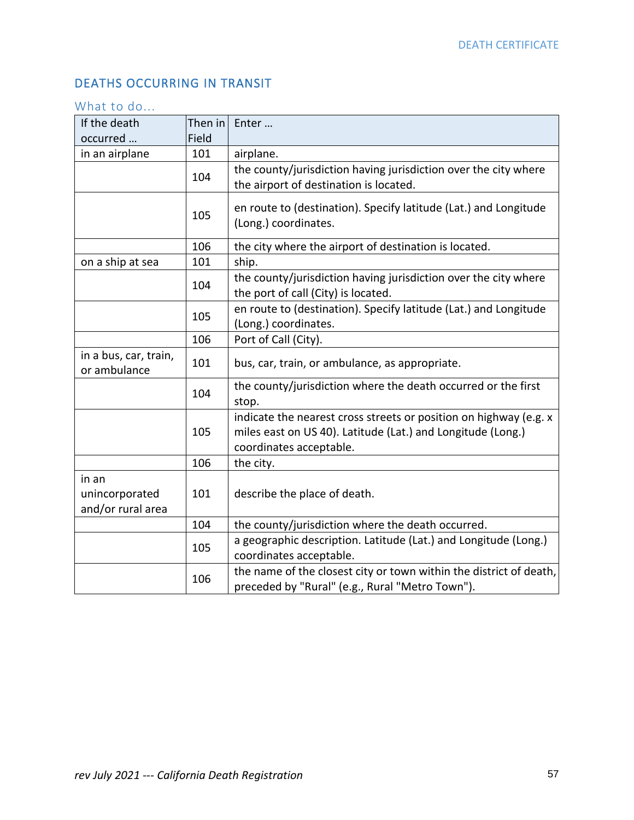# DEATHS OCCURRING IN TRANSIT

# What to do...

| If the death                          | Then in | Enter                                                                                                                            |
|---------------------------------------|---------|----------------------------------------------------------------------------------------------------------------------------------|
| occurred                              | Field   |                                                                                                                                  |
| in an airplane                        | 101     | airplane.                                                                                                                        |
|                                       | 104     | the county/jurisdiction having jurisdiction over the city where                                                                  |
|                                       |         | the airport of destination is located.                                                                                           |
|                                       | 105     | en route to (destination). Specify latitude (Lat.) and Longitude                                                                 |
|                                       |         | (Long.) coordinates.                                                                                                             |
|                                       | 106     | the city where the airport of destination is located.                                                                            |
| on a ship at sea                      | 101     | ship.                                                                                                                            |
|                                       | 104     | the county/jurisdiction having jurisdiction over the city where                                                                  |
|                                       |         | the port of call (City) is located.                                                                                              |
|                                       | 105     | en route to (destination). Specify latitude (Lat.) and Longitude                                                                 |
|                                       |         | (Long.) coordinates.                                                                                                             |
|                                       | 106     | Port of Call (City).                                                                                                             |
| in a bus, car, train,<br>or ambulance | 101     | bus, car, train, or ambulance, as appropriate.                                                                                   |
|                                       | 104     | the county/jurisdiction where the death occurred or the first                                                                    |
|                                       |         | stop.                                                                                                                            |
|                                       | 105     | indicate the nearest cross streets or position on highway (e.g. x<br>miles east on US 40). Latitude (Lat.) and Longitude (Long.) |
|                                       |         | coordinates acceptable.                                                                                                          |
|                                       | 106     | the city.                                                                                                                        |
| in an                                 |         |                                                                                                                                  |
| unincorporated                        | 101     | describe the place of death.                                                                                                     |
| and/or rural area                     |         |                                                                                                                                  |
|                                       | 104     | the county/jurisdiction where the death occurred.                                                                                |
|                                       |         | a geographic description. Latitude (Lat.) and Longitude (Long.)                                                                  |
|                                       | 105     | coordinates acceptable.                                                                                                          |
|                                       | 106     | the name of the closest city or town within the district of death,                                                               |
|                                       |         | preceded by "Rural" (e.g., Rural "Metro Town").                                                                                  |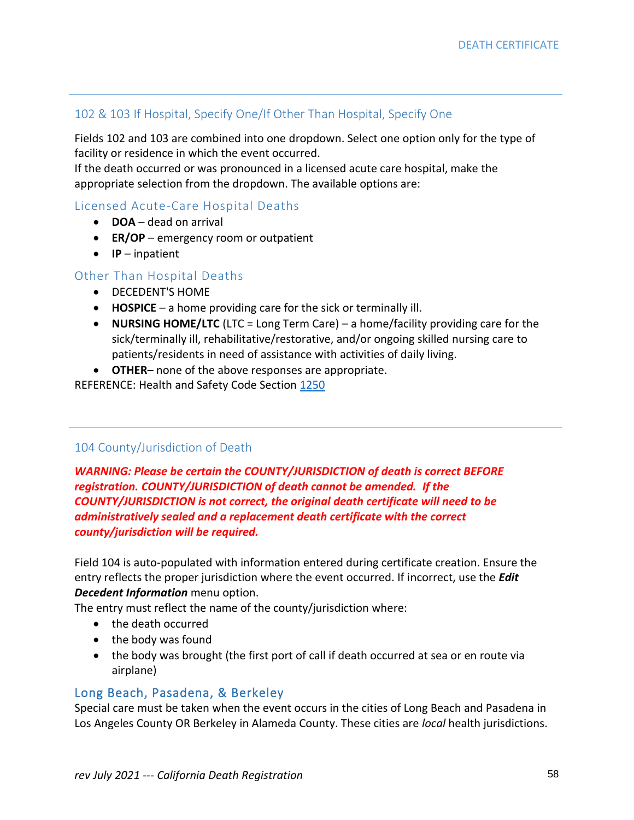# 102 & 103 If Hospital, Specify One/If Other Than Hospital, Specify One

Fields 102 and 103 are combined into one dropdown. Select one option only for the type of facility or residence in which the event occurred.

If the death occurred or was pronounced in a licensed acute care hospital, make the appropriate selection from the dropdown. The available options are:

# Licensed Acute-Care Hospital Deaths

- **DOA** dead on arrival
- **ER/OP** emergency room or outpatient
- **IP** inpatient

## Other Than Hospital Deaths

- DECEDENT'S HOME
- **HOSPICE**  a home providing care for the sick or terminally ill.
- **NURSING HOME/LTC** (LTC = Long Term Care) a home/facility providing care for the sick/terminally ill, rehabilitative/restorative, and/or ongoing skilled nursing care to patients/residents in need of assistance with activities of daily living.
- **OTHER** none of the above responses are appropriate.

REFERENCE: Health and Safety Code Section [1250](http://leginfo.legislature.ca.gov/faces/codes_displaySection.xhtml?sectionNum=1250&lawCode=HSC)

### 104 County/Jurisdiction of Death

*WARNING: Please be certain the COUNTY/JURISDICTION of death is correct BEFORE registration. COUNTY/JURISDICTION of death cannot be amended. If the COUNTY/JURISDICTION is not correct, the original death certificate will need to be administratively sealed and a replacement death certificate with the correct county/jurisdiction will be required.*

Field 104 is auto-populated with information entered during certificate creation. Ensure the entry reflects the proper jurisdiction where the event occurred. If incorrect, use the *Edit Decedent Information* menu option.

The entry must reflect the name of the county/jurisdiction where:

- the death occurred
- the body was found
- the body was brought (the first port of call if death occurred at sea or en route via airplane)

### Long Beach, Pasadena, & Berkeley

Special care must be taken when the event occurs in the cities of Long Beach and Pasadena in Los Angeles County OR Berkeley in Alameda County. These cities are *local* health jurisdictions.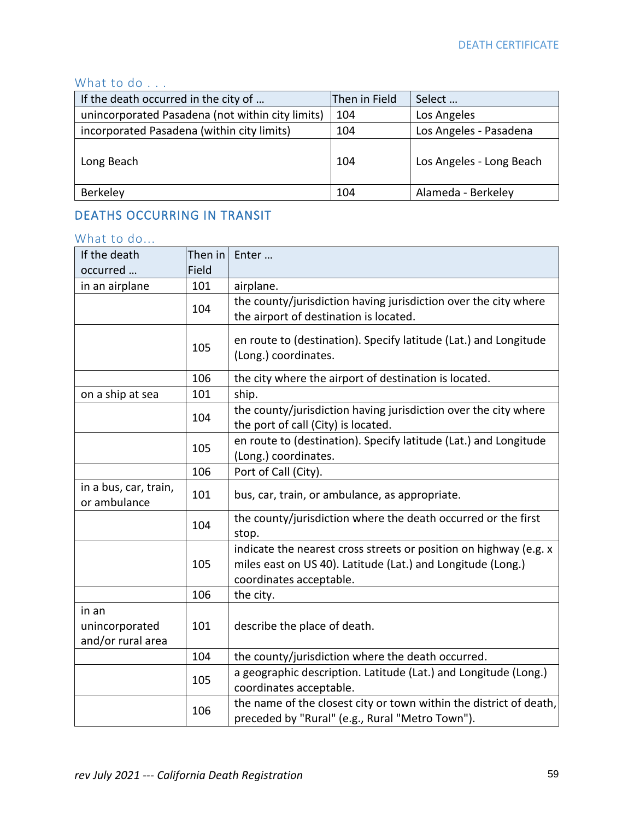# What to do . . .

| If the death occurred in the city of             | Then in Field | Select                   |
|--------------------------------------------------|---------------|--------------------------|
| unincorporated Pasadena (not within city limits) | 104           | Los Angeles              |
| incorporated Pasadena (within city limits)       | 104           | Los Angeles - Pasadena   |
| Long Beach                                       | 104           | Los Angeles - Long Beach |
| Berkeley                                         | 104           | Alameda - Berkeley       |

# DEATHS OCCURRING IN TRANSIT

# What to do...

| If the death                          | Then in | Enter                                                                                                                 |
|---------------------------------------|---------|-----------------------------------------------------------------------------------------------------------------------|
| occurred                              | Field   |                                                                                                                       |
| in an airplane                        | 101     | airplane.                                                                                                             |
|                                       | 104     | the county/jurisdiction having jurisdiction over the city where                                                       |
|                                       |         | the airport of destination is located.                                                                                |
|                                       |         | en route to (destination). Specify latitude (Lat.) and Longitude                                                      |
|                                       | 105     | (Long.) coordinates.                                                                                                  |
|                                       | 106     | the city where the airport of destination is located.                                                                 |
| on a ship at sea                      | 101     | ship.                                                                                                                 |
|                                       |         | the county/jurisdiction having jurisdiction over the city where                                                       |
|                                       | 104     | the port of call (City) is located.                                                                                   |
|                                       |         | en route to (destination). Specify latitude (Lat.) and Longitude                                                      |
|                                       | 105     | (Long.) coordinates.                                                                                                  |
|                                       | 106     | Port of Call (City).                                                                                                  |
| in a bus, car, train,<br>or ambulance | 101     | bus, car, train, or ambulance, as appropriate.                                                                        |
|                                       | 104     | the county/jurisdiction where the death occurred or the first                                                         |
|                                       |         | stop.                                                                                                                 |
|                                       |         | indicate the nearest cross streets or position on highway (e.g. x                                                     |
|                                       | 105     | miles east on US 40). Latitude (Lat.) and Longitude (Long.)                                                           |
|                                       |         | coordinates acceptable.                                                                                               |
|                                       | 106     | the city.                                                                                                             |
| in an                                 |         |                                                                                                                       |
| unincorporated                        | 101     | describe the place of death.                                                                                          |
| and/or rural area                     |         |                                                                                                                       |
|                                       | 104     | the county/jurisdiction where the death occurred.                                                                     |
|                                       | 105     | a geographic description. Latitude (Lat.) and Longitude (Long.)                                                       |
|                                       |         | coordinates acceptable.                                                                                               |
|                                       | 106     | the name of the closest city or town within the district of death,<br>preceded by "Rural" (e.g., Rural "Metro Town"). |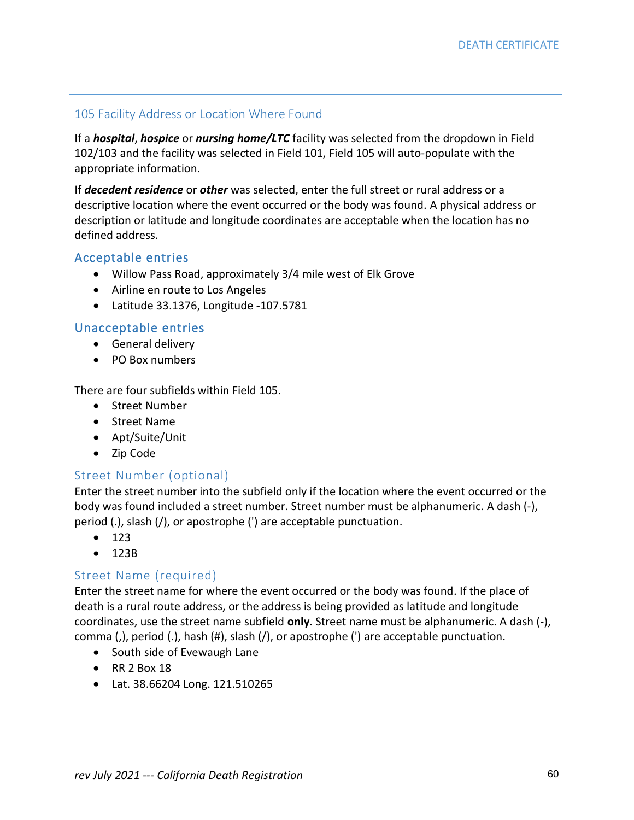### 105 Facility Address or Location Where Found

If a *hospital*, *hospice* or *nursing home/LTC* facility was selected from the dropdown in Field 102/103 and the facility was selected in Field 101, Field 105 will auto-populate with the appropriate information.

If *decedent residence* or *other* was selected, enter the full street or rural address or a descriptive location where the event occurred or the body was found. A physical address or description or latitude and longitude coordinates are acceptable when the location has no defined address.

### Acceptable entries

- Willow Pass Road, approximately 3/4 mile west of Elk Grove
- Airline en route to Los Angeles
- Latitude 33.1376, Longitude -107.5781

## Unacceptable entries

- General delivery
- PO Box numbers

There are four subfields within Field 105.

- Street Number
- Street Name
- Apt/Suite/Unit
- Zip Code

### Street Number (optional)

Enter the street number into the subfield only if the location where the event occurred or the body was found included a street number. Street number must be alphanumeric. A dash (-), period (.), slash (/), or apostrophe (') are acceptable punctuation.

- 123
- 123B

### Street Name (required)

Enter the street name for where the event occurred or the body was found. If the place of death is a rural route address, or the address is being provided as latitude and longitude coordinates, use the street name subfield **only**. Street name must be alphanumeric. A dash (-), comma (,), period (.), hash (#), slash (/), or apostrophe (') are acceptable punctuation.

- South side of Evewaugh Lane
- RR 2 Box 18
- Lat. 38.66204 Long. 121.510265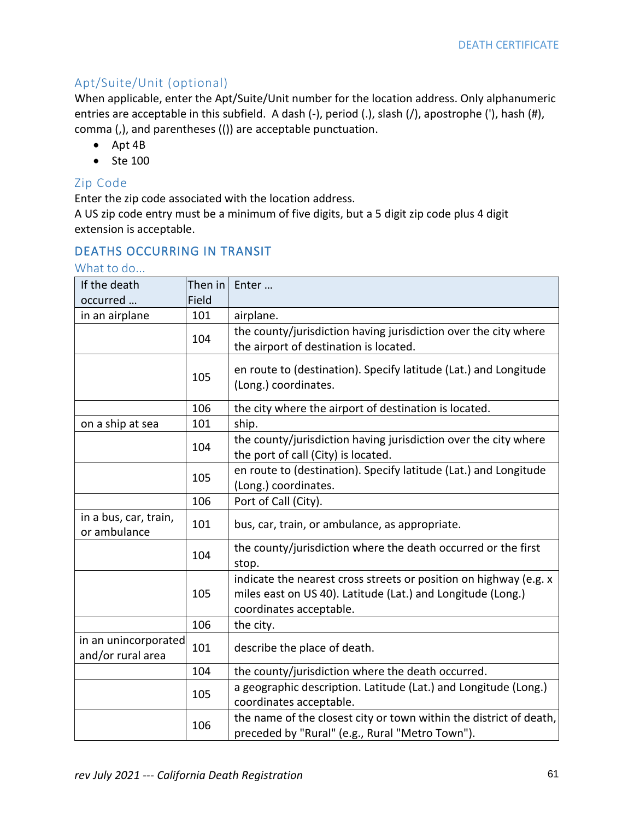# Apt/Suite/Unit (optional)

When applicable, enter the Apt/Suite/Unit number for the location address. Only alphanumeric entries are acceptable in this subfield. A dash (-), period (.), slash (/), apostrophe ('), hash (#), comma (,), and parentheses (()) are acceptable punctuation.

- Apt 4B
- Ste 100

## Zip Code

Enter the zip code associated with the location address.

A US zip code entry must be a minimum of five digits, but a 5 digit zip code plus 4 digit extension is acceptable.

# DEATHS OCCURRING IN TRANSIT

### What to do...

| If the death                              | Then in | Enter                                                                                                                                                       |
|-------------------------------------------|---------|-------------------------------------------------------------------------------------------------------------------------------------------------------------|
| occurred                                  | Field   |                                                                                                                                                             |
| in an airplane                            | 101     | airplane.                                                                                                                                                   |
|                                           | 104     | the county/jurisdiction having jurisdiction over the city where<br>the airport of destination is located.                                                   |
|                                           | 105     | en route to (destination). Specify latitude (Lat.) and Longitude<br>(Long.) coordinates.                                                                    |
|                                           | 106     | the city where the airport of destination is located.                                                                                                       |
| on a ship at sea                          | 101     | ship.                                                                                                                                                       |
|                                           | 104     | the county/jurisdiction having jurisdiction over the city where<br>the port of call (City) is located.                                                      |
|                                           | 105     | en route to (destination). Specify latitude (Lat.) and Longitude<br>(Long.) coordinates.                                                                    |
|                                           | 106     | Port of Call (City).                                                                                                                                        |
| in a bus, car, train,<br>or ambulance     | 101     | bus, car, train, or ambulance, as appropriate.                                                                                                              |
|                                           | 104     | the county/jurisdiction where the death occurred or the first<br>stop.                                                                                      |
|                                           | 105     | indicate the nearest cross streets or position on highway (e.g. x<br>miles east on US 40). Latitude (Lat.) and Longitude (Long.)<br>coordinates acceptable. |
|                                           | 106     | the city.                                                                                                                                                   |
| in an unincorporated<br>and/or rural area | 101     | describe the place of death.                                                                                                                                |
|                                           | 104     | the county/jurisdiction where the death occurred.                                                                                                           |
|                                           | 105     | a geographic description. Latitude (Lat.) and Longitude (Long.)<br>coordinates acceptable.                                                                  |
|                                           | 106     | the name of the closest city or town within the district of death,<br>preceded by "Rural" (e.g., Rural "Metro Town").                                       |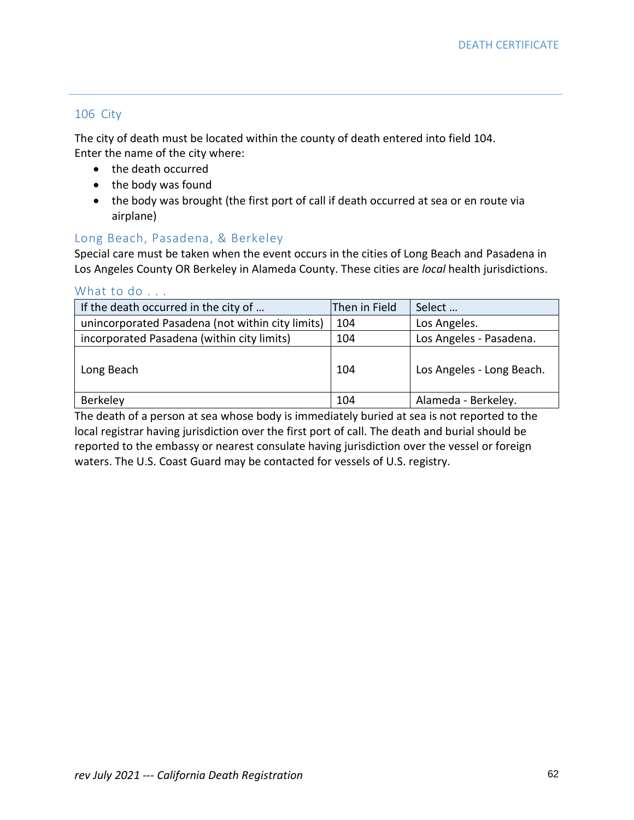#### 106 City

The city of death must be located within the county of death entered into field 104. Enter the name of the city where:

- the death occurred
- the body was found
- the body was brought (the first port of call if death occurred at sea or en route via airplane)

## Long Beach, Pasadena, & Berkeley

Special care must be taken when the event occurs in the cities of Long Beach and Pasadena in Los Angeles County OR Berkeley in Alameda County. These cities are *local* health jurisdictions.

#### What to do . . .

| If the death occurred in the city of             | Then in Field | Select                    |
|--------------------------------------------------|---------------|---------------------------|
| unincorporated Pasadena (not within city limits) | 104           | Los Angeles.              |
| incorporated Pasadena (within city limits)       | 104           | Los Angeles - Pasadena.   |
| Long Beach                                       | 104           | Los Angeles - Long Beach. |
| Berkeley                                         | 104           | Alameda - Berkeley.       |

The death of a person at sea whose body is immediately buried at sea is not reported to the local registrar having jurisdiction over the first port of call. The death and burial should be reported to the embassy or nearest consulate having jurisdiction over the vessel or foreign waters. The U.S. Coast Guard may be contacted for vessels of U.S. registry.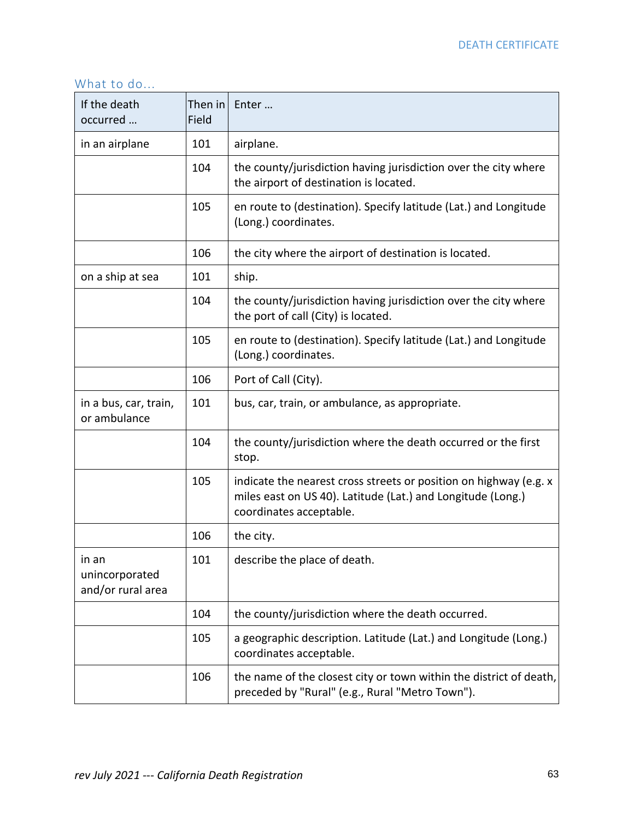# What to do...

| If the death<br>occurred                     | Then in<br>Field | Enter                                                                                                                                                       |
|----------------------------------------------|------------------|-------------------------------------------------------------------------------------------------------------------------------------------------------------|
| in an airplane                               | 101              | airplane.                                                                                                                                                   |
|                                              | 104              | the county/jurisdiction having jurisdiction over the city where<br>the airport of destination is located.                                                   |
|                                              | 105              | en route to (destination). Specify latitude (Lat.) and Longitude<br>(Long.) coordinates.                                                                    |
|                                              | 106              | the city where the airport of destination is located.                                                                                                       |
| on a ship at sea                             | 101              | ship.                                                                                                                                                       |
|                                              | 104              | the county/jurisdiction having jurisdiction over the city where<br>the port of call (City) is located.                                                      |
|                                              | 105              | en route to (destination). Specify latitude (Lat.) and Longitude<br>(Long.) coordinates.                                                                    |
|                                              | 106              | Port of Call (City).                                                                                                                                        |
| in a bus, car, train,<br>or ambulance        | 101              | bus, car, train, or ambulance, as appropriate.                                                                                                              |
|                                              | 104              | the county/jurisdiction where the death occurred or the first<br>stop.                                                                                      |
|                                              | 105              | indicate the nearest cross streets or position on highway (e.g. x<br>miles east on US 40). Latitude (Lat.) and Longitude (Long.)<br>coordinates acceptable. |
|                                              | 106              | the city.                                                                                                                                                   |
| in an<br>unincorporated<br>and/or rural area | 101              | describe the place of death.                                                                                                                                |
|                                              | 104              | the county/jurisdiction where the death occurred.                                                                                                           |
|                                              | 105              | a geographic description. Latitude (Lat.) and Longitude (Long.)<br>coordinates acceptable.                                                                  |
|                                              | 106              | the name of the closest city or town within the district of death,<br>preceded by "Rural" (e.g., Rural "Metro Town").                                       |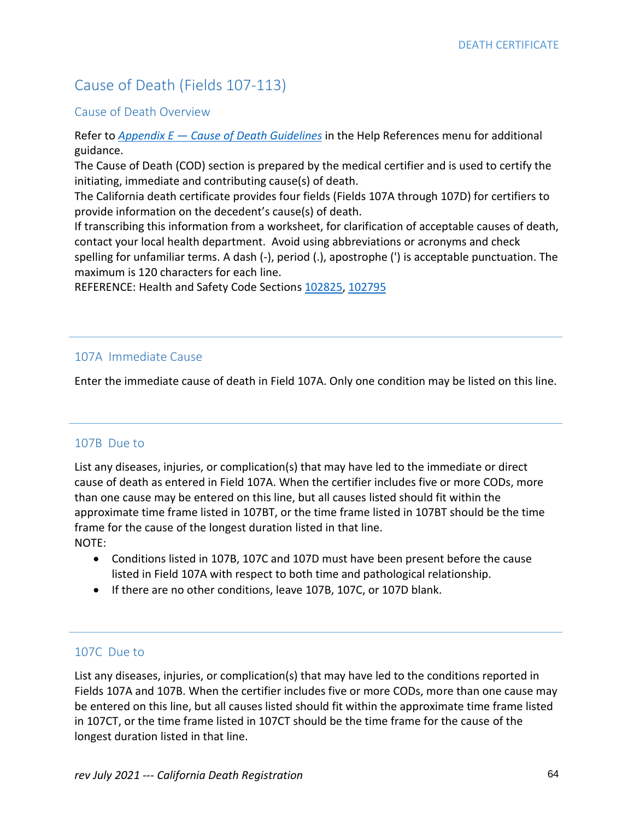# Cause of Death (Fields 107-113)

### Cause of Death Overview

Refer to *Appendix E — [Cause of Death Guidelines](file:///C:/Users/hlao/AppData/Local/Microsoft/Windows/INetCache/Content.Outlook/02D5XGME/Cause_Of_Death_Review_Guidelines.pdf)* in the Help References menu for additional guidance.

The Cause of Death (COD) section is prepared by the medical certifier and is used to certify the initiating, immediate and contributing cause(s) of death.

The California death certificate provides four fields (Fields 107A through 107D) for certifiers to provide information on the decedent's cause(s) of death.

If transcribing this information from a worksheet, for clarification of acceptable causes of death, contact your local health department. Avoid using abbreviations or acronyms and check spelling for unfamiliar terms. A dash (-), period (.), apostrophe (') is acceptable punctuation. The maximum is 120 characters for each line.

REFERENCE: Health and Safety Code Sections [102825,](http://leginfo.legislature.ca.gov/faces/codes_displaySection.xhtml?sectionNum=102825&lawCode=HSC) [102795](http://leginfo.legislature.ca.gov/faces/codes_displaySection.xhtml?sectionNum=102795&lawCode=HSC)

### 107A Immediate Cause

Enter the immediate cause of death in Field 107A. Only one condition may be listed on this line.

### 107B Due to

List any diseases, injuries, or complication(s) that may have led to the immediate or direct cause of death as entered in Field 107A. When the certifier includes five or more CODs, more than one cause may be entered on this line, but all causes listed should fit within the approximate time frame listed in 107BT, or the time frame listed in 107BT should be the time frame for the cause of the longest duration listed in that line. NOTE:

- Conditions listed in 107B, 107C and 107D must have been present before the cause listed in Field 107A with respect to both time and pathological relationship.
- If there are no other conditions, leave 107B, 107C, or 107D blank.

### 107C Due to

List any diseases, injuries, or complication(s) that may have led to the conditions reported in Fields 107A and 107B. When the certifier includes five or more CODs, more than one cause may be entered on this line, but all causes listed should fit within the approximate time frame listed in 107CT, or the time frame listed in 107CT should be the time frame for the cause of the longest duration listed in that line.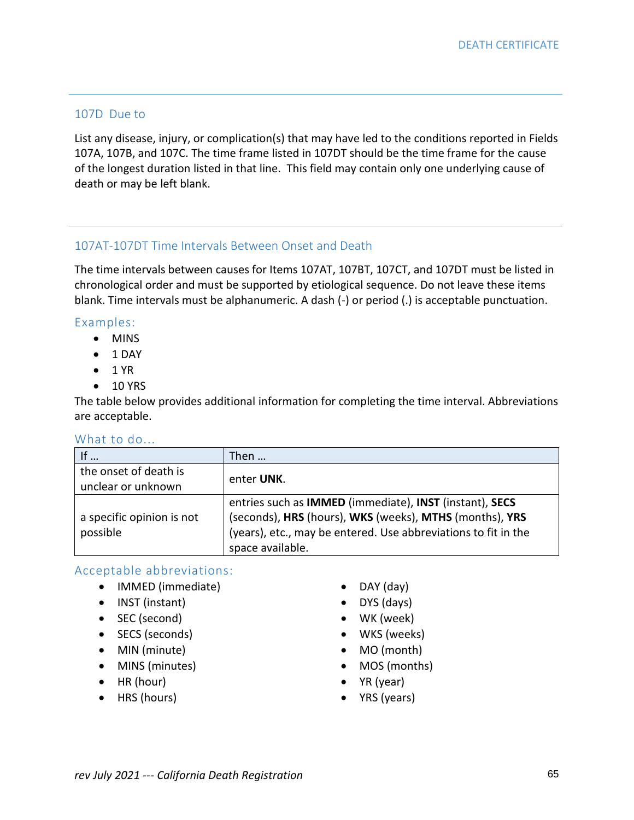## 107D Due to

List any disease, injury, or complication(s) that may have led to the conditions reported in Fields 107A, 107B, and 107C. The time frame listed in 107DT should be the time frame for the cause of the longest duration listed in that line. This field may contain only one underlying cause of death or may be left blank.

### 107AT-107DT Time Intervals Between Onset and Death

The time intervals between causes for Items 107AT, 107BT, 107CT, and 107DT must be listed in chronological order and must be supported by etiological sequence. Do not leave these items blank. Time intervals must be alphanumeric. A dash (-) or period (.) is acceptable punctuation.

#### Examples:

- MINS
- 1 DAY
- $\bullet$  1 YR
- 10 YRS

The table below provides additional information for completing the time interval. Abbreviations are acceptable.

## What to do...

| If $\ldots$                                 | Then                                                                                                                                                                                                                          |
|---------------------------------------------|-------------------------------------------------------------------------------------------------------------------------------------------------------------------------------------------------------------------------------|
| the onset of death is<br>unclear or unknown | enter UNK.                                                                                                                                                                                                                    |
| a specific opinion is not<br>possible       | entries such as <b>IMMED</b> (immediate), <b>INST</b> (instant), <b>SECS</b><br>(seconds), HRS (hours), WKS (weeks), MTHS (months), YRS<br>(years), etc., may be entered. Use abbreviations to fit in the<br>space available. |

### Acceptable abbreviations:

- IMMED (immediate)
- INST (instant)
- SEC (second)
- SECS (seconds)
- MIN (minute)
- MINS (minutes)
- HR (hour)
- HRS (hours)
- DAY (day)
- DYS (days)
- WK (week)
- WKS (weeks)
- MO (month)
- MOS (months)
- YR (year)
- YRS (years)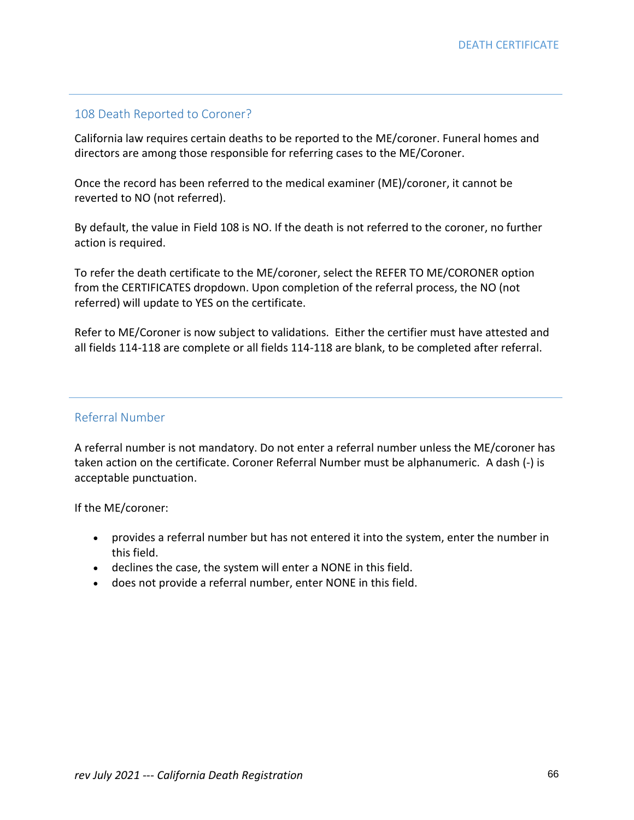## 108 Death Reported to Coroner?

California law requires certain deaths to be reported to the ME/coroner. Funeral homes and directors are among those responsible for referring cases to the ME/Coroner.

Once the record has been referred to the medical examiner (ME)/coroner, it cannot be reverted to NO (not referred).

By default, the value in Field 108 is NO. If the death is not referred to the coroner, no further action is required.

To refer the death certificate to the ME/coroner, select the REFER TO ME/CORONER option from the CERTIFICATES dropdown. Upon completion of the referral process, the NO (not referred) will update to YES on the certificate.

Refer to ME/Coroner is now subject to validations. Either the certifier must have attested and all fields 114-118 are complete or all fields 114-118 are blank, to be completed after referral.

### Referral Number

A referral number is not mandatory. Do not enter a referral number unless the ME/coroner has taken action on the certificate. Coroner Referral Number must be alphanumeric. A dash (-) is acceptable punctuation.

If the ME/coroner:

- provides a referral number but has not entered it into the system, enter the number in this field.
- declines the case, the system will enter a NONE in this field.
- does not provide a referral number, enter NONE in this field.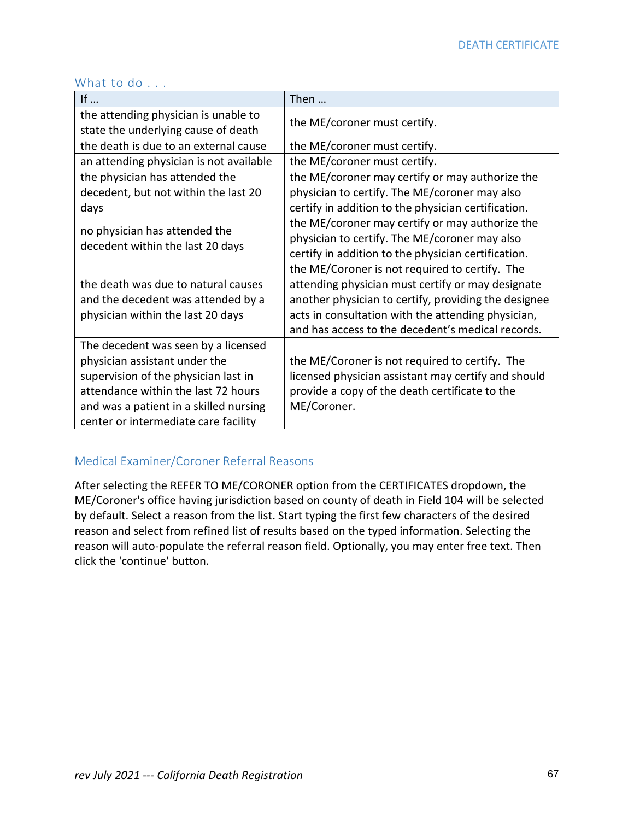| If $\ldots$                                                                                                                                                                                                                           | Then                                                                                                                                                                                                                                                                   |
|---------------------------------------------------------------------------------------------------------------------------------------------------------------------------------------------------------------------------------------|------------------------------------------------------------------------------------------------------------------------------------------------------------------------------------------------------------------------------------------------------------------------|
| the attending physician is unable to<br>state the underlying cause of death                                                                                                                                                           | the ME/coroner must certify.                                                                                                                                                                                                                                           |
| the death is due to an external cause                                                                                                                                                                                                 | the ME/coroner must certify.                                                                                                                                                                                                                                           |
| an attending physician is not available                                                                                                                                                                                               | the ME/coroner must certify.                                                                                                                                                                                                                                           |
| the physician has attended the                                                                                                                                                                                                        | the ME/coroner may certify or may authorize the                                                                                                                                                                                                                        |
| decedent, but not within the last 20                                                                                                                                                                                                  | physician to certify. The ME/coroner may also                                                                                                                                                                                                                          |
| days                                                                                                                                                                                                                                  | certify in addition to the physician certification.                                                                                                                                                                                                                    |
| no physician has attended the<br>decedent within the last 20 days                                                                                                                                                                     | the ME/coroner may certify or may authorize the<br>physician to certify. The ME/coroner may also<br>certify in addition to the physician certification.                                                                                                                |
| the death was due to natural causes<br>and the decedent was attended by a<br>physician within the last 20 days                                                                                                                        | the ME/Coroner is not required to certify. The<br>attending physician must certify or may designate<br>another physician to certify, providing the designee<br>acts in consultation with the attending physician,<br>and has access to the decedent's medical records. |
| The decedent was seen by a licensed<br>physician assistant under the<br>supervision of the physician last in<br>attendance within the last 72 hours<br>and was a patient in a skilled nursing<br>center or intermediate care facility | the ME/Coroner is not required to certify. The<br>licensed physician assistant may certify and should<br>provide a copy of the death certificate to the<br>ME/Coroner.                                                                                                 |

## What to do . . .

# Medical Examiner/Coroner Referral Reasons

After selecting the REFER TO ME/CORONER option from the CERTIFICATES dropdown, the ME/Coroner's office having jurisdiction based on county of death in Field 104 will be selected by default. Select a reason from the list. Start typing the first few characters of the desired reason and select from refined list of results based on the typed information. Selecting the reason will auto-populate the referral reason field. Optionally, you may enter free text. Then click the 'continue' button.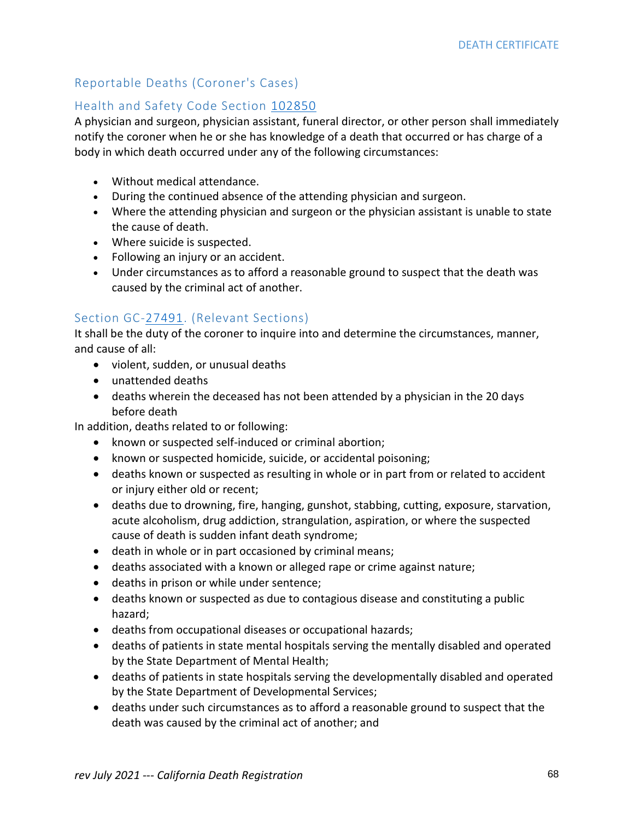# Reportable Deaths (Coroner's Cases)

# Health and Safety Code Section [102850](http://leginfo.legislature.ca.gov/faces/codes_displaySection.xhtml?sectionNum=102850&lawCode=HSC)

A physician and surgeon, physician assistant, funeral director, or other person shall immediately notify the coroner when he or she has knowledge of a death that occurred or has charge of a body in which death occurred under any of the following circumstances:

- Without medical attendance.
- During the continued absence of the attending physician and surgeon.
- Where the attending physician and surgeon or the physician assistant is unable to state the cause of death.
- Where suicide is suspected.
- Following an injury or an accident.
- Under circumstances as to afford a reasonable ground to suspect that the death was caused by the criminal act of another.

# Section GC[-27491.](http://leginfo.legislature.ca.gov/faces/codes_displaySection.xhtml?sectionNum=27491&lawCode=GOV) (Relevant Sections)

It shall be the duty of the coroner to inquire into and determine the circumstances, manner, and cause of all:

- violent, sudden, or unusual deaths
- unattended deaths
- deaths wherein the deceased has not been attended by a physician in the 20 days before death

In addition, deaths related to or following:

- known or suspected self-induced or criminal abortion;
- known or suspected homicide, suicide, or accidental poisoning;
- deaths known or suspected as resulting in whole or in part from or related to accident or injury either old or recent;
- deaths due to drowning, fire, hanging, gunshot, stabbing, cutting, exposure, starvation, acute alcoholism, drug addiction, strangulation, aspiration, or where the suspected cause of death is sudden infant death syndrome;
- death in whole or in part occasioned by criminal means;
- deaths associated with a known or alleged rape or crime against nature;
- deaths in prison or while under sentence;
- deaths known or suspected as due to contagious disease and constituting a public hazard;
- deaths from occupational diseases or occupational hazards;
- deaths of patients in state mental hospitals serving the mentally disabled and operated by the State Department of Mental Health;
- deaths of patients in state hospitals serving the developmentally disabled and operated by the State Department of Developmental Services;
- deaths under such circumstances as to afford a reasonable ground to suspect that the death was caused by the criminal act of another; and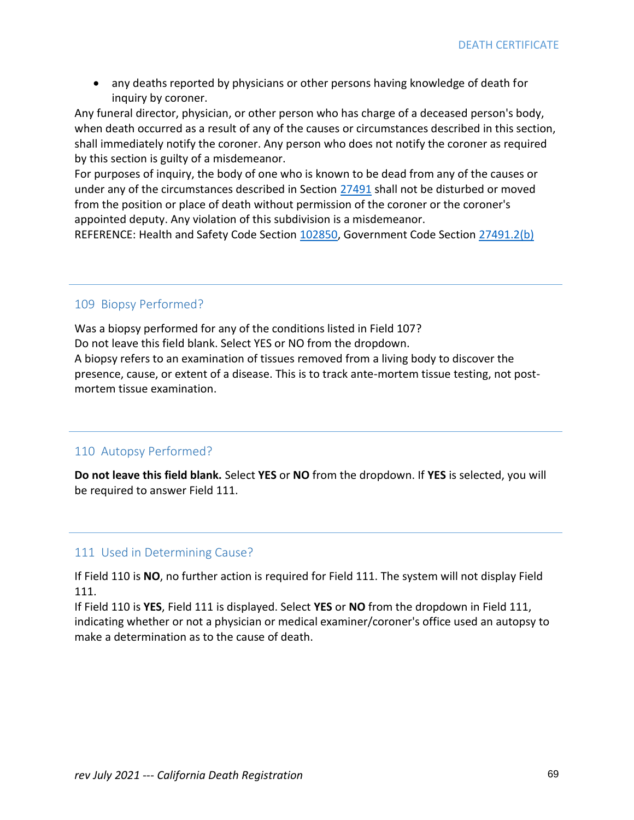• any deaths reported by physicians or other persons having knowledge of death for inquiry by coroner.

Any funeral director, physician, or other person who has charge of a deceased person's body, when death occurred as a result of any of the causes or circumstances described in this section, shall immediately notify the coroner. Any person who does not notify the coroner as required by this section is guilty of a misdemeanor.

For purposes of inquiry, the body of one who is known to be dead from any of the causes or under any of the circumstances described in Section [27491](http://leginfo.legislature.ca.gov/faces/codes_displaySection.xhtml?sectionNum=27491&lawCode=GOV) shall not be disturbed or moved from the position or place of death without permission of the coroner or the coroner's appointed deputy. Any violation of this subdivision is a misdemeanor.

REFERENCE: Health and Safety Code Section [102850,](http://leginfo.legislature.ca.gov/faces/codes_displaySection.xhtml?sectionNum=102850&lawCode=HSC) Government Code Section [27491.2\(b\)](http://leginfo.legislature.ca.gov/faces/codes_displaySection.xhtml?lawCode=GOV§ionNum=27491.2.)

#### 109 Biopsy Performed?

Was a biopsy performed for any of the conditions listed in Field 107? Do not leave this field blank. Select YES or NO from the dropdown. A biopsy refers to an examination of tissues removed from a living body to discover the presence, cause, or extent of a disease. This is to track ante-mortem tissue testing, not postmortem tissue examination.

### 110 Autopsy Performed?

**Do not leave this field blank.** Select **YES** or **NO** from the dropdown. If **YES** is selected, you will be required to answer Field 111.

### 111 Used in Determining Cause?

If Field 110 is **NO**, no further action is required for Field 111. The system will not display Field 111.

If Field 110 is **YES**, Field 111 is displayed. Select **YES** or **NO** from the dropdown in Field 111, indicating whether or not a physician or medical examiner/coroner's office used an autopsy to make a determination as to the cause of death.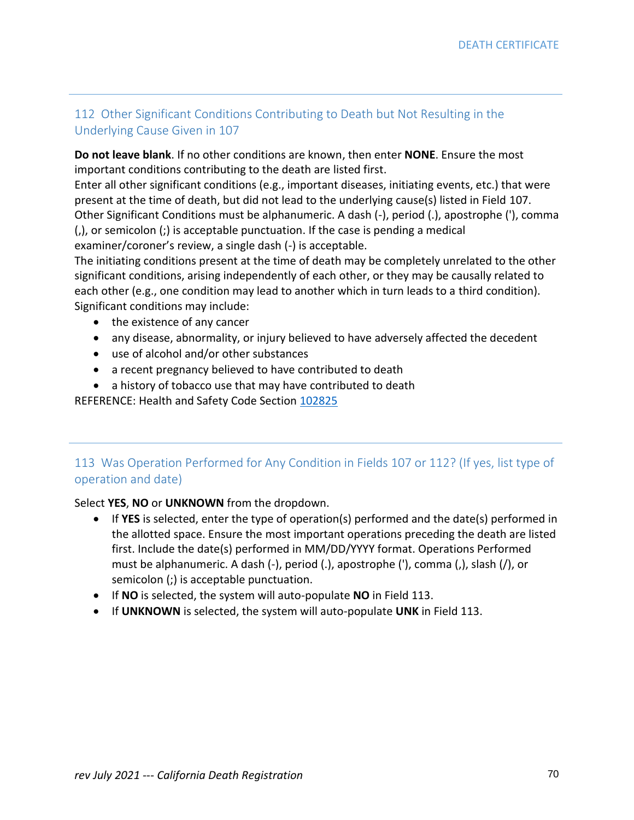# 112 Other Significant Conditions Contributing to Death but Not Resulting in the Underlying Cause Given in 107

**Do not leave blank**. If no other conditions are known, then enter **NONE**. Ensure the most important conditions contributing to the death are listed first.

Enter all other significant conditions (e.g., important diseases, initiating events, etc.) that were present at the time of death, but did not lead to the underlying cause(s) listed in Field 107. Other Significant Conditions must be alphanumeric. A dash (-), period (.), apostrophe ('), comma (,), or semicolon (;) is acceptable punctuation. If the case is pending a medical examiner/coroner's review, a single dash (-) is acceptable.

The initiating conditions present at the time of death may be completely unrelated to the other significant conditions, arising independently of each other, or they may be causally related to each other (e.g., one condition may lead to another which in turn leads to a third condition). Significant conditions may include:

- the existence of any cancer
- any disease, abnormality, or injury believed to have adversely affected the decedent
- use of alcohol and/or other substances
- a recent pregnancy believed to have contributed to death
- a history of tobacco use that may have contributed to death

REFERENCE: Health and Safety Code Section [102825](http://leginfo.legislature.ca.gov/faces/codes_displaySection.xhtml?sectionNum=102825&lawCode=HSC)

# 113 Was Operation Performed for Any Condition in Fields 107 or 112? (If yes, list type of operation and date)

### Select **YES**, **NO** or **UNKNOWN** from the dropdown.

- If **YES** is selected, enter the type of operation(s) performed and the date(s) performed in the allotted space. Ensure the most important operations preceding the death are listed first. Include the date(s) performed in MM/DD/YYYY format. Operations Performed must be alphanumeric. A dash (-), period (.), apostrophe ('), comma (,), slash (/), or semicolon (;) is acceptable punctuation.
- If **NO** is selected, the system will auto-populate **NO** in Field 113.
- If **UNKNOWN** is selected, the system will auto-populate **UNK** in Field 113.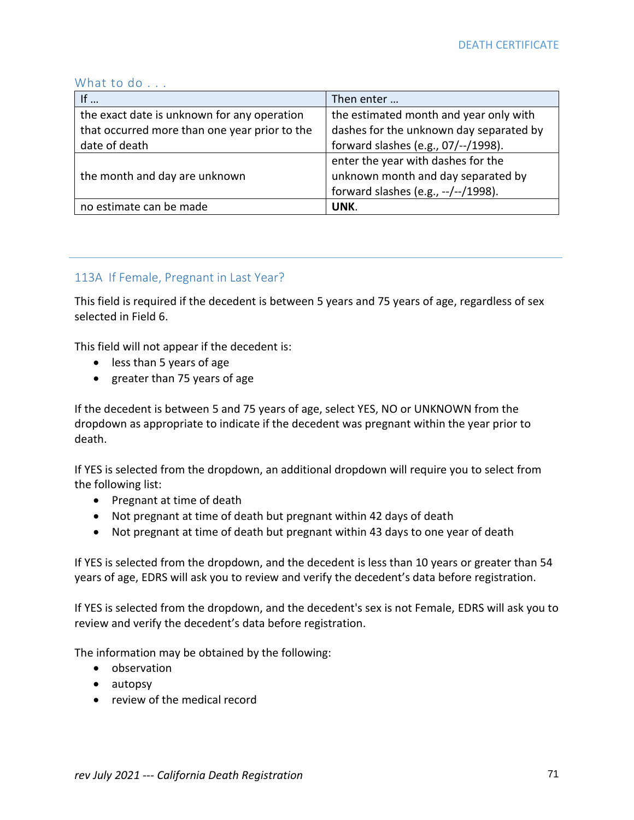#### What to do . . .

| If $\dots$                                    | Then enter                              |
|-----------------------------------------------|-----------------------------------------|
| the exact date is unknown for any operation   | the estimated month and year only with  |
| that occurred more than one year prior to the | dashes for the unknown day separated by |
| date of death                                 | forward slashes (e.g., 07/--/1998).     |
|                                               | enter the year with dashes for the      |
| the month and day are unknown                 | unknown month and day separated by      |
|                                               | forward slashes (e.g., --/--/1998).     |
| no estimate can be made                       | UNK.                                    |

# 113A If Female, Pregnant in Last Year?

This field is required if the decedent is between 5 years and 75 years of age, regardless of sex selected in Field 6.

This field will not appear if the decedent is:

- less than 5 years of age
- greater than 75 years of age

If the decedent is between 5 and 75 years of age, select YES, NO or UNKNOWN from the dropdown as appropriate to indicate if the decedent was pregnant within the year prior to death.

If YES is selected from the dropdown, an additional dropdown will require you to select from the following list:

- Pregnant at time of death
- Not pregnant at time of death but pregnant within 42 days of death
- Not pregnant at time of death but pregnant within 43 days to one year of death

If YES is selected from the dropdown, and the decedent is less than 10 years or greater than 54 years of age, EDRS will ask you to review and verify the decedent's data before registration.

If YES is selected from the dropdown, and the decedent's sex is not Female, EDRS will ask you to review and verify the decedent's data before registration.

The information may be obtained by the following:

- observation
- autopsy
- review of the medical record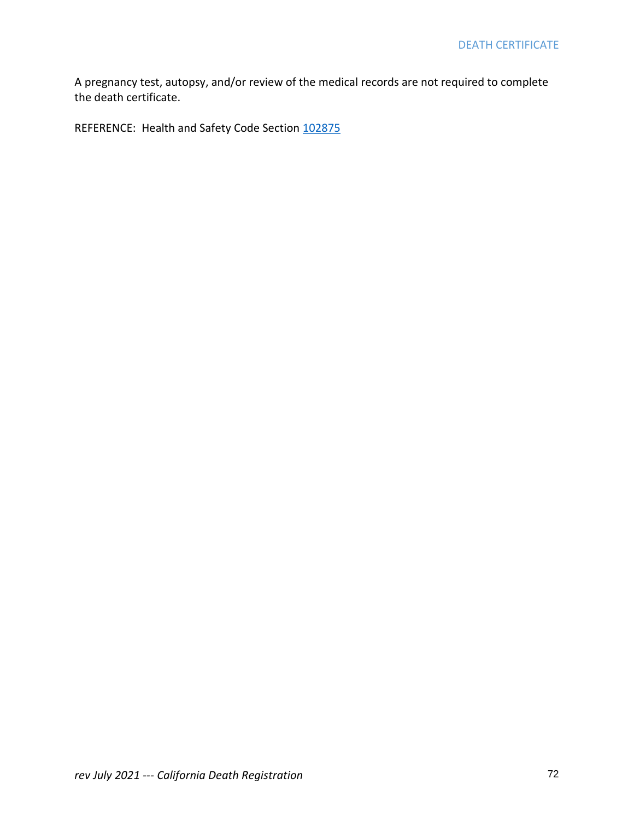A pregnancy test, autopsy, and/or review of the medical records are not required to complete the death certificate.

REFERENCE: Health and Safety Code Section [102875](http://leginfo.legislature.ca.gov/faces/codes_displaySection.xhtml?sectionNum=102825&lawCode=HSC)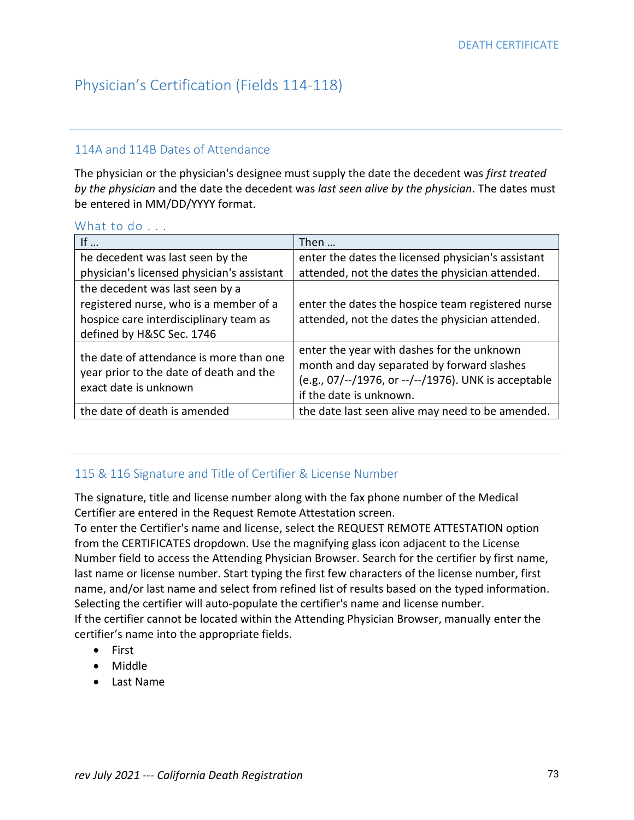# Physician's Certification (Fields 114-118)

### 114A and 114B Dates of Attendance

The physician or the physician's designee must supply the date the decedent was *first treated by the physician* and the date the decedent was *last seen alive by the physician*. The dates must be entered in MM/DD/YYYY format.

#### What to do . . .

| If $\ldots$                                                                                                 | Then                                                 |
|-------------------------------------------------------------------------------------------------------------|------------------------------------------------------|
| he decedent was last seen by the                                                                            | enter the dates the licensed physician's assistant   |
| physician's licensed physician's assistant                                                                  | attended, not the dates the physician attended.      |
| the decedent was last seen by a                                                                             |                                                      |
| registered nurse, who is a member of a                                                                      | enter the dates the hospice team registered nurse    |
| hospice care interdisciplinary team as                                                                      | attended, not the dates the physician attended.      |
| defined by H&SC Sec. 1746                                                                                   |                                                      |
| the date of attendance is more than one<br>year prior to the date of death and the<br>exact date is unknown | enter the year with dashes for the unknown           |
|                                                                                                             | month and day separated by forward slashes           |
|                                                                                                             | (e.g., 07/--/1976, or --/--/1976). UNK is acceptable |
|                                                                                                             | if the date is unknown.                              |
| the date of death is amended                                                                                | the date last seen alive may need to be amended.     |

### 115 & 116 Signature and Title of Certifier & License Number

The signature, title and license number along with the fax phone number of the Medical Certifier are entered in the Request Remote Attestation screen.

To enter the Certifier's name and license, select the REQUEST REMOTE ATTESTATION option from the CERTIFICATES dropdown. Use the magnifying glass icon adjacent to the License Number field to access the Attending Physician Browser. Search for the certifier by first name, last name or license number. Start typing the first few characters of the license number, first name, and/or last name and select from refined list of results based on the typed information. Selecting the certifier will auto-populate the certifier's name and license number. If the certifier cannot be located within the Attending Physician Browser, manually enter the certifier's name into the appropriate fields.

- First
- Middle
- Last Name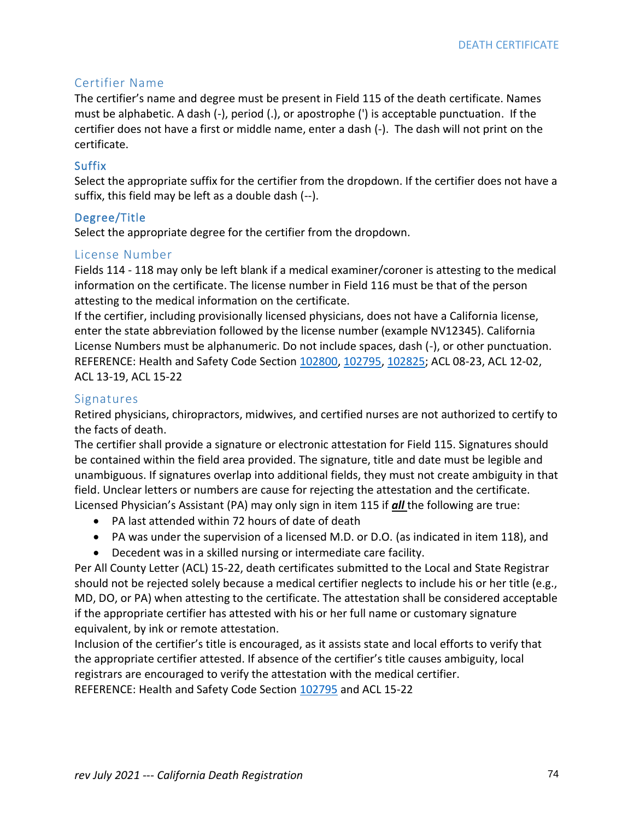### Certifier Name

The certifier's name and degree must be present in Field 115 of the death certificate. Names must be alphabetic. A dash (-), period (.), or apostrophe (') is acceptable punctuation. If the certifier does not have a first or middle name, enter a dash (-). The dash will not print on the certificate.

### Suffix

Select the appropriate suffix for the certifier from the dropdown. If the certifier does not have a suffix, this field may be left as a double dash (--).

#### Degree/Title

Select the appropriate degree for the certifier from the dropdown.

#### License Number

Fields 114 - 118 may only be left blank if a medical examiner/coroner is attesting to the medical information on the certificate. The license number in Field 116 must be that of the person attesting to the medical information on the certificate.

If the certifier, including provisionally licensed physicians, does not have a California license, enter the state abbreviation followed by the license number (example NV12345). California License Numbers must be alphanumeric. Do not include spaces, dash (-), or other punctuation. REFERENCE: Health and Safety Code Section [102800,](http://leginfo.legislature.ca.gov/faces/codes_displaySection.xhtml?sectionNum=102800&lawCode=HSC) [102795,](http://leginfo.legislature.ca.gov/faces/codes_displaySection.xhtml?sectionNum=102795&lawCode=HSC) [102825;](http://leginfo.legislature.ca.gov/faces/codes_displaySection.xhtml?sectionNum=102825&lawCode=HSC) ACL 08-23, ACL 12-02, ACL 13-19, ACL 15-22

#### Signatures

Retired physicians, chiropractors, midwives, and certified nurses are not authorized to certify to the facts of death.

The certifier shall provide a signature or electronic attestation for Field 115. Signatures should be contained within the field area provided. The signature, title and date must be legible and unambiguous. If signatures overlap into additional fields, they must not create ambiguity in that field. Unclear letters or numbers are cause for rejecting the attestation and the certificate. Licensed Physician's Assistant (PA) may only sign in item 115 if *all* the following are true:

- PA last attended within 72 hours of date of death
- PA was under the supervision of a licensed M.D. or D.O. (as indicated in item 118), and
- Decedent was in a skilled nursing or intermediate care facility.

Per All County Letter (ACL) 15-22, death certificates submitted to the Local and State Registrar should not be rejected solely because a medical certifier neglects to include his or her title (e.g., MD, DO, or PA) when attesting to the certificate. The attestation shall be considered acceptable if the appropriate certifier has attested with his or her full name or customary signature equivalent, by ink or remote attestation.

Inclusion of the certifier's title is encouraged, as it assists state and local efforts to verify that the appropriate certifier attested. If absence of the certifier's title causes ambiguity, local registrars are encouraged to verify the attestation with the medical certifier.

REFERENCE: Health and Safety Code Section [102795](http://leginfo.legislature.ca.gov/faces/codes_displaySection.xhtml?sectionNum=102795&lawCode=HSC) and ACL 15-22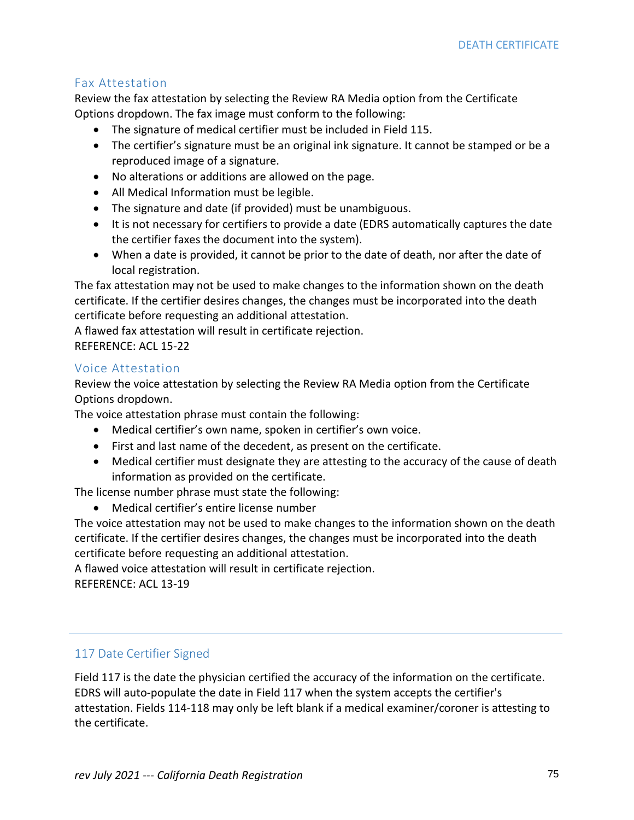### Fax Attestation

Review the fax attestation by selecting the Review RA Media option from the Certificate Options dropdown. The fax image must conform to the following:

- The signature of medical certifier must be included in Field 115.
- The certifier's signature must be an original ink signature. It cannot be stamped or be a reproduced image of a signature.
- No alterations or additions are allowed on the page.
- All Medical Information must be legible.
- The signature and date (if provided) must be unambiguous.
- It is not necessary for certifiers to provide a date (EDRS automatically captures the date the certifier faxes the document into the system).
- When a date is provided, it cannot be prior to the date of death, nor after the date of local registration.

The fax attestation may not be used to make changes to the information shown on the death certificate. If the certifier desires changes, the changes must be incorporated into the death certificate before requesting an additional attestation.

A flawed fax attestation will result in certificate rejection. REFERENCE: ACL 15-22

### Voice Attestation

Review the voice attestation by selecting the Review RA Media option from the Certificate Options dropdown.

The voice attestation phrase must contain the following:

- Medical certifier's own name, spoken in certifier's own voice.
- First and last name of the decedent, as present on the certificate.
- Medical certifier must designate they are attesting to the accuracy of the cause of death information as provided on the certificate.

The license number phrase must state the following:

• Medical certifier's entire license number

The voice attestation may not be used to make changes to the information shown on the death certificate. If the certifier desires changes, the changes must be incorporated into the death certificate before requesting an additional attestation.

A flawed voice attestation will result in certificate rejection.

REFERENCE: ACL 13-19

### 117 Date Certifier Signed

Field 117 is the date the physician certified the accuracy of the information on the certificate. EDRS will auto-populate the date in Field 117 when the system accepts the certifier's attestation. Fields 114-118 may only be left blank if a medical examiner/coroner is attesting to the certificate.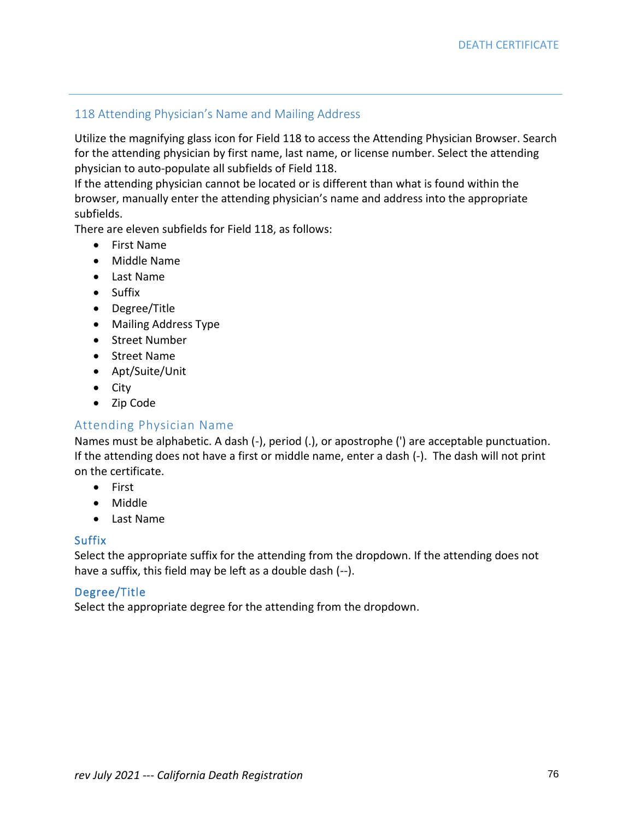### 118 Attending Physician's Name and Mailing Address

Utilize the magnifying glass icon for Field 118 to access the Attending Physician Browser. Search for the attending physician by first name, last name, or license number. Select the attending physician to auto-populate all subfields of Field 118.

If the attending physician cannot be located or is different than what is found within the browser, manually enter the attending physician's name and address into the appropriate subfields.

There are eleven subfields for Field 118, as follows:

- First Name
- Middle Name
- Last Name
- Suffix
- Degree/Title
- Mailing Address Type
- Street Number
- Street Name
- Apt/Suite/Unit
- City
- Zip Code

### Attending Physician Name

Names must be alphabetic. A dash (-), period (.), or apostrophe (') are acceptable punctuation. If the attending does not have a first or middle name, enter a dash (-). The dash will not print on the certificate.

- First
- Middle
- Last Name

#### **Suffix**

Select the appropriate suffix for the attending from the dropdown. If the attending does not have a suffix, this field may be left as a double dash (--).

#### Degree/Title

Select the appropriate degree for the attending from the dropdown.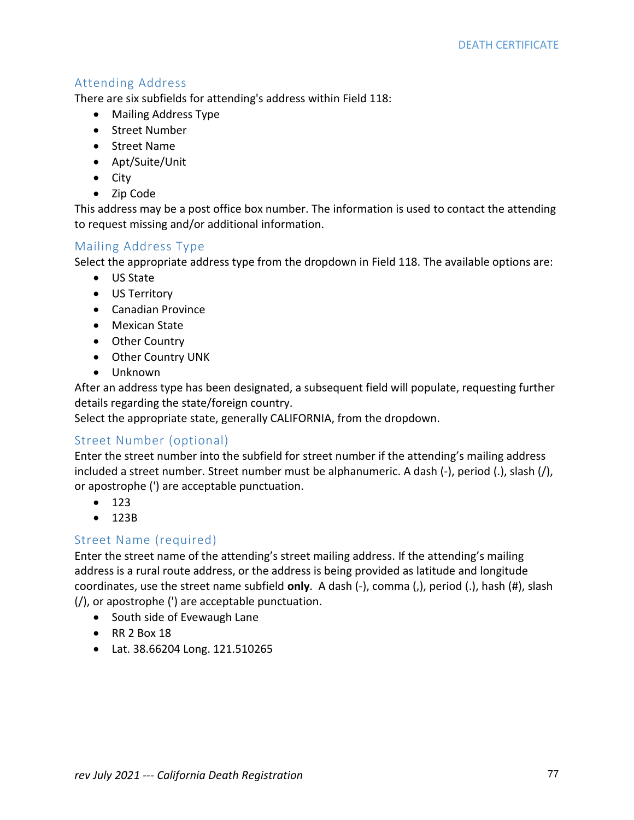### Attending Address

There are six subfields for attending's address within Field 118:

- Mailing Address Type
- Street Number
- Street Name
- Apt/Suite/Unit
- City
- Zip Code

This address may be a post office box number. The information is used to contact the attending to request missing and/or additional information.

### Mailing Address Type

Select the appropriate address type from the dropdown in Field 118. The available options are:

- US State
- US Territory
- Canadian Province
- Mexican State
- Other Country
- Other Country UNK
- Unknown

After an address type has been designated, a subsequent field will populate, requesting further details regarding the state/foreign country.

Select the appropriate state, generally CALIFORNIA, from the dropdown.

### Street Number (optional)

Enter the street number into the subfield for street number if the attending's mailing address included a street number. Street number must be alphanumeric. A dash (-), period (.), slash (/), or apostrophe (') are acceptable punctuation.

- 123
- 123B

### Street Name (required)

Enter the street name of the attending's street mailing address. If the attending's mailing address is a rural route address, or the address is being provided as latitude and longitude coordinates, use the street name subfield **only**. A dash (-), comma (,), period (.), hash (#), slash (/), or apostrophe (') are acceptable punctuation.

- South side of Evewaugh Lane
- RR 2 Box 18
- Lat. 38.66204 Long. 121.510265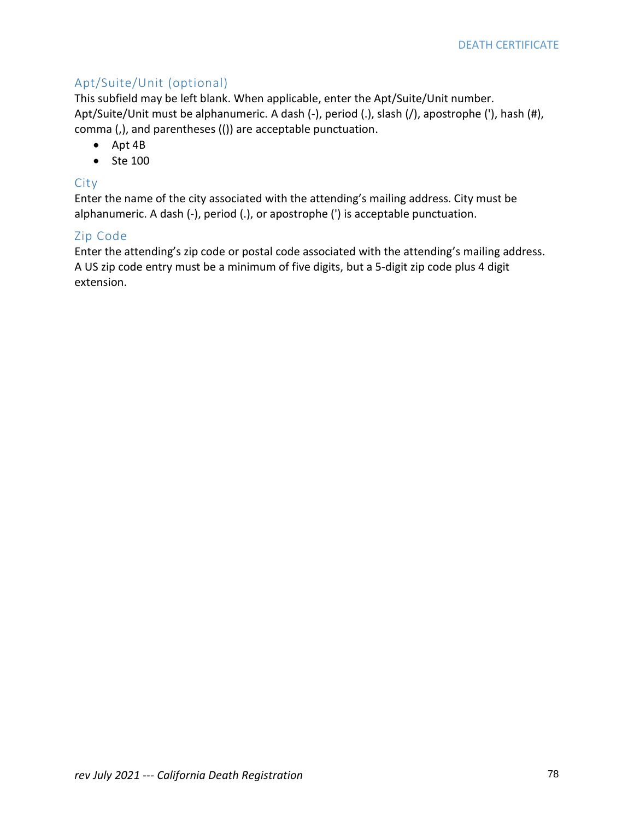# Apt/Suite/Unit (optional)

This subfield may be left blank. When applicable, enter the Apt/Suite/Unit number. Apt/Suite/Unit must be alphanumeric. A dash (-), period (.), slash (/), apostrophe ('), hash (#), comma (,), and parentheses (()) are acceptable punctuation.

- Apt 4B
- Ste 100

### City

Enter the name of the city associated with the attending's mailing address. City must be alphanumeric. A dash (-), period (.), or apostrophe (') is acceptable punctuation.

### Zip Code

Enter the attending's zip code or postal code associated with the attending's mailing address. A US zip code entry must be a minimum of five digits, but a 5-digit zip code plus 4 digit extension.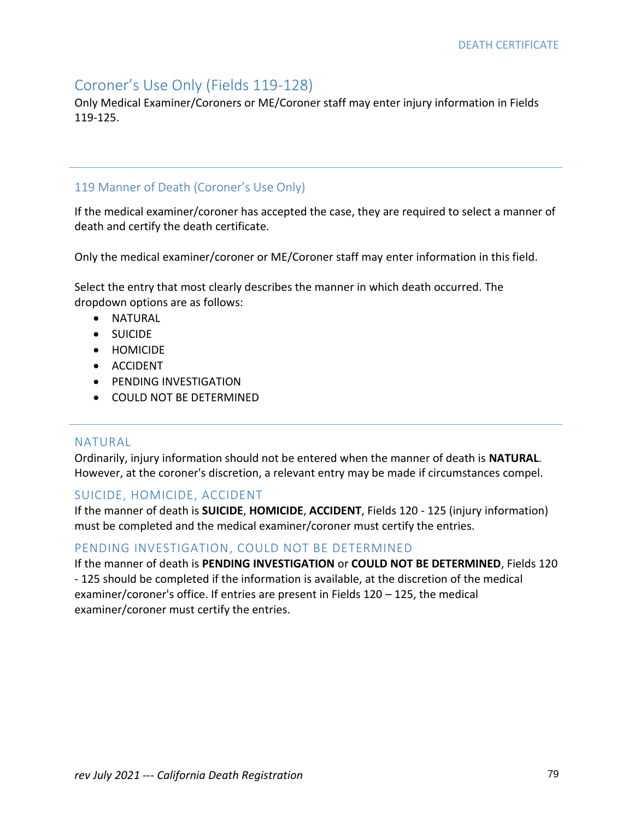# Coroner's Use Only (Fields 119-128)

Only Medical Examiner/Coroners or ME/Coroner staff may enter injury information in Fields 119-125.

## 119 Manner of Death (Coroner's Use Only)

If the medical examiner/coroner has accepted the case, they are required to select a manner of death and certify the death certificate.

Only the medical examiner/coroner or ME/Coroner staff may enter information in this field.

Select the entry that most clearly describes the manner in which death occurred. The dropdown options are as follows:

- NATURAL
- SUICIDE
- HOMICIDE
- ACCIDENT
- PENDING INVESTIGATION
- COULD NOT BE DETERMINED

### NATURAL

Ordinarily, injury information should not be entered when the manner of death is **NATURAL**. However, at the coroner's discretion, a relevant entry may be made if circumstances compel.

### SUICIDE, HOMICIDE, ACCIDENT

If the manner of death is **SUICIDE**, **HOMICIDE**, **ACCIDENT**, Fields 120 - 125 (injury information) must be completed and the medical examiner/coroner must certify the entries.

### PENDING INVESTIGATION, COULD NOT BE DETERMINED

If the manner of death is **PENDING INVESTIGATION** or **COULD NOT BE DETERMINED**, Fields 120 - 125 should be completed if the information is available, at the discretion of the medical examiner/coroner's office. If entries are present in Fields 120 – 125, the medical examiner/coroner must certify the entries.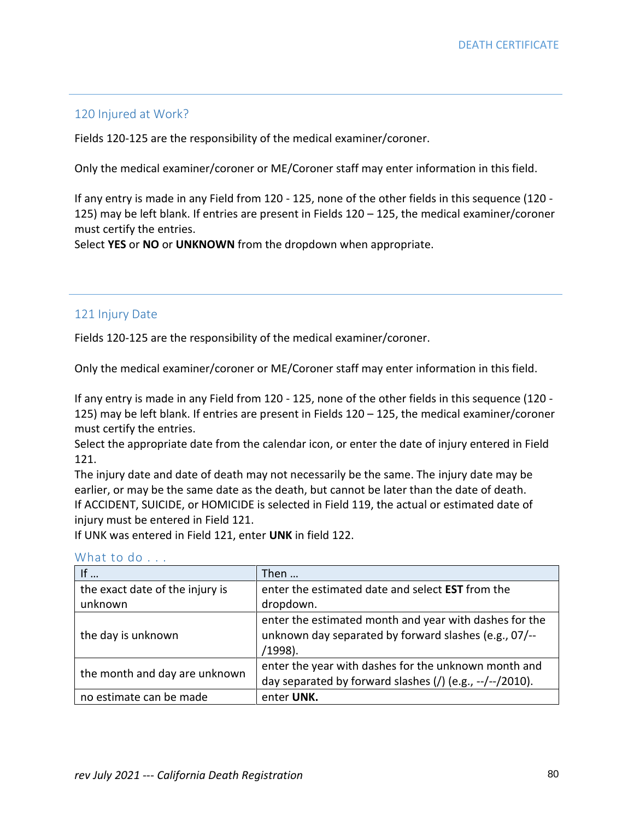### 120 Injured at Work?

Fields 120-125 are the responsibility of the medical examiner/coroner.

Only the medical examiner/coroner or ME/Coroner staff may enter information in this field.

If any entry is made in any Field from 120 - 125, none of the other fields in this sequence (120 - 125) may be left blank. If entries are present in Fields 120 – 125, the medical examiner/coroner must certify the entries.

Select **YES** or **NO** or **UNKNOWN** from the dropdown when appropriate.

### 121 Injury Date

Fields 120-125 are the responsibility of the medical examiner/coroner.

Only the medical examiner/coroner or ME/Coroner staff may enter information in this field.

If any entry is made in any Field from 120 - 125, none of the other fields in this sequence (120 - 125) may be left blank. If entries are present in Fields 120 – 125, the medical examiner/coroner must certify the entries.

Select the appropriate date from the calendar icon, or enter the date of injury entered in Field 121.

The injury date and date of death may not necessarily be the same. The injury date may be earlier, or may be the same date as the death, but cannot be later than the date of death. If ACCIDENT, SUICIDE, or HOMICIDE is selected in Field 119, the actual or estimated date of injury must be entered in Field 121.

If UNK was entered in Field 121, enter **UNK** in field 122.

| If                              | Then $\ldots$                                            |
|---------------------------------|----------------------------------------------------------|
| the exact date of the injury is | enter the estimated date and select <b>EST</b> from the  |
| unknown                         | dropdown.                                                |
|                                 | enter the estimated month and year with dashes for the   |
| the day is unknown              | unknown day separated by forward slashes (e.g., 07/--    |
|                                 | (1998).                                                  |
| the month and day are unknown   | enter the year with dashes for the unknown month and     |
|                                 | day separated by forward slashes (/) (e.g., --/--/2010). |
| no estimate can be made         | enter UNK.                                               |

#### What to do . . .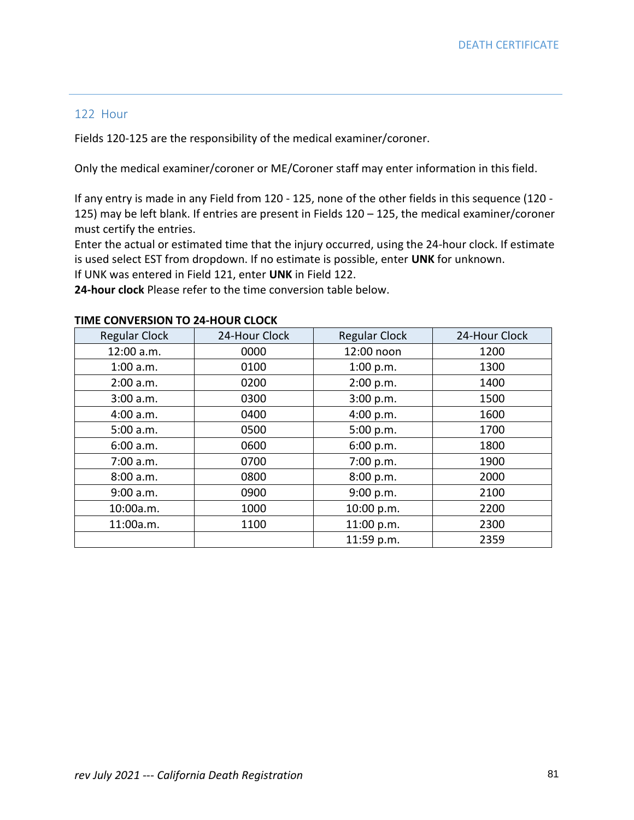### 122 Hour

Fields 120-125 are the responsibility of the medical examiner/coroner.

Only the medical examiner/coroner or ME/Coroner staff may enter information in this field.

If any entry is made in any Field from 120 - 125, none of the other fields in this sequence (120 - 125) may be left blank. If entries are present in Fields 120 – 125, the medical examiner/coroner must certify the entries.

Enter the actual or estimated time that the injury occurred, using the 24-hour clock. If estimate is used select EST from dropdown. If no estimate is possible, enter **UNK** for unknown.

If UNK was entered in Field 121, enter **UNK** in Field 122.

**24-hour clock** Please refer to the time conversion table below.

| <b>Regular Clock</b> | 24-Hour Clock | <b>Regular Clock</b> | 24-Hour Clock |
|----------------------|---------------|----------------------|---------------|
| 12:00 a.m.           | 0000          | 12:00 noon           | 1200          |
| 1:00 a.m.            | 0100          | 1:00 p.m.            | 1300          |
| 2:00 a.m.            | 0200          | 2:00 p.m.            | 1400          |
| 3:00 a.m.            | 0300          | 3:00 p.m.            | 1500          |
| 4:00 a.m.            | 0400          | 4:00 p.m.            | 1600          |
| 5:00 a.m.            | 0500          | 5:00 p.m.            | 1700          |
| 6:00 a.m.            | 0600          | 6:00 p.m.            | 1800          |
| 7:00 a.m.            | 0700          | 7:00 p.m.            | 1900          |
| 8:00 a.m.            | 0800          | 8:00 p.m.            | 2000          |
| 9:00 a.m.            | 0900          | 9:00 p.m.            | 2100          |
| 10:00a.m.            | 1000          | 10:00 p.m.           | 2200          |
| 11:00a.m.            | 1100          | 11:00 p.m.           | 2300          |
|                      |               | 11:59 p.m.           | 2359          |

#### **TIME CONVERSION TO 24-HOUR CLOCK**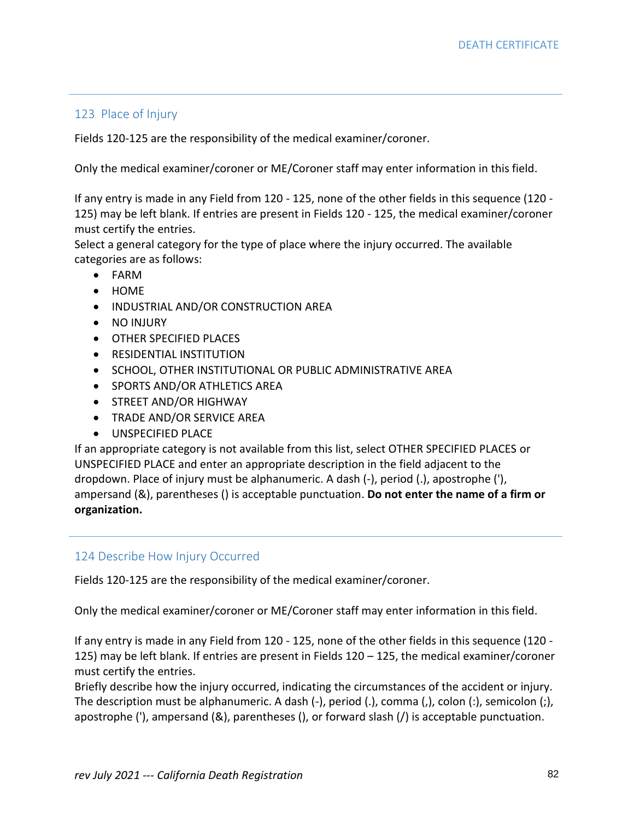### 123 Place of Injury

Fields 120-125 are the responsibility of the medical examiner/coroner.

Only the medical examiner/coroner or ME/Coroner staff may enter information in this field.

If any entry is made in any Field from 120 - 125, none of the other fields in this sequence (120 - 125) may be left blank. If entries are present in Fields 120 - 125, the medical examiner/coroner must certify the entries.

Select a general category for the type of place where the injury occurred. The available categories are as follows:

- FARM
- HOME
- INDUSTRIAL AND/OR CONSTRUCTION AREA
- NO INJURY
- OTHER SPECIFIED PLACES
- RESIDENTIAL INSTITUTION
- SCHOOL, OTHER INSTITUTIONAL OR PUBLIC ADMINISTRATIVE AREA
- SPORTS AND/OR ATHLETICS AREA
- STREET AND/OR HIGHWAY
- TRADE AND/OR SERVICE AREA
- UNSPECIFIED PLACE

If an appropriate category is not available from this list, select OTHER SPECIFIED PLACES or UNSPECIFIED PLACE and enter an appropriate description in the field adjacent to the dropdown. Place of injury must be alphanumeric. A dash (-), period (.), apostrophe ('), ampersand (&), parentheses () is acceptable punctuation. **Do not enter the name of a firm or organization.**

### 124 Describe How Injury Occurred

Fields 120-125 are the responsibility of the medical examiner/coroner.

Only the medical examiner/coroner or ME/Coroner staff may enter information in this field.

If any entry is made in any Field from 120 - 125, none of the other fields in this sequence (120 - 125) may be left blank. If entries are present in Fields 120 – 125, the medical examiner/coroner must certify the entries.

Briefly describe how the injury occurred, indicating the circumstances of the accident or injury. The description must be alphanumeric. A dash (-), period (.), comma (,), colon (:), semicolon (;), apostrophe ('), ampersand (&), parentheses (), or forward slash (/) is acceptable punctuation.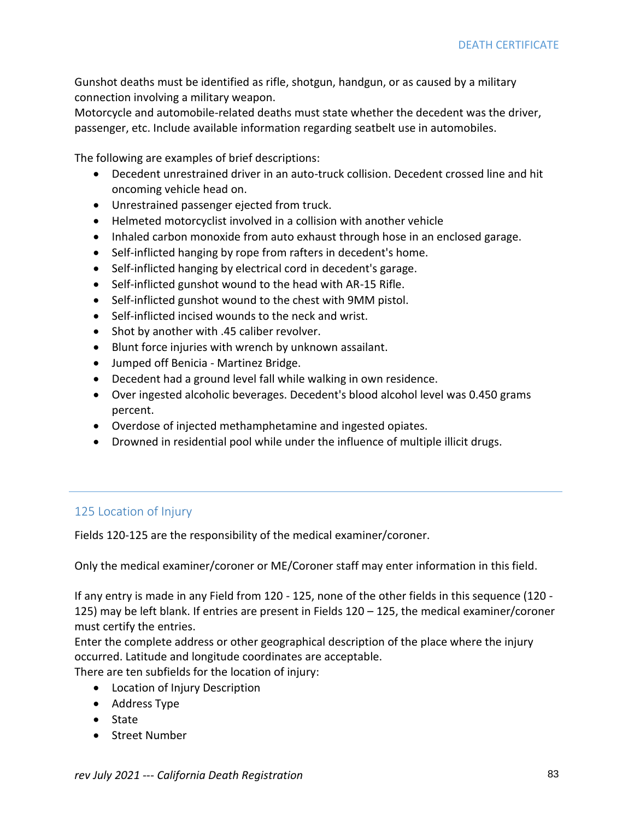Gunshot deaths must be identified as rifle, shotgun, handgun, or as caused by a military connection involving a military weapon.

Motorcycle and automobile-related deaths must state whether the decedent was the driver, passenger, etc. Include available information regarding seatbelt use in automobiles.

The following are examples of brief descriptions:

- Decedent unrestrained driver in an auto-truck collision. Decedent crossed line and hit oncoming vehicle head on.
- Unrestrained passenger ejected from truck.
- Helmeted motorcyclist involved in a collision with another vehicle
- Inhaled carbon monoxide from auto exhaust through hose in an enclosed garage.
- Self-inflicted hanging by rope from rafters in decedent's home.
- Self-inflicted hanging by electrical cord in decedent's garage.
- Self-inflicted gunshot wound to the head with AR-15 Rifle.
- Self-inflicted gunshot wound to the chest with 9MM pistol.
- Self-inflicted incised wounds to the neck and wrist.
- Shot by another with .45 caliber revolver.
- Blunt force injuries with wrench by unknown assailant.
- Jumped off Benicia Martinez Bridge.
- Decedent had a ground level fall while walking in own residence.
- Over ingested alcoholic beverages. Decedent's blood alcohol level was 0.450 grams percent.
- Overdose of injected methamphetamine and ingested opiates.
- Drowned in residential pool while under the influence of multiple illicit drugs.

### 125 Location of Injury

Fields 120-125 are the responsibility of the medical examiner/coroner.

Only the medical examiner/coroner or ME/Coroner staff may enter information in this field.

If any entry is made in any Field from 120 - 125, none of the other fields in this sequence (120 - 125) may be left blank. If entries are present in Fields 120 – 125, the medical examiner/coroner must certify the entries.

Enter the complete address or other geographical description of the place where the injury occurred. Latitude and longitude coordinates are acceptable.

There are ten subfields for the location of injury:

- Location of Injury Description
- Address Type
- State
- Street Number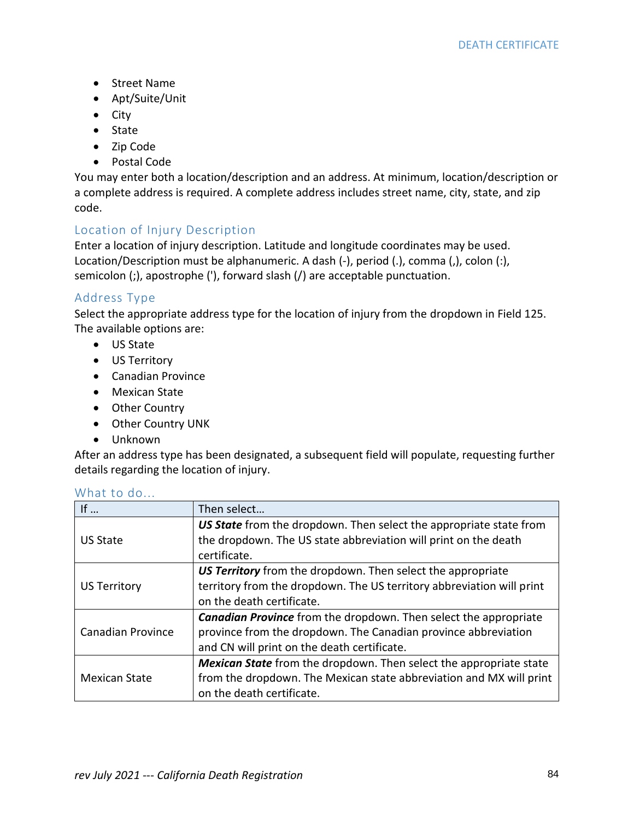- Street Name
- Apt/Suite/Unit
- City
- State
- Zip Code
- Postal Code

You may enter both a location/description and an address. At minimum, location/description or a complete address is required. A complete address includes street name, city, state, and zip code.

## Location of Injury Description

Enter a location of injury description. Latitude and longitude coordinates may be used. Location/Description must be alphanumeric. A dash (-), period (.), comma (,), colon (:), semicolon (;), apostrophe ('), forward slash (/) are acceptable punctuation.

### Address Type

Select the appropriate address type for the location of injury from the dropdown in Field 125. The available options are:

- US State
- US Territory
- Canadian Province
- Mexican State
- Other Country
- Other Country UNK
- Unknown

After an address type has been designated, a subsequent field will populate, requesting further details regarding the location of injury.

| If $\ldots$              | Then select                                                               |
|--------------------------|---------------------------------------------------------------------------|
| US State                 | US State from the dropdown. Then select the appropriate state from        |
|                          | the dropdown. The US state abbreviation will print on the death           |
|                          | certificate.                                                              |
| US Territory             | US Territory from the dropdown. Then select the appropriate               |
|                          | territory from the dropdown. The US territory abbreviation will print     |
|                          | on the death certificate.                                                 |
| <b>Canadian Province</b> | <b>Canadian Province</b> from the dropdown. Then select the appropriate   |
|                          | province from the dropdown. The Canadian province abbreviation            |
|                          | and CN will print on the death certificate.                               |
| Mexican State            | <b>Mexican State</b> from the dropdown. Then select the appropriate state |
|                          | from the dropdown. The Mexican state abbreviation and MX will print       |
|                          | on the death certificate.                                                 |

### What to do...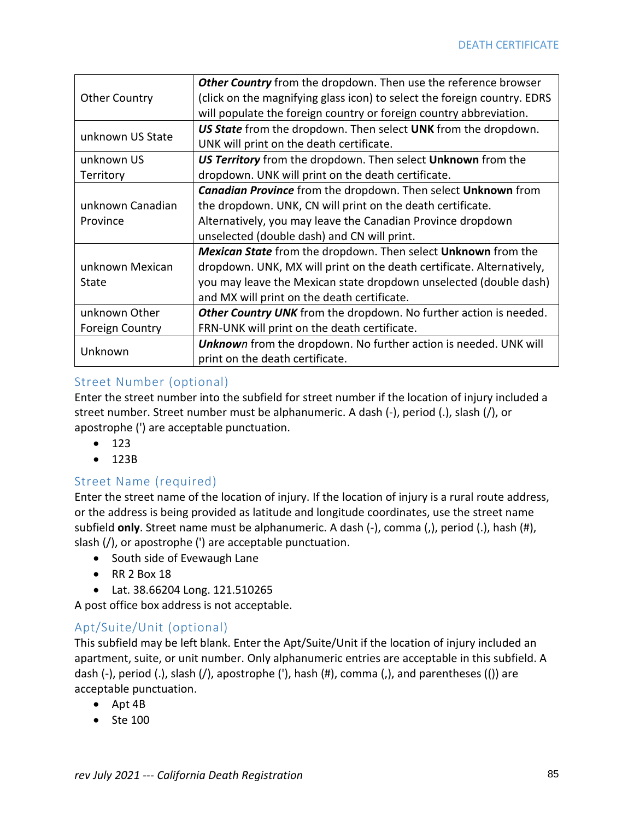|                        | Other Country from the dropdown. Then use the reference browser          |
|------------------------|--------------------------------------------------------------------------|
| <b>Other Country</b>   | (click on the magnifying glass icon) to select the foreign country. EDRS |
|                        | will populate the foreign country or foreign country abbreviation.       |
| unknown US State       | US State from the dropdown. Then select UNK from the dropdown.           |
|                        | UNK will print on the death certificate.                                 |
| unknown US             | US Territory from the dropdown. Then select Unknown from the             |
| Territory              | dropdown. UNK will print on the death certificate.                       |
|                        | <b>Canadian Province</b> from the dropdown. Then select Unknown from     |
| unknown Canadian       | the dropdown. UNK, CN will print on the death certificate.               |
| Province               | Alternatively, you may leave the Canadian Province dropdown              |
|                        | unselected (double dash) and CN will print.                              |
|                        | <b>Mexican State</b> from the dropdown. Then select Unknown from the     |
| unknown Mexican        | dropdown. UNK, MX will print on the death certificate. Alternatively,    |
| State                  | you may leave the Mexican state dropdown unselected (double dash)        |
|                        | and MX will print on the death certificate.                              |
| unknown Other          | Other Country UNK from the dropdown. No further action is needed.        |
| <b>Foreign Country</b> | FRN-UNK will print on the death certificate.                             |
| Unknown                | <b>Unknown</b> from the dropdown. No further action is needed. UNK will  |
|                        | print on the death certificate.                                          |

### Street Number (optional)

Enter the street number into the subfield for street number if the location of injury included a street number. Street number must be alphanumeric. A dash (-), period (.), slash (/), or apostrophe (') are acceptable punctuation.

- 123
- 123B

# Street Name (required)

Enter the street name of the location of injury. If the location of injury is a rural route address, or the address is being provided as latitude and longitude coordinates, use the street name subfield **only**. Street name must be alphanumeric. A dash (-), comma (,), period (.), hash (#), slash (/), or apostrophe (') are acceptable punctuation.

- South side of Evewaugh Lane
- RR 2 Box 18
- Lat. 38.66204 Long. 121.510265

A post office box address is not acceptable.

# Apt/Suite/Unit (optional)

This subfield may be left blank. Enter the Apt/Suite/Unit if the location of injury included an apartment, suite, or unit number. Only alphanumeric entries are acceptable in this subfield. A dash (-), period (.), slash (/), apostrophe ('), hash (#), comma (,), and parentheses (()) are acceptable punctuation.

- Apt 4B
- Ste 100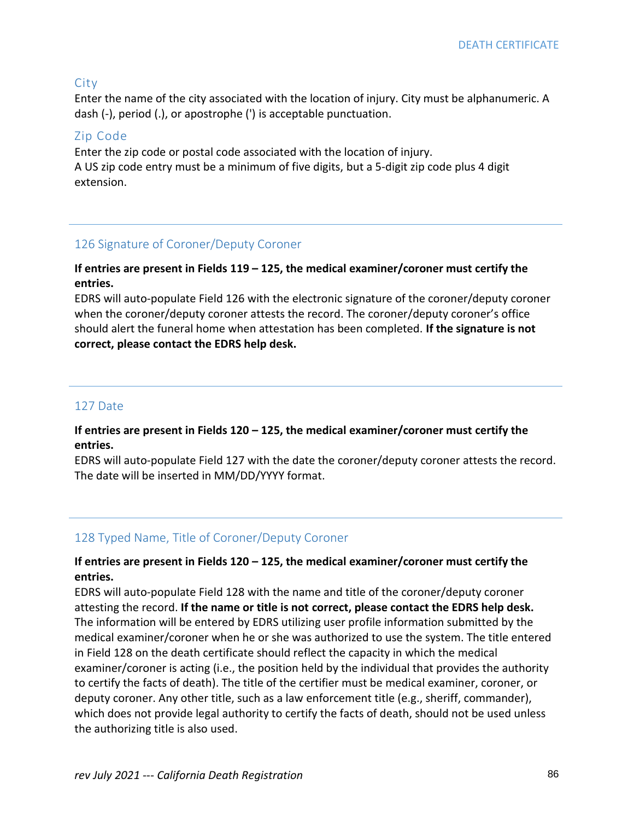### City

Enter the name of the city associated with the location of injury. City must be alphanumeric. A dash (-), period (.), or apostrophe (') is acceptable punctuation.

### Zip Code

Enter the zip code or postal code associated with the location of injury. A US zip code entry must be a minimum of five digits, but a 5-digit zip code plus 4 digit extension.

## 126 Signature of Coroner/Deputy Coroner

### **If entries are present in Fields 119 – 125, the medical examiner/coroner must certify the entries.**

EDRS will auto-populate Field 126 with the electronic signature of the coroner/deputy coroner when the coroner/deputy coroner attests the record. The coroner/deputy coroner's office should alert the funeral home when attestation has been completed. **If the signature is not correct, please contact the EDRS help desk.**

## 127 Date

### **If entries are present in Fields 120 – 125, the medical examiner/coroner must certify the entries.**

EDRS will auto-populate Field 127 with the date the coroner/deputy coroner attests the record. The date will be inserted in MM/DD/YYYY format.

# 128 Typed Name, Title of Coroner/Deputy Coroner

### **If entries are present in Fields 120 – 125, the medical examiner/coroner must certify the entries.**

EDRS will auto-populate Field 128 with the name and title of the coroner/deputy coroner attesting the record. **If the name or title is not correct, please contact the EDRS help desk.** The information will be entered by EDRS utilizing user profile information submitted by the medical examiner/coroner when he or she was authorized to use the system. The title entered in Field 128 on the death certificate should reflect the capacity in which the medical examiner/coroner is acting (i.e., the position held by the individual that provides the authority to certify the facts of death). The title of the certifier must be medical examiner, coroner, or deputy coroner. Any other title, such as a law enforcement title (e.g., sheriff, commander), which does not provide legal authority to certify the facts of death, should not be used unless the authorizing title is also used.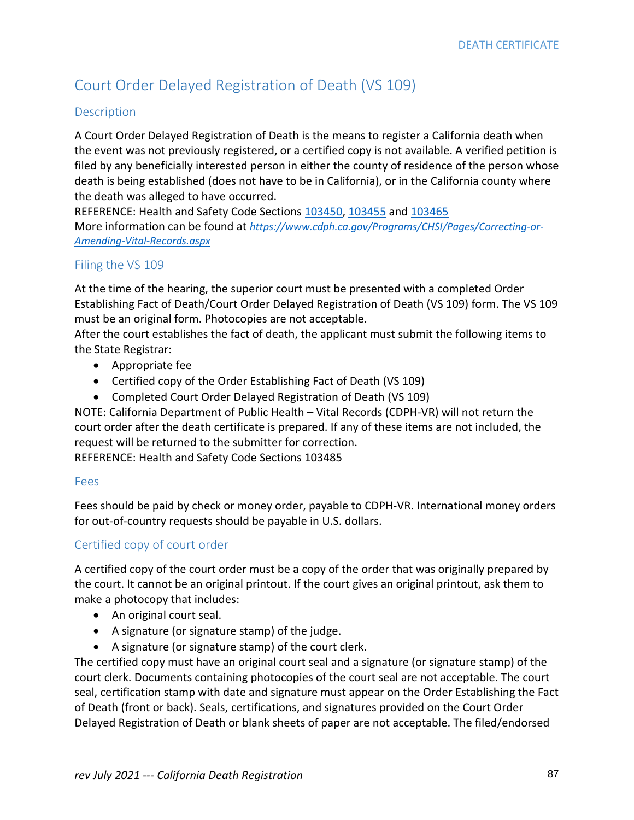# Court Order Delayed Registration of Death (VS 109)

#### Description

A Court Order Delayed Registration of Death is the means to register a California death when the event was not previously registered, or a certified copy is not available. A verified petition is filed by any beneficially interested person in either the county of residence of the person whose death is being established (does not have to be in California), or in the California county where the death was alleged to have occurred.

REFERENCE: Health and Safety Code Sections [103450,](http://leginfo.legislature.ca.gov/faces/codes_displaySection.xhtml?sectionNum=103450&lawCode=HSC) [103455](http://leginfo.legislature.ca.gov/faces/codes_displaySection.xhtml?sectionNum=103455&lawCode=HSC) an[d 103465](http://leginfo.legislature.ca.gov/faces/codes_displaySection.xhtml?sectionNum=103465&lawCode=HSC) More information can be found at *[https://www.cdph.ca.gov/Programs/CHSI/Pages/Correcting-or-](https://www.cdph.ca.gov/Programs/CHSI/Pages/Correcting-or-Amending-Vital-Records.aspx)[Amending-Vital-Records.aspx](https://www.cdph.ca.gov/Programs/CHSI/Pages/Correcting-or-Amending-Vital-Records.aspx)*

### Filing the VS 109

At the time of the hearing, the superior court must be presented with a completed Order Establishing Fact of Death/Court Order Delayed Registration of Death (VS 109) form. The VS 109 must be an original form. Photocopies are not acceptable.

After the court establishes the fact of death, the applicant must submit the following items to the State Registrar:

- Appropriate fee
- Certified copy of the Order Establishing Fact of Death (VS 109)
- Completed Court Order Delayed Registration of Death (VS 109)

NOTE: California Department of Public Health – Vital Records (CDPH-VR) will not return the court order after the death certificate is prepared. If any of these items are not included, the request will be returned to the submitter for correction.

REFERENCE: Health and Safety Code Sections 103485

#### Fees

Fees should be paid by check or money order, payable to CDPH-VR. International money orders for out-of-country requests should be payable in U.S. dollars.

### Certified copy of court order

A certified copy of the court order must be a copy of the order that was originally prepared by the court. It cannot be an original printout. If the court gives an original printout, ask them to make a photocopy that includes:

- An original court seal.
- A signature (or signature stamp) of the judge.
- A signature (or signature stamp) of the court clerk.

The certified copy must have an original court seal and a signature (or signature stamp) of the court clerk. Documents containing photocopies of the court seal are not acceptable. The court seal, certification stamp with date and signature must appear on the Order Establishing the Fact of Death (front or back). Seals, certifications, and signatures provided on the Court Order Delayed Registration of Death or blank sheets of paper are not acceptable. The filed/endorsed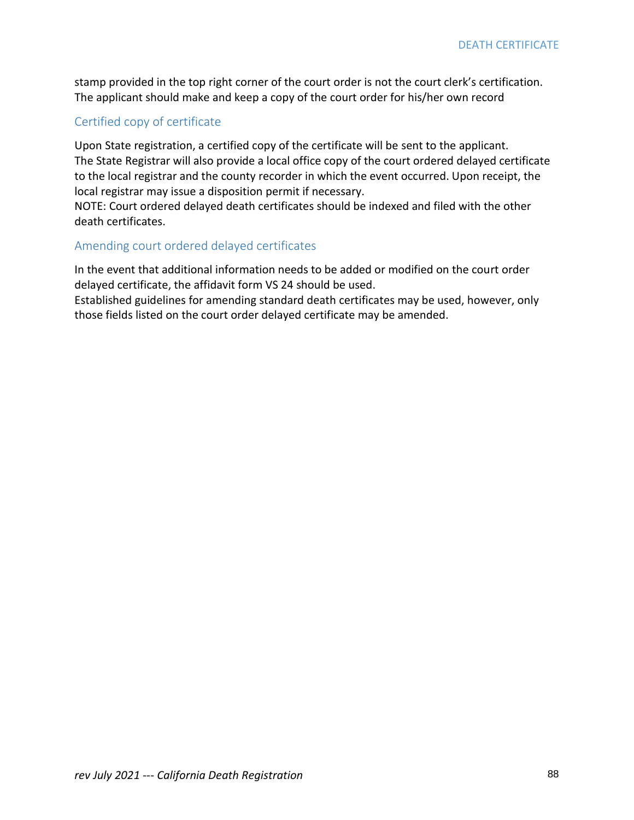stamp provided in the top right corner of the court order is not the court clerk's certification. The applicant should make and keep a copy of the court order for his/her own record

### Certified copy of certificate

Upon State registration, a certified copy of the certificate will be sent to the applicant. The State Registrar will also provide a local office copy of the court ordered delayed certificate to the local registrar and the county recorder in which the event occurred. Upon receipt, the local registrar may issue a disposition permit if necessary.

NOTE: Court ordered delayed death certificates should be indexed and filed with the other death certificates.

#### Amending court ordered delayed certificates

In the event that additional information needs to be added or modified on the court order delayed certificate, the affidavit form VS 24 should be used.

Established guidelines for amending standard death certificates may be used, however, only those fields listed on the court order delayed certificate may be amended.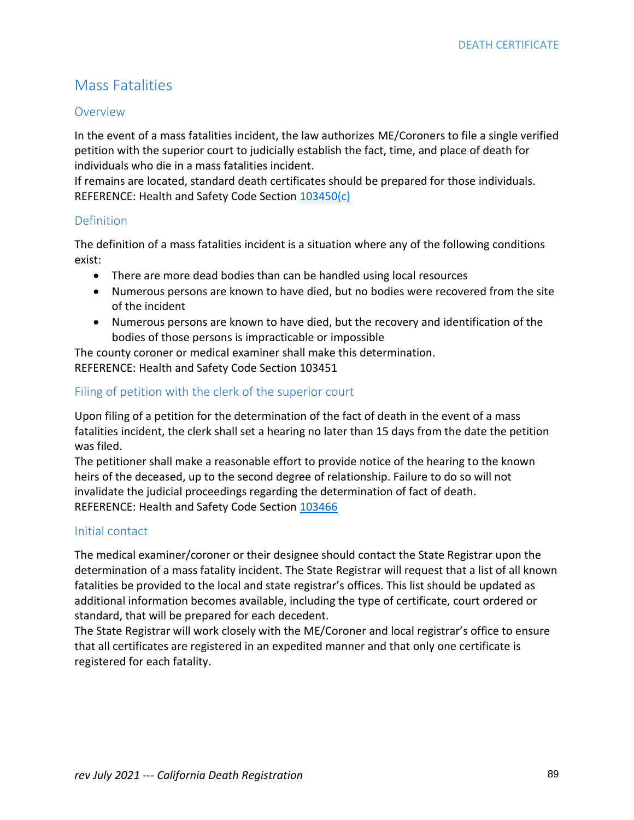# Mass Fatalities

#### Overview

In the event of a mass fatalities incident, the law authorizes ME/Coroners to file a single verified petition with the superior court to judicially establish the fact, time, and place of death for individuals who die in a mass fatalities incident.

If remains are located, standard death certificates should be prepared for those individuals. REFERENCE: Health and Safety Code Section [103450\(c\)](http://leginfo.legislature.ca.gov/faces/codes_displaySection.xhtml?sectionNum=103450&lawCode=HSC)

### Definition

The definition of a mass fatalities incident is a situation where any of the following conditions exist:

- There are more dead bodies than can be handled using local resources
- Numerous persons are known to have died, but no bodies were recovered from the site of the incident
- Numerous persons are known to have died, but the recovery and identification of the bodies of those persons is impracticable or impossible

The county coroner or medical examiner shall make this determination. REFERENCE: Health and Safety Code Section 103451

### Filing of petition with the clerk of the superior court

Upon filing of a petition for the determination of the fact of death in the event of a mass fatalities incident, the clerk shall set a hearing no later than 15 days from the date the petition was filed.

The petitioner shall make a reasonable effort to provide notice of the hearing to the known heirs of the deceased, up to the second degree of relationship. Failure to do so will not invalidate the judicial proceedings regarding the determination of fact of death. REFERENCE: Health and Safety Code Section [103466](http://leginfo.legislature.ca.gov/faces/codes_displaySection.xhtml?sectionNum=103466&lawCode=HSC)

### Initial contact

The medical examiner/coroner or their designee should contact the State Registrar upon the determination of a mass fatality incident. The State Registrar will request that a list of all known fatalities be provided to the local and state registrar's offices. This list should be updated as additional information becomes available, including the type of certificate, court ordered or standard, that will be prepared for each decedent.

The State Registrar will work closely with the ME/Coroner and local registrar's office to ensure that all certificates are registered in an expedited manner and that only one certificate is registered for each fatality.